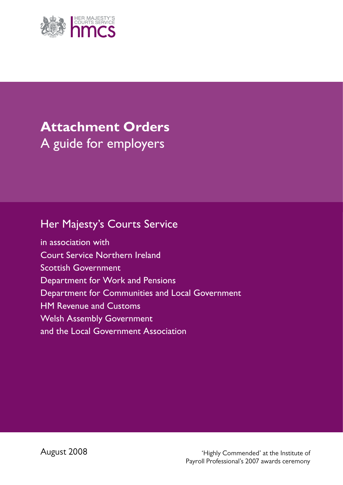

# **Attachment Orders** A guide for employers

# Her Majesty's Courts Service

in association with Court Service Northern Ireland Scottish Government Department for Work and Pensions Department for Communities and Local Government HM Revenue and Customs Welsh Assembly Government and the Local Government Association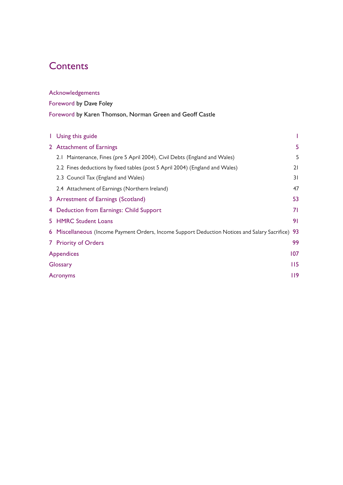# **Contents**

## Acknowledgements

## Foreword by Dave Foley

# Foreword by Karen Thomson, Norman Green and Geoff Castle

| Τ. | Using this guide                                                                               |     |
|----|------------------------------------------------------------------------------------------------|-----|
|    | 2 Attachment of Earnings                                                                       | 5   |
|    | 2.1 Maintenance, Fines (pre 5 April 2004), Civil Debts (England and Wales)                     | 5   |
|    | 2.2 Fines deductions by fixed tables (post 5 April 2004) (England and Wales)                   | 21  |
|    | 2.3 Council Tax (England and Wales)                                                            | 31  |
|    | 2.4 Attachment of Earnings (Northern Ireland)                                                  | 47  |
|    | 3 Arrestment of Earnings (Scotland)                                                            | 53  |
|    | 4 Deduction from Earnings: Child Support                                                       | 71  |
|    | 5 HMRC Student Loans                                                                           | 91  |
|    | 6 Miscellaneous (Income Payment Orders, Income Support Deduction Notices and Salary Sacrifice) | 93  |
|    | 7 Priority of Orders                                                                           | 99  |
|    | <b>Appendices</b>                                                                              | 107 |
|    | Glossary                                                                                       | 115 |
|    | Acronyms                                                                                       |     |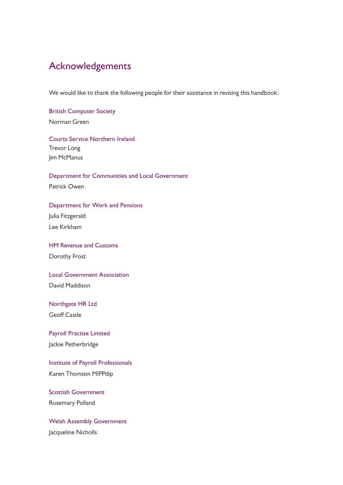# Acknowledgements

We would like to thank the following people for their assistance in revising this handbook:

British Computer Society Norman Green

Courts Service Northern Ireland

Trevor Long Jim McManus

#### Department for Communities and Local Government

Patrick Owen

#### Department for Work and Pensions

Julia Fitzgerald Lee Kirkham

#### HM Revenue and Customs

Dorothy Frost

#### Local Government Association

David Maddison

#### Northgate HR Ltd

Geoff Castle

#### Payroll Practise Limited

Jackie Petherbridge

# Institute of Payroll Professionals

Karen Thomson MIPPdip

# Scottish Government Rosemary Polland

Welsh Assembly Government Jacqueline Nicholls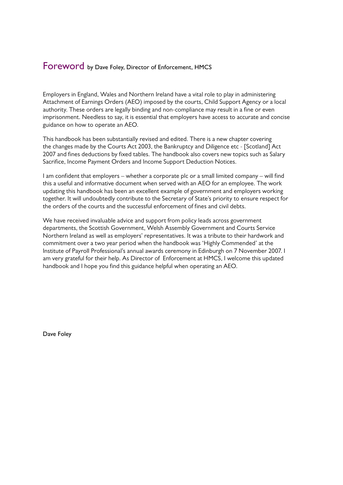# Foreword by Dave Foley, Director of Enforcement, HMCS

Employers in England, Wales and Northern Ireland have a vital role to play in administering Attachment of Earnings Orders (AEO) imposed by the courts, Child Support Agency or a local authority. These orders are legally binding and non-compliance may result in a fine or even imprisonment. Needless to say, it is essential that employers have access to accurate and concise guidance on how to operate an AEO.

This handbook has been substantially revised and edited. There is a new chapter covering the changes made by the Courts Act 2003, the Bankruptcy and Diligence etc - [Scotland] Act 2007 and fines deductions by fixed tables. The handbook also covers new topics such as Salary Sacrifice, Income Payment Orders and Income Support Deduction Notices.

I am confident that employers – whether a corporate plc or a small limited company – will find this a useful and informative document when served with an AEO for an employee. The work updating this handbook has been an excellent example of government and employers working together. It will undoubtedly contribute to the Secretary of State's priority to ensure respect for the orders of the courts and the successful enforcement of fines and civil debts.

We have received invaluable advice and support from policy leads across government departments, the Scottish Government, Welsh Assembly Government and Courts Service Northern Ireland as well as employers' representatives. It was a tribute to their hardwork and commitment over a two year period when the handbook was 'Highly Commended' at the Institute of Payroll Professional's annual awards ceremony in Edinburgh on 7 November 2007. I am very grateful for their help. As Director of Enforcement at HMCS, I welcome this updated handbook and I hope you find this guidance helpful when operating an AEO.

Dave Foley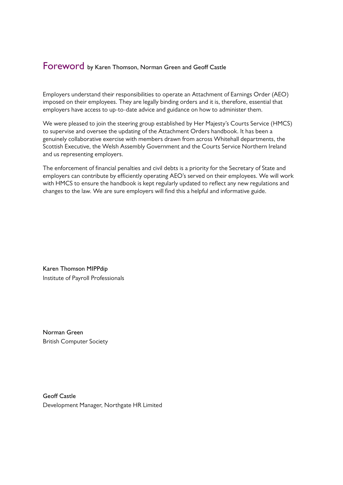# Foreword by Karen Thomson, Norman Green and Geoff Castle

Employers understand their responsibilities to operate an Attachment of Earnings Order (AEO) imposed on their employees. They are legally binding orders and it is, therefore, essential that employers have access to up-to-date advice and guidance on how to administer them.

We were pleased to join the steering group established by Her Majesty's Courts Service (HMCS) to supervise and oversee the updating of the Attachment Orders handbook. It has been a genuinely collaborative exercise with members drawn from across Whitehall departments, the Scottish Executive, the Welsh Assembly Government and the Courts Service Northern Ireland and us representing employers.

The enforcement of financial penalties and civil debts is a priority for the Secretary of State and employers can contribute by efficiently operating AEO's served on their employees. We will work with HMCS to ensure the handbook is kept regularly updated to reflect any new regulations and changes to the law. We are sure employers will find this a helpful and informative guide.

Karen Thomson MIPPdip Institute of Payroll Professionals

Norman Green British Computer Society

Geoff Castle Development Manager, Northgate HR Limited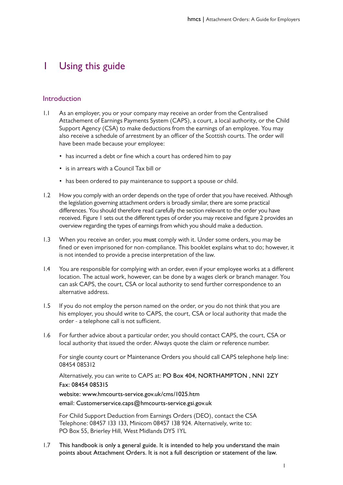# 1 Using this guide

#### Introduction

- 1.1 As an employer, you or your company may receive an order from the Centralised Attachement of Earnings Payments System (CAPS), a court, a local authority, or the Child Support Agency (CSA) to make deductions from the earnings of an employee. You may also receive a schedule of arrestment by an officer of the Scottish courts. The order will have been made because your employee:
	- has incurred a debt or fine which a court has ordered him to pay
	- is in arrears with a Council Tax bill or
	- has been ordered to pay maintenance to support a spouse or child.
- 1.2 How you comply with an order depends on the type of order that you have received. Although the legislation governing attachment orders is broadly similar, there are some practical differences. You should therefore read carefully the section relevant to the order you have received. Figure 1 sets out the different types of order you may receive and figure 2 provides an overview regarding the types of earnings from which you should make a deduction.
- 1.3 When you receive an order, you must comply with it. Under some orders, you may be fined or even imprisoned for non-compliance. This booklet explains what to do; however, it is not intended to provide a precise interpretation of the law.
- 1.4 You are responsible for complying with an order, even if your employee works at a different location. The actual work, however, can be done by a wages clerk or branch manager. You can ask CAPS, the court, CSA or local authority to send further correspondence to an alternative address.
- 1.5 If you do not employ the person named on the order, or you do not think that you are his employer, you should write to CAPS, the court, CSA or local authority that made the order - a telephone call is not sufficient.
- 1.6 For further advice about a particular order, you should contact CAPS, the court, CSA or local authority that issued the order. Always quote the claim or reference number.

 For single county court or Maintenance Orders you should call CAPS telephone help line: 08454 085312

 Alternatively, you can write to CAPS at: PO Box 404, NORTHAMPTON , NN1 2ZY Fax: 08454 085315

website:<www.hmcourts-service.gov.uk/cms/1025.htm>

email: [Customerservice.caps@hmcourts-service.gsi.gov.uk](mailto:customerservice.caps@hmcourts-service.gsi.gov.uk)

 For Child Support Deduction from Earnings Orders (DEO), contact the CSA Telephone: 08457 133 133, Minicom 08457 138 924. Alternatively, write to: PO Box 55, Brierley Hill, West Midlands DY5 1YL

1.7 This handbook is only a general guide. It is intended to help you understand the main points about Attachment Orders. It is not a full description or statement of the law.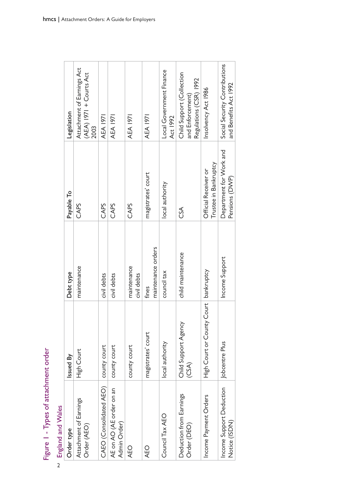| Attachment of Earnings Act<br>Local Government Finance<br>Child Support (Collection<br>$(AEA)$ 1971 + Courts Act<br>Regulations (CSR) 1992<br>and Benefits Act 1992<br>Insolvency Act 1986<br>and Enforcement)<br>Legislation<br><b>AEA 1971</b><br><b>AEA 1971</b><br><b>AEA 1971</b><br>AEA 1971<br>Act 1992<br>2003<br>Department for Work and<br>Trustee in Bankruptcy<br>Official Receiver or<br>magistrates' court<br>Pensions (DWP)<br>local authority<br>Payable To<br>CAPS<br>CAPS<br>CAPS<br>CAPS<br>SS<br>maintenance orders<br>child maintenance<br>Income Support<br>maintenance<br>maintenance<br>High Court or County Court   bankruptcy<br>council tax<br>Debt type<br>civil debts<br>civil debts<br>civil debts<br>fines<br>Child Support Agency<br>magistrates' court<br>Jobcentre Plus<br>local authority<br>county court<br>county court<br>county court<br>High Court<br>Issued By<br>(CSA)<br>Income Support Deduction<br>CAEO (Consolidated AEO)<br>AE on AO (AE order on an<br>Deduction from Earnings<br>Income Payment Orders<br>Attachment of Earnings<br>England and Wales<br>Council Tax AEO<br>Notice (ISDN)<br>Admin Order)<br>Order (DEO)<br>Order (AEO)<br>Order type<br>AEO<br>AEO<br>$\overline{2}$ | Figure 1 - Types of attachment order |  |                               |  |
|----------------------------------------------------------------------------------------------------------------------------------------------------------------------------------------------------------------------------------------------------------------------------------------------------------------------------------------------------------------------------------------------------------------------------------------------------------------------------------------------------------------------------------------------------------------------------------------------------------------------------------------------------------------------------------------------------------------------------------------------------------------------------------------------------------------------------------------------------------------------------------------------------------------------------------------------------------------------------------------------------------------------------------------------------------------------------------------------------------------------------------------------------------------------------------------------------------------------------------------|--------------------------------------|--|-------------------------------|--|
|                                                                                                                                                                                                                                                                                                                                                                                                                                                                                                                                                                                                                                                                                                                                                                                                                                                                                                                                                                                                                                                                                                                                                                                                                                        |                                      |  |                               |  |
|                                                                                                                                                                                                                                                                                                                                                                                                                                                                                                                                                                                                                                                                                                                                                                                                                                                                                                                                                                                                                                                                                                                                                                                                                                        |                                      |  |                               |  |
|                                                                                                                                                                                                                                                                                                                                                                                                                                                                                                                                                                                                                                                                                                                                                                                                                                                                                                                                                                                                                                                                                                                                                                                                                                        |                                      |  |                               |  |
|                                                                                                                                                                                                                                                                                                                                                                                                                                                                                                                                                                                                                                                                                                                                                                                                                                                                                                                                                                                                                                                                                                                                                                                                                                        |                                      |  |                               |  |
|                                                                                                                                                                                                                                                                                                                                                                                                                                                                                                                                                                                                                                                                                                                                                                                                                                                                                                                                                                                                                                                                                                                                                                                                                                        |                                      |  |                               |  |
|                                                                                                                                                                                                                                                                                                                                                                                                                                                                                                                                                                                                                                                                                                                                                                                                                                                                                                                                                                                                                                                                                                                                                                                                                                        |                                      |  |                               |  |
|                                                                                                                                                                                                                                                                                                                                                                                                                                                                                                                                                                                                                                                                                                                                                                                                                                                                                                                                                                                                                                                                                                                                                                                                                                        |                                      |  |                               |  |
|                                                                                                                                                                                                                                                                                                                                                                                                                                                                                                                                                                                                                                                                                                                                                                                                                                                                                                                                                                                                                                                                                                                                                                                                                                        |                                      |  |                               |  |
|                                                                                                                                                                                                                                                                                                                                                                                                                                                                                                                                                                                                                                                                                                                                                                                                                                                                                                                                                                                                                                                                                                                                                                                                                                        |                                      |  |                               |  |
|                                                                                                                                                                                                                                                                                                                                                                                                                                                                                                                                                                                                                                                                                                                                                                                                                                                                                                                                                                                                                                                                                                                                                                                                                                        |                                      |  |                               |  |
|                                                                                                                                                                                                                                                                                                                                                                                                                                                                                                                                                                                                                                                                                                                                                                                                                                                                                                                                                                                                                                                                                                                                                                                                                                        |                                      |  | Social Security Contributions |  |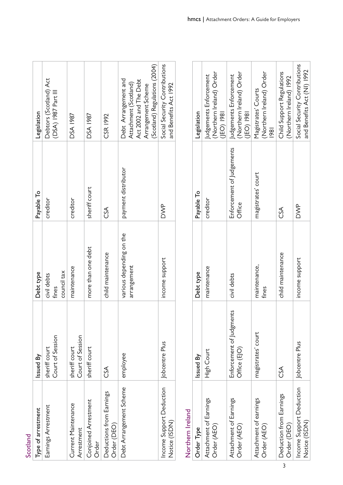| Type of arrestment                        | Issued By                         | Debt type                               | Payable To          | -egislation                                                                                                                   |
|-------------------------------------------|-----------------------------------|-----------------------------------------|---------------------|-------------------------------------------------------------------------------------------------------------------------------|
| Earnings Arrestment                       | Court of Session<br>sheriff court | council tax<br>civil debts<br>fines     | creditor            | Debtors (Scotland) Act<br>(DSA) 1987 Part III                                                                                 |
| Current Maintenance<br>Arrestment         | Court of Session<br>sheriff court | maintenance                             | creditor            | <b>1861 YSC</b>                                                                                                               |
| Conjoined Arrestment<br>Order             | sheriff court                     | more than one debt                      | sheriff court       | DSA 1987                                                                                                                      |
| Deductions from Earnings<br>Order (DEO)   | SSA                               | child maintenance                       | SS                  | CSR 1992                                                                                                                      |
| Debt Arrangement Scheme                   | employee                          | various depending on the<br>arrangement | payment distributor | (Scotland) Regulations (2004)<br>Debt Arrangement and<br>Act 2002 and The Debt<br>Attachment (Scotland)<br>Arrangement Scheme |
| Income Support Deduction<br>Notice (ISDN) | Jobcentre Plus                    | income support                          | DWP                 | Social Security Contributions<br>and Benefits Act 1992                                                                        |
|                                           |                                   |                                         |                     |                                                                                                                               |

# Northern Ireland Northern Ireland

| DITBD II II DITD INN I                                   |                                          |                       |                                     |                                                                      |
|----------------------------------------------------------|------------------------------------------|-----------------------|-------------------------------------|----------------------------------------------------------------------|
| Order Type                                               | Issued By                                | Debt type             | Payable To                          | -egislation                                                          |
| Attachment of Earnings<br>Order (AEO)                    | High Court                               | maintenance           | creditor                            | (Northern Ireland) Order<br>udgements Enforcement<br>$JEO$   98      |
| Attachment of Earnings<br>Order (AEO)                    | Enforcement of Judgments<br>Office (EJO) | civil debts           | Enforcement of Judgements<br>Office | (Northern Ireland) Order<br>Judgements Enforcement<br>$JEO$ ) $1981$ |
| Attachment of earnings<br>Order (AEO)                    | magistrates' court                       | maintenance,<br>fines | magistrates' court                  | (Northern Ireland) Order<br>Magistrates' Courts<br>$\frac{8}{6}$     |
| Deduction from Earnings<br>Order (DEO)<br>$\overline{3}$ | SS                                       | child maintenance     | ζ<br>Ο                              | Child Support Regulations<br>(Northern Ireland) 1992                 |
| Income Support Deduction<br>Notice (ISDN)                | Jobcentre Plus                           | income support        | <b>DWP</b>                          | Social Security Contributions<br>and Benefits Act (NI) 1992          |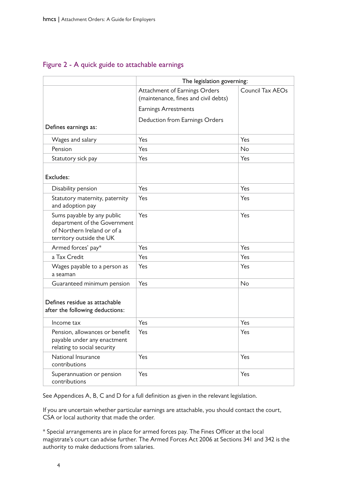# Figure 2 - A quick guide to attachable earnings

|                                                                                                                       | The legislation governing:                                            |                  |
|-----------------------------------------------------------------------------------------------------------------------|-----------------------------------------------------------------------|------------------|
|                                                                                                                       | Attachment of Earnings Orders<br>(maintenance, fines and civil debts) | Council Tax AEOs |
|                                                                                                                       | <b>Earnings Arrestments</b>                                           |                  |
|                                                                                                                       | Deduction from Earnings Orders                                        |                  |
| Defines earnings as:                                                                                                  |                                                                       |                  |
| Wages and salary                                                                                                      | Yes                                                                   | Yes              |
| Pension                                                                                                               | Yes                                                                   | No               |
| Statutory sick pay                                                                                                    | Yes                                                                   | Yes              |
| Excludes:                                                                                                             |                                                                       |                  |
| Disability pension                                                                                                    | Yes                                                                   | Yes              |
| Statutory maternity, paternity<br>and adoption pay                                                                    | Yes                                                                   | Yes              |
| Sums payable by any public<br>department of the Government<br>of Northern Ireland or of a<br>territory outside the UK | Yes                                                                   | Yes              |
| Armed forces' pay*                                                                                                    | Yes                                                                   | Yes              |
| a Tax Credit                                                                                                          | Yes                                                                   | Yes              |
| Wages payable to a person as<br>a seaman                                                                              | Yes                                                                   | Yes              |
| Guaranteed minimum pension                                                                                            | Yes                                                                   | No               |
| Defines residue as attachable<br>after the following deductions:                                                      |                                                                       |                  |
| Income tax                                                                                                            | Yes                                                                   | Yes              |
| Pension, allowances or benefit<br>payable under any enactment<br>relating to social security                          | Yes                                                                   | Yes              |
| National Insurance<br>contributions                                                                                   | Yes                                                                   | Yes              |
| Superannuation or pension<br>contributions                                                                            | Yes                                                                   | Yes              |

See Appendices A, B, C and D for a full definition as given in the relevant legislation.

If you are uncertain whether particular earnings are attachable, you should contact the court, CSA or local authority that made the order.

\* Special arrangements are in place for armed forces pay. The Fines Officer at the local magistrate's court can advise further. The Armed Forces Act 2006 at Sections 341 and 342 is the authority to make deductions from salaries.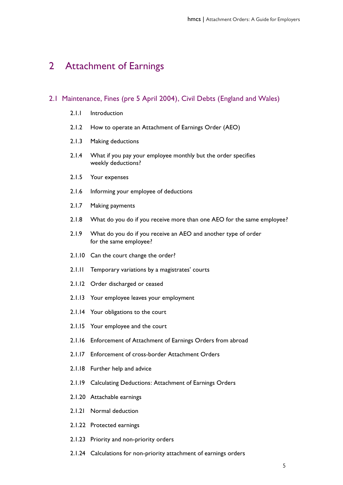# 2 Attachment of Earnings

#### 2.1 Maintenance, Fines (pre 5 April 2004), Civil Debts (England and Wales)

- 2.1.1 Introduction
- 2.1.2 How to operate an Attachment of Earnings Order (AEO)
- 2.1.3 Making deductions
- 2.1.4 What if you pay your employee monthly but the order specifies weekly deductions?
- 2.1.5 Your expenses
- 2.1.6 Informing your employee of deductions
- 2.1.7 Making payments
- 2.1.8 What do you do if you receive more than one AEO for the same employee?
- 2.1.9 What do you do if you receive an AEO and another type of order for the same employee?
- 2.1.10 Can the court change the order?
- 2.1.11 Temporary variations by a magistrates' courts
- 2.1.12 Order discharged or ceased
- 2.1.13 Your employee leaves your employment
- 2.1.14 Your obligations to the court
- 2.1.15 Your employee and the court
- 2.1.16 Enforcement of Attachment of Earnings Orders from abroad
- 2.1.17 Enforcement of cross-border Attachment Orders
- 2.1.18 Further help and advice
- 2.1.19 Calculating Deductions: Attachment of Earnings Orders
- 2.1.20 Attachable earnings
- 2.1.21 Normal deduction
- 2.1.22 Protected earnings
- 2.1.23 Priority and non-priority orders
- 2.1.24 Calculations for non-priority attachment of earnings orders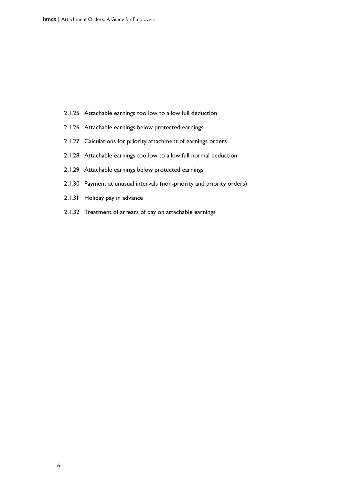- 2.1.25 Attachable earnings too low to allow full deduction
- 2.1.26 Attachable earnings below protected earnings
- 2.1.27 Calculations for priority attachment of earnings orders
- 2.1.28 Attachable earnings too low to allow full normal deduction
- 2.1.29 Attachable earnings below protected earnings
- 2.1.30 Payment at unusual intervals (non-priority and priority orders)
- 2.1.31 Holiday pay in advance
- 2.1.32 Treatment of arrears of pay on attachable earnings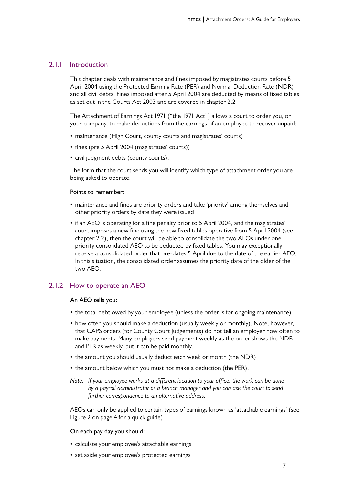#### 2.1.1 Introduction

This chapter deals with maintenance and fines imposed by magistrates courts before 5 April 2004 using the Protected Earning Rate (PER) and Normal Deduction Rate (NDR) and all civil debts. Fines imposed after 5 April 2004 are deducted by means of fixed tables as set out in the Courts Act 2003 and are covered in chapter 2.2

 The Attachment of Earnings Act 1971 ("the 1971 Act") allows a court to order you, or your company, to make deductions from the earnings of an employee to recover unpaid:

- maintenance (High Court, county courts and magistrates' courts)
- fines (pre 5 April 2004 (magistrates' courts))
- civil judgment debts (county courts).

 The form that the court sends you will identify which type of attachment order you are being asked to operate.

#### Points to remember:

- maintenance and fines are priority orders and take 'priority' among themselves and other priority orders by date they were issued
- if an AEO is operating for a fine penalty prior to 5 April 2004, and the magistrates' court imposes a new fine using the new fixed tables operative from 5 April 2004 (see chapter 2.2), then the court will be able to consolidate the two AEOs under one priority consolidated AEO to be deducted by fixed tables. You may exceptionally receive a consolidated order that pre-dates 5 April due to the date of the earlier AEO. In this situation, the consolidated order assumes the priority date of the older of the two AEO.

#### 2.1.2 How to operate an AEO

#### An AEO tells you:

- the total debt owed by your employee (unless the order is for ongoing maintenance)
- how often you should make a deduction (usually weekly or monthly). Note, however, that CAPS orders (for County Court Judgements) do not tell an employer how often to make payments. Many employers send payment weekly as the order shows the NDR and PER as weekly, but it can be paid monthly.
- the amount you should usually deduct each week or month (the NDR)
- the amount below which you must not make a deduction (the PER).
- *Note: If your employee works at a different location to your office, the work can be done by a payroll administrator or a branch manager and you can ask the court to send further correspondence to an alternative address.*

 AEOs can only be applied to certain types of earnings known as 'attachable earnings' (see Figure 2 on page 4 for a quick guide).

#### On each pay day you should:

- calculate your employee's attachable earnings
- set aside your employee's protected earnings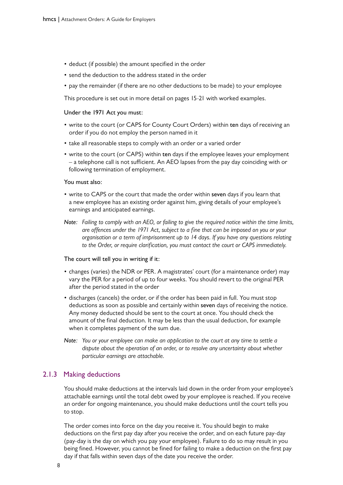- deduct (if possible) the amount specified in the order
- send the deduction to the address stated in the order
- pay the remainder (if there are no other deductions to be made) to your employee

This procedure is set out in more detail on pages 15-21 with worked examples.

#### Under the 1971 Act you must:

- write to the court (or CAPS for County Court Orders) within ten days of receiving an order if you do not employ the person named in it
- take all reasonable steps to comply with an order or a varied order
- write to the court (or CAPS) within ten days if the employee leaves your employment – a telephone call is not sufficient. An AEO lapses from the pay day coinciding with or following termination of employment.

#### You must also:

- write to CAPS or the court that made the order within seven days if you learn that a new employee has an existing order against him, giving details of your employee's earnings and anticipated earnings.
- Note: Failing to comply with an AEO, or failing to give the required notice within the time limits, *are offences under the 1971 Act, subject to a fine that can be imposed on you or your organisation or a term of imprisonment up to 14 days. If you have any questions relating to the Order, or require clarification, you must contact the court or CAPS immediately.*

#### The court will tell you in writing if it:

- changes (varies) the NDR or PER. A magistrates' court (for a maintenance order) may vary the PER for a period of up to four weeks. You should revert to the original PER after the period stated in the order
- discharges (cancels) the order, or if the order has been paid in full. You must stop deductions as soon as possible and certainly within seven days of receiving the notice. Any money deducted should be sent to the court at once. You should check the amount of the final deduction. It may be less than the usual deduction, for example when it completes payment of the sum due.
- *Note: You or your employee can make an application to the court at any time to settle a dispute about the operation of an order, or to resolve any uncertainty about whether particular earnings are attachable.*

#### 2.1.3 Making deductions

You should make deductions at the intervals laid down in the order from your employee's attachable earnings until the total debt owed by your employee is reached. If you receive an order for ongoing maintenance, you should make deductions until the court tells you to stop.

The order comes into force on the day you receive it. You should begin to make deductions on the first pay day after you receive the order, and on each future pay-day (pay-day is the day on which you pay your employee). Failure to do so may result in you being fined. However, you cannot be fined for failing to make a deduction on the first pay day if that falls within seven days of the date you receive the order.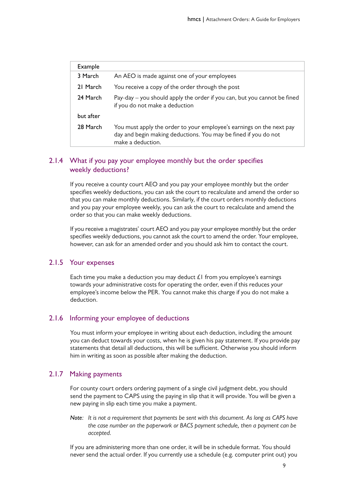| Example   |                                                                                                                                                              |
|-----------|--------------------------------------------------------------------------------------------------------------------------------------------------------------|
| 3 March   | An AEO is made against one of your employees                                                                                                                 |
| 21 March  | You receive a copy of the order through the post                                                                                                             |
| 24 March  | Pay-day – you should apply the order if you can, but you cannot be fined<br>if you do not make a deduction                                                   |
| but after |                                                                                                                                                              |
| 28 March  | You must apply the order to your employee's earnings on the next pay<br>day and begin making deductions. You may be fined if you do not<br>make a deduction. |

# 2.1.4 What if you pay your employee monthly but the order specifies weekly deductions?

If you receive a county court AEO and you pay your employee monthly but the order specifies weekly deductions, you can ask the court to recalculate and amend the order so that you can make monthly deductions. Similarly, if the court orders monthly deductions and you pay your employee weekly, you can ask the court to recalculate and amend the order so that you can make weekly deductions.

If you receive a magistrates' court AEO and you pay your employee monthly but the order specifies weekly deductions, you cannot ask the court to amend the order. Your employee, however, can ask for an amended order and you should ask him to contact the court.

#### 2.1.5 Your expenses

Each time you make a deduction you may deduct  $E1$  from you employee's earnings towards your administrative costs for operating the order, even if this reduces your employee's income below the PER. You cannot make this charge if you do not make a deduction.

## 2.1.6 Informing your employee of deductions

You must inform your employee in writing about each deduction, including the amount you can deduct towards your costs, when he is given his pay statement. If you provide pay statements that detail all deductions, this will be sufficient. Otherwise you should inform him in writing as soon as possible after making the deduction.

## 2.1.7 Making payments

For county court orders ordering payment of a single civil judgment debt, you should send the payment to CAPS using the paying in slip that it will provide. You will be given a new paying in slip each time you make a payment.

*Note: It is not a requirement that payments be sent with this document. As long as CAPS have the case number on the paperwork or BACS payment schedule, then a payment can be accepted.*

If you are administering more than one order, it will be in schedule format. You should never send the actual order. If you currently use a schedule (e.g. computer print out) you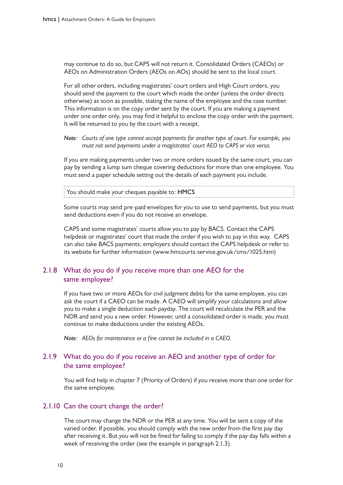may continue to do so, but CAPS will not return it. Consolidated Orders (CAEOs) or AEOs on Administration Orders (AEOs on AOs) should be sent to the local court.

For all other orders, including magistrates' court orders and High Court orders, you should send the payment to the court which made the order (unless the order directs otherwise) as soon as possible, stating the name of the employee and the case number. This information is on the copy order sent by the court. If you are making a payment under one order only, you may find it helpful to enclose the copy order with the payment. It will be returned to you by the court with a receipt.

*Note: Courts of one type cannot accept payments for another type of court. For example, you must not send payments under a magistrates' court AEO to CAPS or vice versa.*

If you are making payments under two or more orders issued by the same court, you can pay by sending a lump sum cheque covering deductions for more than one employee. You must send a paper schedule setting out the details of each payment you include.

You should make your cheques payable to: HMCS

Some courts may send pre-paid envelopes for you to use to send payments, but you must send deductions even if you do not receive an envelope.

CAPS and some magistrates' courts allow you to pay by BACS. Contact the CAPS helpdesk or magistrates' court that made the order if you wish to pay in this way. CAPS can also take BACS payments; employers should contact the CAPS helpdesk or refer to its website for further information [\(www.hmcourts-service.gov.uk/cms/1025.htm](www.hmcourts-service.gov.uk/cms/1025.htm))

## 2.1.8 What do you do if you receive more than one AEO for the same employee?

If you have two or more AEOs for civil judgment debts for the same employee, you can ask the court if a CAEO can be made. A CAEO will simplify your calculations and allow you to make a single deduction each payday. The court will recalculate the PER and the NDR and send you a new order. However, until a consolidated order is made, you must continue to make deductions under the existing AEOs.

*Note: AEOs for maintenance or a fine cannot be included in a CAEO.*

#### 2.1.9 What do you do if you receive an AEO and another type of order for the same employee?

You will find help in chapter 7 (Priority of Orders) if you receive more than one order for the same employee.

#### 2.1.10 Can the court change the order?

The court may change the NDR or the PER at any time. You will be sent a copy of the varied order. If possible, you should comply with the new order from the first pay day after receiving it. But you will not be fined for failing to comply if the pay day falls within a week of receiving the order (see the example in paragraph 2.1.3).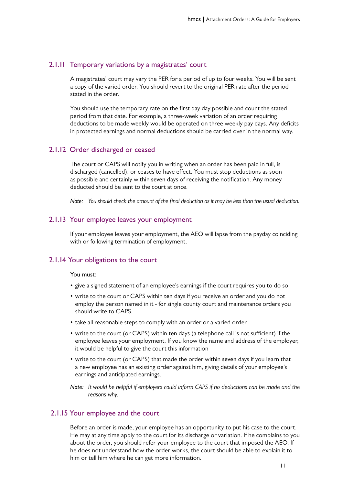#### 2.1.11 Temporary variations by a magistrates' court

A magistrates' court may vary the PER for a period of up to four weeks. You will be sent a copy of the varied order. You should revert to the original PER rate after the period stated in the order.

You should use the temporary rate on the first pay day possible and count the stated period from that date. For example, a three-week variation of an order requiring deductions to be made weekly would be operated on three weekly pay days. Any deficits in protected earnings and normal deductions should be carried over in the normal way.

#### 2.1.12 Order discharged or ceased

The court or CAPS will notify you in writing when an order has been paid in full, is discharged (cancelled), or ceases to have effect. You must stop deductions as soon as possible and certainly within seven days of receiving the notification. Any money deducted should be sent to the court at once.

Note: You should check the amount of the final deduction as it may be less than the usual deduction.

#### 2.1.13 Your employee leaves your employment

If your employee leaves your employment, the AEO will lapse from the payday coinciding with or following termination of employment.

#### 2.1.14 Your obligations to the court

#### You must:

- give a signed statement of an employee's earnings if the court requires you to do so
- write to the court or CAPS within ten days if you receive an order and you do not employ the person named in it - for single county court and maintenance orders you should write to CAPS.
- take all reasonable steps to comply with an order or a varied order
- write to the court (or CAPS) within ten days (a telephone call is not sufficient) if the employee leaves your employment. If you know the name and address of the employer, it would be helpful to give the court this information
- write to the court (or CAPS) that made the order within seven days if you learn that a new employee has an existing order against him, giving details of your employee's earnings and anticipated earnings.
- Note: It would be helpful if employers could inform CAPS if no deductions can be made and the *reasons why.*

#### 2.1.15 Your employee and the court

Before an order is made, your employee has an opportunity to put his case to the court. He may at any time apply to the court for its discharge or variation. If he complains to you about the order, you should refer your employee to the court that imposed the AEO. If he does not understand how the order works, the court should be able to explain it to him or tell him where he can get more information.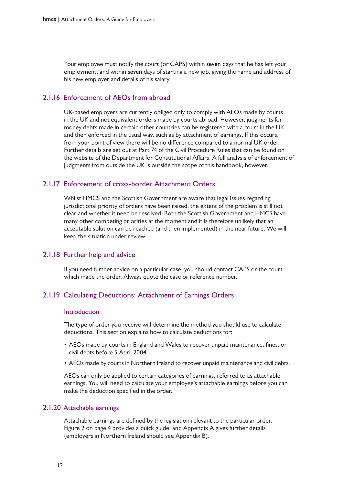Your employee must notify the court (or CAPS) within seven days that he has left your employment, and within seven days of starting a new job, giving the name and address of his new employer and details of his salary.

## 2.1.16 Enforcement of AEOs from abroad

UK-based employers are currently obliged only to comply with AEOs made by courts in the UK and not equivalent orders made by courts abroad. However, judgments for money debts made in certain other countries can be registered with a court in the UK and then enforced in the usual way, such as by attachment of earnings. If this occurs, from your point of view there will be no difference compared to a normal UK order. Further details are set out at Part 74 of the Civil Procedure Rules that can be found on the website of the Department for Constitutional Affairs. A full analysis of enforcement of judgments from outside the UK is outside the scope of this handbook, however.

## 2.1.17 Enforcement of cross-border Attachment Orders

Whilst HMCS and the Scottish Government are aware that legal issues regarding jurisdictional priority of orders have been raised, the extent of the problem is still not clear and whether it need be resolved. Both the Scottish Government and HMCS have many other competing priorities at the moment and it is therefore unlikely that an acceptable solution can be reached (and then implemented) in the near future. We will keep the situation under review.

#### 2.1.18 Further help and advice

If you need further advice on a particular case, you should contact CAPS or the court which made the order. Always quote the case or reference number.

#### 2.1.19 Calculating Deductions: Attachment of Earnings Orders

#### Introduction

The type of order you receive will determine the method you should use to calculate deductions. This section explains how to calculate deductions for:

- AEOs made by courts in England and Wales to recover unpaid maintenance, fines, or civil debts before 5 April 2004
- AEOs made by courts in Northern Ireland to recover unpaid maintenance and civil debts.

AEOs can only be applied to certain categories of earnings, referred to as attachable earnings. You will need to calculate your employee's attachable earnings before you can make the deduction specified in the order.

#### 2.1.20 Attachable earnings

Attachable earnings are defined by the legislation relevant to the particular order. Figure 2 on page 4 provides a quick guide, and Appendix A gives further details (employers in Northern Ireland should see Appendix B).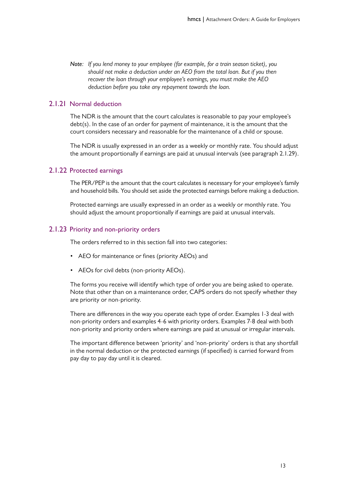*Note: If you lend money to your employee (for example, for a train season ticket), you should not make a deduction under an AEO from the total loan. But if you then recover the loan through your employee's earnings, you must make the AEO deduction before you take any repayment towards the loan.*

#### 2.1.21 Normal deduction

The NDR is the amount that the court calculates is reasonable to pay your employee's debt(s). In the case of an order for payment of maintenance, it is the amount that the court considers necessary and reasonable for the maintenance of a child or spouse.

The NDR is usually expressed in an order as a weekly or monthly rate. You should adjust the amount proportionally if earnings are paid at unusual intervals (see paragraph 2.1.29).

#### 2.1.22 Protected earnings

The PER/PEP is the amount that the court calculates is necessary for your employee's family and household bills. You should set aside the protected earnings before making a deduction.

Protected earnings are usually expressed in an order as a weekly or monthly rate. You should adjust the amount proportionally if earnings are paid at unusual intervals.

#### 2.1.23 Priority and non-priority orders

The orders referred to in this section fall into two categories:

- AEO for maintenance or fines (priority AEOs) and
- AEOs for civil debts (non-priority AEOs).

The forms you receive will identify which type of order you are being asked to operate. Note that other than on a maintenance order, CAPS orders do not specify whether they are priority or non-priority.

There are differences in the way you operate each type of order. Examples 1-3 deal with non-priority orders and examples 4-6 with priority orders. Examples 7-8 deal with both non-priority and priority orders where earnings are paid at unusual or irregular intervals.

The important difference between 'priority' and 'non-priority' orders is that any shortfall in the normal deduction or the protected earnings (if specified) is carried forward from pay day to pay day until it is cleared.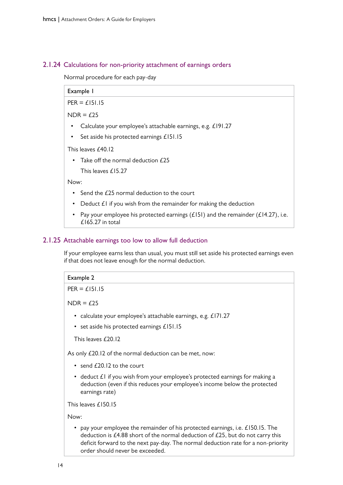#### 2.1.24 Calculations for non-priority attachment of earnings orders

Normal procedure for each pay-day

Example 1  $PER = \pounds151.15$  $NDR = f25$ • Calculate your employee's attachable earnings, e.g. £191.27 • Set aside his protected earnings £151.15 This leaves £40.12 • Take off the normal deduction  $£25$ This leaves £15.27 Now: • Send the £25 normal deduction to the court • Deduct  $E1$  if you wish from the remainder for making the deduction • Pay your employee his protected earnings  $(E151)$  and the remainder  $(E14.27)$ , i.e.  $£165.27$  in total

#### 2.1.25 Attachable earnings too low to allow full deduction

If your employee earns less than usual, you must still set aside his protected earnings even if that does not leave enough for the normal deduction.

#### Example 2

 $PER = \pounds151.15$ 

 $NDR = £25$ 

- calculate your employee's attachable earnings, e.g. £171.27
- set aside his protected earnings £151.15

This leaves £20.12

As only £20.12 of the normal deduction can be met, now:

- send £20.12 to the court
- deduct £1 if you wish from your employee's protected earnings for making a deduction (even if this reduces your employee's income below the protected earnings rate)

This leaves £150.15

Now:

• pay your employee the remainder of his protected earnings, i.e. £150.15. The deduction is £4.88 short of the normal deduction of £25, but do not carry this deficit forward to the next pay-day. The normal deduction rate for a non-priority order should never be exceeded.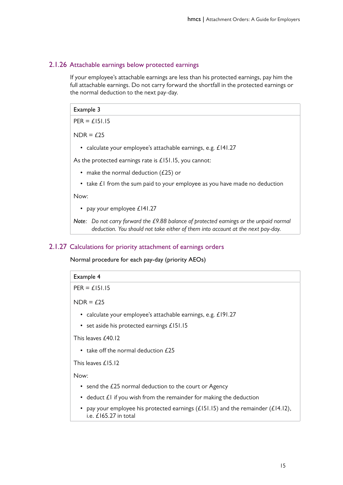#### 2.1.26 Attachable earnings below protected earnings

If your employee's attachable earnings are less than his protected earnings, pay him the full attachable earnings. Do not carry forward the shortfall in the protected earnings or the normal deduction to the next pay-day.

#### Example 3

 $PER = \pounds151.15$ 

 $NDR = £25$ 

• calculate your employee's attachable earnings, e.g. £141.27

As the protected earnings rate is £151.15, you cannot:

- make the normal deduction  $(£25)$  or
- take £1 from the sum paid to your employee as you have made no deduction

Now:

• pay your employee £141.27

*Note: Do not carry forward the £9.88 balance of protected earnings or the unpaid normal deduction. You should not take either of them into account at the next pay-day.*

#### 2.1.27 Calculations for priority attachment of earnings orders

Normal procedure for each pay-day (priority AEOs)

| Example 4                                                                                                        |
|------------------------------------------------------------------------------------------------------------------|
| $PFR = f151.15$                                                                                                  |
| $NDR = £25$                                                                                                      |
| • calculate your employee's attachable earnings, e.g. £191.27                                                    |
| • set aside his protected earnings £151.15                                                                       |
| This leaves $f$ 40.12                                                                                            |
| • take off the normal deduction $f25$                                                                            |
| This leaves $£15.12$                                                                                             |
| Now:                                                                                                             |
| • send the £25 normal deduction to the court or Agency                                                           |
| • deduct $E1$ if you wish from the remainder for making the deduction                                            |
| • pay your employee his protected earnings $(E151.15)$ and the remainder $(E14.12)$ ,<br>i.e. $£165.27$ in total |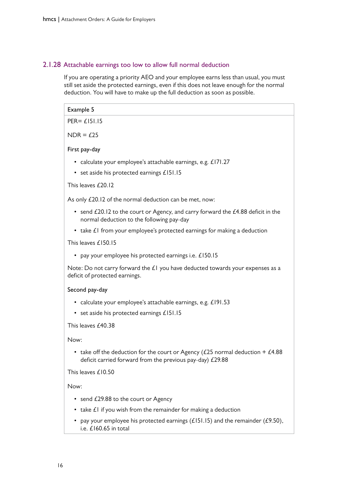#### 2.1.28 Attachable earnings too low to allow full normal deduction

If you are operating a priority AEO and your employee earns less than usual, you must still set aside the protected earnings, even if this does not leave enough for the normal deduction. You will have to make up the full deduction as soon as possible.

| cambie |
|--------|
|--------|

PER= £151.15

 $NDR = £25$ 

First pay-day

- calculate your employee's attachable earnings, e.g. £171.27
- set aside his protected earnings £151.15

#### This leaves £20.12

As only £20.12 of the normal deduction can be met, now:

- send £20.12 to the court or Agency, and carry forward the £4.88 deficit in the normal deduction to the following pay-day
- take £1 from your employee's protected earnings for making a deduction

This leaves £150.15

• pay your employee his protected earnings i.e. £150.15

Note: Do not carry forward the £1 you have deducted towards your expenses as a deficit of protected earnings.

#### Second pay-day

- calculate your employee's attachable earnings, e.g. £191.53
- set aside his protected earnings £151.15

This leaves £40.38

Now:

• take off the deduction for the court or Agency ( $£25$  normal deduction +  $£4.88$ deficit carried forward from the previous pay-day) £29.88

This leaves £10.50

Now:

- send £29.88 to the court or Agency
- take £1 if you wish from the remainder for making a deduction
- pay your employee his protected earnings  $(E151.15)$  and the remainder  $(E9.50)$ , i.e. £160.65 in total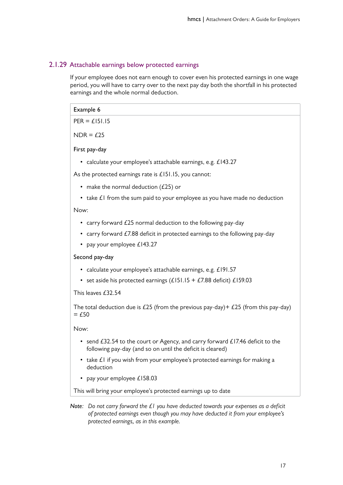#### 2.1.29 Attachable earnings below protected earnings

If your employee does not earn enough to cover even his protected earnings in one wage period, you will have to carry over to the next pay day both the shortfall in his protected earnings and the whole normal deduction.

#### Example 6

 $PER = £151.15$ 

 $NDR = £25$ 

First pay-day

• calculate your employee's attachable earnings, e.g. £143.27

As the protected earnings rate is £151.15, you cannot:

- make the normal deduction (£25) or
- take £1 from the sum paid to your employee as you have made no deduction

#### Now:

- carry forward £25 normal deduction to the following pay-day
- carry forward £7.88 deficit in protected earnings to the following pay-day
- pay your employee £143.27

#### Second pay-day

- calculate your employee's attachable earnings, e.g. £191.57
- set aside his protected earnings  $(E151.15 + E7.88$  deficit) £159.03

This leaves £32.54

The total deduction due is £25 (from the previous pay-day) + £25 (from this pay-day)  $=$  £50

Now:

- send £32.54 to the court or Agency, and carry forward £17.46 deficit to the following pay-day (and so on until the deficit is cleared)
- take £1 if you wish from your employee's protected earnings for making a deduction
- pay your employee £158.03

This will bring your employee's protected earnings up to date

*Note: Do not carry forward the £1 you have deducted towards your expenses as a deficit of protected earnings even though you may have deducted it from your employee's protected earnings, as in this example.*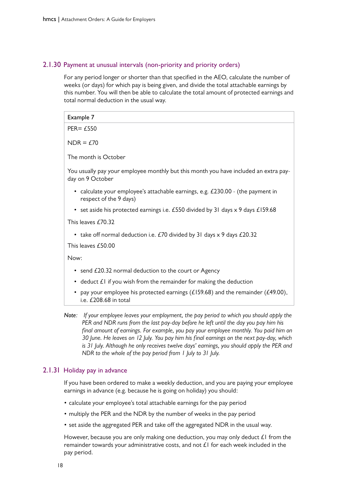#### 2.1.30 Payment at unusual intervals (non-priority and priority orders)

For any period longer or shorter than that specified in the AEO, calculate the number of weeks (or days) for which pay is being given, and divide the total attachable earnings by this number. You will then be able to calculate the total amount of protected earnings and total normal deduction in the usual way.

| Example 7                                                                                                 |
|-----------------------------------------------------------------------------------------------------------|
| $PER = £550$                                                                                              |
| $NDR = £70$                                                                                               |
| The month is October                                                                                      |
| You usually pay your employee monthly but this month you have included an extra pay-<br>day on 9 October  |
| • calculate your employee's attachable earnings, e.g. £230.00 - (the payment in<br>respect of the 9 days) |
| • set aside his protected earnings i.e. £550 divided by 31 days $\times$ 9 days £159.68                   |
| This leaves £70.32                                                                                        |
| • take off normal deduction i.e. £70 divided by 31 days x 9 days £20.32                                   |
| This leaves £50.00                                                                                        |
| Now:                                                                                                      |
| • send £20.32 normal deduction to the court or Agency                                                     |
| • deduct $E1$ if you wish from the remainder for making the deduction                                     |

• pay your employee his protected earnings ( $£159.68$ ) and the remainder ( $£49.00$ ), i.e.  $\neq 208.68$  in total

#### 2.1.31 Holiday pay in advance

If you have been ordered to make a weekly deduction, and you are paying your employee earnings in advance (e.g. because he is going on holiday) you should:

- calculate your employee's total attachable earnings for the pay period
- multiply the PER and the NDR by the number of weeks in the pay period
- set aside the aggregated PER and take off the aggregated NDR in the usual way.

However, because you are only making one deduction, you may only deduct £1 from the remainder towards your administrative costs, and not  $f$  for each week included in the pay period.

*Note: If your employee leaves your employment, the pay period to which you should apply the PER and NDR runs from the last pay-day before he left until the day you pay him his final amount of earnings. For example, you pay your employee monthly. You paid him on 30 June. He leaves on 12 July. You pay him his final earnings on the next pay-day, which is 31 July. Although he only receives twelve days' earnings, you should apply the PER and NDR to the whole of the pay period from 1 July to 31 July.*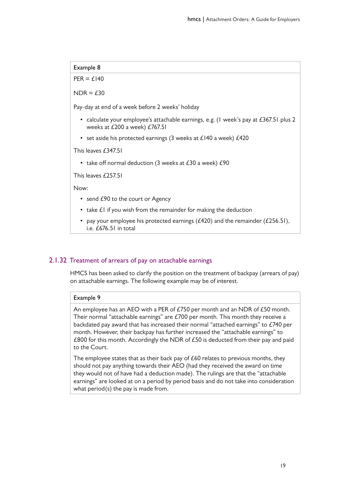Example 8  $PER = £140$  $NDR = f30$ Pay-day at end of a week before 2 weeks' holiday • calculate your employee's attachable earnings, e.g. (1 week's pay at £367.51 plus 2 weeks at £200 a week) £767.51 • set aside his protected earnings (3 weeks at £140 a week) £420 This leaves £347.51 • take off normal deduction (3 weeks at £30 a week) £90 This leaves £257.51 Now: • send £90 to the court or Agency • take £1 if you wish from the remainder for making the deduction • pay your employee his protected earnings ( $£420$ ) and the remainder ( $£256.51$ ), i.e. £676.51 in total

#### 2.1.32 Treatment of arrears of pay on attachable earnings

HMCS has been asked to clarify the position on the treatment of backpay (arrears of pay) on attachable earnings. The following example may be of interest.

#### Example 9

An employee has an AEO with a PER of £750 per month and an NDR of £50 month. Their normal "attachable earnings" are £700 per month. This month they receive a backdated pay award that has increased their normal "attached earnings" to £740 per month. However, their backpay has further increased the "attachable earnings" to £800 for this month. Accordingly the NDR of £50 is deducted from their pay and paid to the Court.

The employee states that as their back pay of  $£60$  relates to previous months, they should not pay anything towards their AEO (had they received the award on time they would not of have had a deduction made). The rulings are that the "attachable earnings" are looked at on a period by period basis and do not take into consideration what period(s) the pay is made from.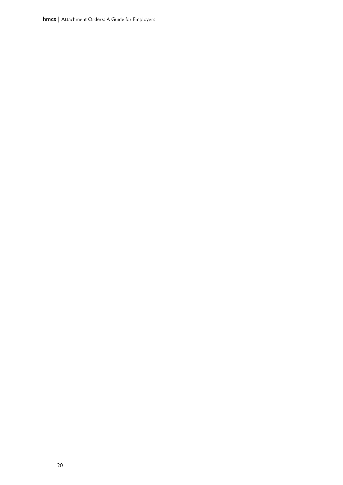hmcs | Attachment Orders: A Guide for Employers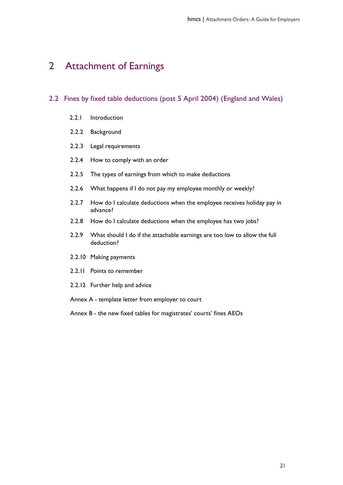# 2 Attachment of Earnings

#### 2.2 Fines by fixed table deductions (post 5 April 2004) (England and Wales)

- 2.2.1 Introduction
- 2.2.2 Background
- 2.2.3 Legal requirements
- 2.2.4 How to comply with an order
- 2.2.5 The types of earnings from which to make deductions
- 2.2.6 What happens if I do not pay my employee monthly or weekly?
- 2.2.7 How do I calculate deductions when the employee receives holiday pay in advance?
- 2.2.8 How do I calculate deductions when the employee has two jobs?
- 2.2.9 What should I do if the attachable earnings are too low to allow the full deduction?
- 2.2.10 Making payments
- 2.2.11 Points to remember
- 2.2.12 Further help and advice
- Annex A template letter from employer to court
- Annex B the new fixed tables for magistrates' courts' fines AEOs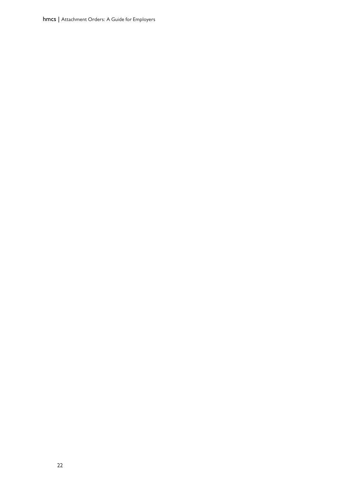hmcs | Attachment Orders: A Guide for Employers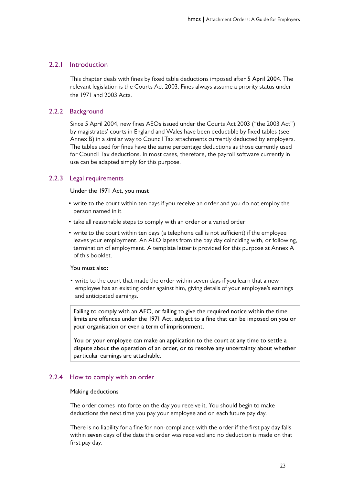## 2.2.1 Introduction

This chapter deals with fines by fixed table deductions imposed after 5 April 2004. The relevant legislation is the Courts Act 2003. Fines always assume a priority status under the 1971 and 2003 Acts.

#### 2.2.2 Background

Since 5 April 2004, new fines AEOs issued under the Courts Act 2003 ("the 2003 Act") by magistrates' courts in England and Wales have been deductible by fixed tables (see Annex B) in a similar way to Council Tax attachments currently deducted by employers. The tables used for fines have the same percentage deductions as those currently used for Council Tax deductions. In most cases, therefore, the payroll software currently in use can be adapted simply for this purpose.

#### 2.2.3 Legal requirements

#### Under the 1971 Act, you must

- write to the court within ten days if you receive an order and you do not employ the person named in it
- take all reasonable steps to comply with an order or a varied order
- write to the court within ten days (a telephone call is not sufficient) if the employee leaves your employment. An AEO lapses from the pay day coinciding with, or following, termination of employment. A template letter is provided for this purpose at Annex A of this booklet.

#### You must also:

• write to the court that made the order within seven days if you learn that a new employee has an existing order against him, giving details of your employee's earnings and anticipated earnings.

Failing to comply with an AEO, or failing to give the required notice within the time limits are offences under the 1971 Act, subject to a fine that can be imposed on you or your organisation or even a term of imprisonment.

You or your employee can make an application to the court at any time to settle a dispute about the operation of an order, or to resolve any uncertainty about whether particular earnings are attachable.

#### 2.2.4 How to comply with an order

#### Making deductions

The order comes into force on the day you receive it. You should begin to make deductions the next time you pay your employee and on each future pay day.

There is no liability for a fine for non-compliance with the order if the first pay day falls within seven days of the date the order was received and no deduction is made on that first pay day.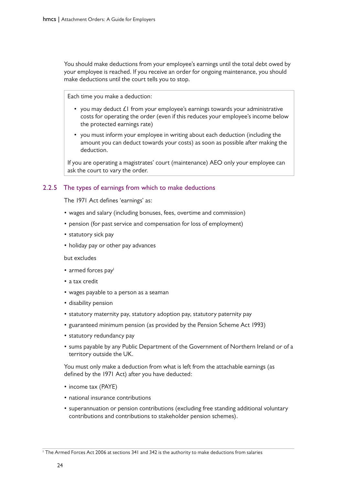You should make deductions from your employee's earnings until the total debt owed by your employee is reached. If you receive an order for ongoing maintenance, you should make deductions until the court tells you to stop.

Each time you make a deduction:

- you may deduct £1 from your employee's earnings towards your administrative costs for operating the order (even if this reduces your employee's income below the protected earnings rate)
- you must inform your employee in writing about each deduction (including the amount you can deduct towards your costs) as soon as possible after making the deduction.

If you are operating a magistrates' court (maintenance) AEO only your employee can ask the court to vary the order.

#### 2.2.5 The types of earnings from which to make deductions

The 1971 Act defines 'earnings' as:

- wages and salary (including bonuses, fees, overtime and commission)
- pension (for past service and compensation for loss of employment)
- statutory sick pay
- holiday pay or other pay advances

but excludes

- armed forces pay<sup>1</sup>
- a tax credit
- wages payable to a person as a seaman
- disability pension
- statutory maternity pay, statutory adoption pay, statutory paternity pay
- guaranteed minimum pension (as provided by the Pension Scheme Act 1993)
- statutory redundancy pay
- sums payable by any Public Department of the Government of Northern Ireland or of a territory outside the UK.

You must only make a deduction from what is left from the attachable earnings (as defined by the 1971 Act) after you have deducted:

- income tax (PAYE)
- national insurance contributions
- superannuation or pension contributions (excluding free standing additional voluntary contributions and contributions to stakeholder pension schemes).

<sup>1</sup> The Armed Forces Act 2006 at sections 341 and 342 is the authority to make deductions from salaries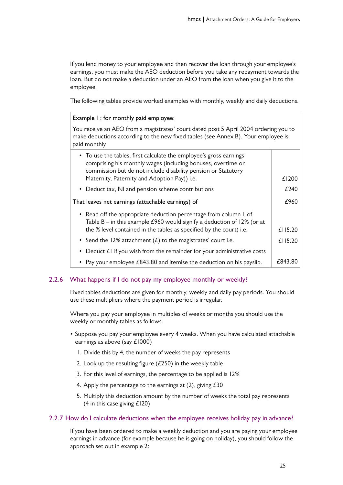If you lend money to your employee and then recover the loan through your employee's earnings, you must make the AEO deduction before you take any repayment towards the loan. But do not make a deduction under an AEO from the loan when you give it to the employee.

The following tables provide worked examples with monthly, weekly and daily deductions.

#### Example 1: for monthly paid employee:

You receive an AEO from a magistrates' court dated post 5 April 2004 ordering you to make deductions according to the new fixed tables (see Annex B). Your employee is paid monthly

| • To use the tables, first calculate the employee's gross earnings<br>comprising his monthly wages (including bonuses, overtime or<br>commission but do not include disability pension or Statutory<br>Maternity, Paternity and Adoption Pay)) i.e. | £1200      |
|-----------------------------------------------------------------------------------------------------------------------------------------------------------------------------------------------------------------------------------------------------|------------|
| • Deduct tax, NI and pension scheme contributions                                                                                                                                                                                                   | £240       |
| That leaves net earnings (attachable earnings) of                                                                                                                                                                                                   | £960       |
| • Read off the appropriate deduction percentage from column 1 of<br>Table B – in this example £960 would signify a deduction of $12\%$ (or at<br>the % level contained in the tables as specified by the court) i.e.                                | $£$ II5.20 |
| • Send the 12% attachment $(E)$ to the magistrates' court i.e.                                                                                                                                                                                      | $£$ II5.20 |
| • Deduct £1 if you wish from the remainder for your administrative costs                                                                                                                                                                            |            |
| • Pay your employee £843.80 and itemise the deduction on his payslip.                                                                                                                                                                               | £843.80    |

#### 2.2.6 What happens if I do not pay my employee monthly or weekly?

Fixed tables deductions are given for monthly, weekly and daily pay periods. You should use these multipliers where the payment period is irregular.

Where you pay your employee in multiples of weeks or months you should use the weekly or monthly tables as follows.

- Suppose you pay your employee every 4 weeks. When you have calculated attachable earnings as above (say £1000)
	- 1. Divide this by 4, the number of weeks the pay represents
	- 2. Look up the resulting figure  $(£250)$  in the weekly table
	- 3. For this level of earnings, the percentage to be applied is 12%
	- 4. Apply the percentage to the earnings at  $(2)$ , giving £30
	- 5. Multiply this deduction amount by the number of weeks the total pay represents (4 in this case giving £120)

#### 2.2.7 How do I calculate deductions when the employee receives holiday pay in advance?

If you have been ordered to make a weekly deduction and you are paying your employee earnings in advance (for example because he is going on holiday), you should follow the approach set out in example 2: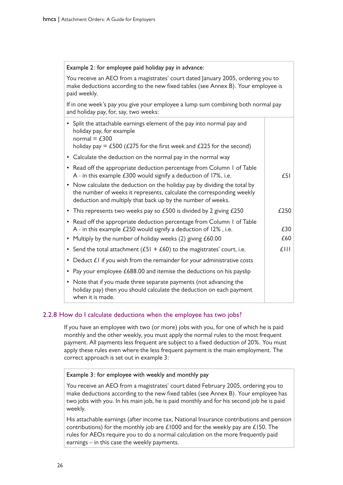#### Example 2: for employee paid holiday pay in advance:

You receive an AEO from a magistrates' court dated January 2005, ordering you to make deductions according to the new fixed tables (see Annex B). Your employee is paid weekly.

If in one week's pay you give your employee a lump sum combining both normal pay and holiday pay, for, say, two weeks:

| • Split the attachable earnings element of the pay into normal pay and<br>holiday pay, for example<br>normal = $£300$<br>holiday pay = £500 (£275 for the first week and £225 for the second)                     |      |
|-------------------------------------------------------------------------------------------------------------------------------------------------------------------------------------------------------------------|------|
| • Calculate the deduction on the normal pay in the normal way                                                                                                                                                     |      |
| • Read off the appropriate deduction percentage from Column 1 of Table<br>A - in this example $£300$ would signify a deduction of $17\%$ , i.e.                                                                   | £51. |
| • Now calculate the deduction on the holiday pay by dividing the total by<br>the number of weeks it represents, calculate the corresponding weekly<br>deduction and multiply that back up by the number of weeks. |      |
| • This represents two weeks pay so £500 is divided by 2 giving $£250$                                                                                                                                             | £250 |
| • Read off the appropriate deduction percentage from Column 1 of Table<br>A - in this example $£250$ would signify a deduction of $12\%$ , i.e.                                                                   | £30  |
| • Multiply by the number of holiday weeks $(2)$ giving £60.00                                                                                                                                                     | £60  |
| • Send the total attachment $(£51 + £60)$ to the magistrates' court, i.e.                                                                                                                                         | £III |
| • Deduct £1 if you wish from the remainder for your administrative costs                                                                                                                                          |      |
| • Pay your employee £688.00 and itemise the deductions on his payslip                                                                                                                                             |      |
| • Note that if you made three separate payments (not advancing the<br>holiday pay) then you should calculate the deduction on each payment<br>when it is made.                                                    |      |

#### 2.2.8 How do I calculate deductions when the employee has two jobs?

If you have an employee with two (or more) jobs with you, for one of which he is paid monthly and the other weekly, you must apply the normal rules to the most frequent payment. All payments less frequent are subject to a fixed deduction of 20%. You must apply these rules even where the less frequent payment is the main employment. The correct approach is set out in example 3:

#### Example 3: for employee with weekly and monthly pay

You receive an AEO from a magistrates' court dated February 2005, ordering you to make deductions according to the new fixed tables (see Annex B). Your employee has two jobs with you. In his main job, he is paid monthly and for his second job he is paid weekly.

His attachable earnings (after income tax, National Insurance contributions and pension contributions) for the monthly job are £1000 and for the weekly pay are £150. The rules for AEOs require you to do a normal calculation on the more frequently paid earnings – in this case the weekly payments.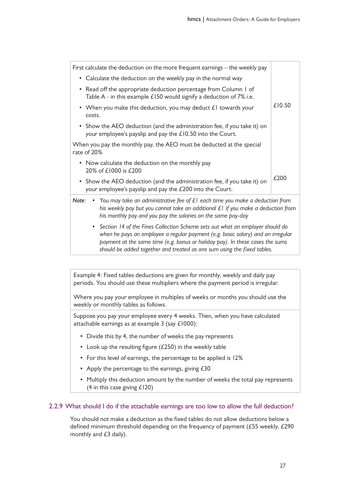| First calculate the deduction on the more frequent earnings – the weekly pay                                                                                                                                                                                                                                                   |        |
|--------------------------------------------------------------------------------------------------------------------------------------------------------------------------------------------------------------------------------------------------------------------------------------------------------------------------------|--------|
| • Calculate the deduction on the weekly pay in the normal way                                                                                                                                                                                                                                                                  |        |
| • Read off the appropriate deduction percentage from Column 1 of<br>Table A - in this example $£150$ would signify a deduction of $7\%$ i.e.                                                                                                                                                                                   |        |
| • When you make this deduction, you may deduct £I towards your<br>costs.                                                                                                                                                                                                                                                       | £10.50 |
| • Show the AEO deduction (and the administration fee, if you take it) on<br>your employee's payslip and pay the £10.50 into the Court.                                                                                                                                                                                         |        |
| When you pay the monthly pay, the AEO must be deducted at the special<br>rate of 20%                                                                                                                                                                                                                                           |        |
| • Now calculate the deduction on the monthly pay<br>20% of £1000 is £200                                                                                                                                                                                                                                                       |        |
| • Show the AEO deduction (and the administration fee, if you take it) on<br>your employee's payslip and pay the £200 into the Court.                                                                                                                                                                                           | £200   |
| • You may take an administrative fee of £1 each time you make a deduction from<br>Note:<br>his weekly pay but you cannot take an additional £1 if you make a deduction from<br>his monthly pay and you pay the salaries on the same pay-day                                                                                    |        |
| • Section 14 of the Fines Collection Scheme sets out what an employer should do<br>when he pays an employee a regular payment (e.g. basic salary) and an irregular<br>payment at the same time (e.g. bonus or holiday pay). In these cases the sums<br>should be added together and treated as one sum using the fixed tables. |        |
|                                                                                                                                                                                                                                                                                                                                |        |

Example 4: Fixed tables deductions are given for monthly, weekly and daily pay periods. You should use these multipliers where the payment period is irregular.

Where you pay your employee in multiples of weeks or months you should use the weekly or monthly tables as follows.

Suppose you pay your employee every 4 weeks. Then, when you have calculated attachable earnings as at example 3 (say £1000):

- Divide this by 4, the number of weeks the pay represents
- Look up the resulting figure (£250) in the weekly table
- For this level of earnings, the percentage to be applied is 12%
- Apply the percentage to the earnings, giving  $£30$
- Multiply this deduction amount by the number of weeks the total pay represents (4 in this case giving £120)

#### 2.2.9 What should I do if the attachable earnings are too low to allow the full deduction?

You should not make a deduction as the fixed tables do not allow deductions below a defined minimum threshold depending on the frequency of payment (£55 weekly, £290 monthly and £3 daily).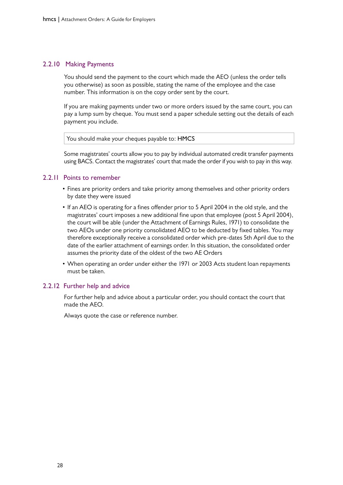#### 2.2.10 Making Payments

You should send the payment to the court which made the AEO (unless the order tells you otherwise) as soon as possible, stating the name of the employee and the case number. This information is on the copy order sent by the court.

If you are making payments under two or more orders issued by the same court, you can pay a lump sum by cheque. You must send a paper schedule setting out the details of each payment you include.

You should make your cheques payable to: HMCS

Some magistrates' courts allow you to pay by individual automated credit transfer payments using BACS. Contact the magistrates' court that made the order if you wish to pay in this way.

#### 2.2.11 Points to remember

- Fines are priority orders and take priority among themselves and other priority orders by date they were issued
- If an AEO is operating for a fines offender prior to 5 April 2004 in the old style, and the magistrates' court imposes a new additional fine upon that employee (post 5 April 2004), the court will be able (under the Attachment of Earnings Rules, 1971) to consolidate the two AEOs under one priority consolidated AEO to be deducted by fixed tables. You may therefore exceptionally receive a consolidated order which pre-dates 5th April due to the date of the earlier attachment of earnings order. In this situation, the consolidated order assumes the priority date of the oldest of the two AE Orders
- When operating an order under either the 1971 or 2003 Acts student loan repayments must be taken.

#### 2.2.12 Further help and advice

For further help and advice about a particular order, you should contact the court that made the AEO.

Always quote the case or reference number.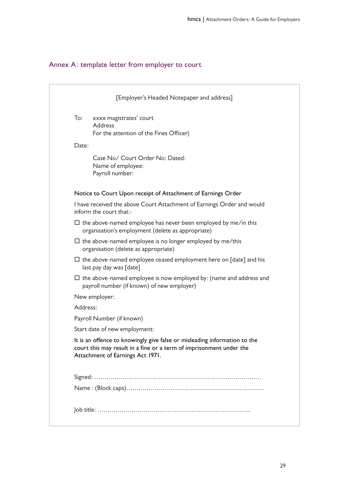# Annex A: template letter from employer to court

|          | [Employer's Headed Notepaper and address]                                                                                                                                            |
|----------|--------------------------------------------------------------------------------------------------------------------------------------------------------------------------------------|
| To:      | xxxx magistrates' court                                                                                                                                                              |
|          | Address<br>For the attention of the Fines Officer)                                                                                                                                   |
| Date:    |                                                                                                                                                                                      |
|          | Case No/ Court Order No: Dated:<br>Name of employee:<br>Payroll number:                                                                                                              |
|          | Notice to Court Upon receipt of Attachment of Earnings Order                                                                                                                         |
|          | I have received the above Court Attachment of Earnings Order and would<br>inform the court that:-                                                                                    |
|          | $\Box$ the above-named employee has never been employed by me/in this<br>organisation's employment (delete as appropriate)                                                           |
|          | $\Box$ the above-named employee is no longer employed by me/this<br>organisation (delete as appropriate)                                                                             |
|          | $\Box$ the above-named employee ceased employment here on [date] and his<br>last pay day was [date]                                                                                  |
|          | $\Box$ the above-named employee is now employed by: (name and address and<br>payroll number (if known) of new employer)                                                              |
|          | New employer:                                                                                                                                                                        |
| Address: |                                                                                                                                                                                      |
|          | Payroll Number (if known)                                                                                                                                                            |
|          | Start date of new employment:                                                                                                                                                        |
|          | It is an offence to knowingly give false or misleading information to the<br>court this may result in a fine or a term of imprisonment under the<br>Attachment of Earnings Act 1971. |
|          |                                                                                                                                                                                      |
|          |                                                                                                                                                                                      |
|          |                                                                                                                                                                                      |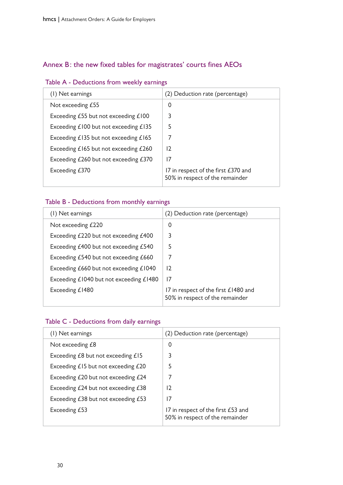# Annex B: the new fixed tables for magistrates' courts fines AEOs

# Table A - Deductions from weekly earnings

| (1) Net earnings                          | (2) Deduction rate (percentage)                                        |
|-------------------------------------------|------------------------------------------------------------------------|
| Not exceeding £55                         | 0                                                                      |
| Exceeding £55 but not exceeding £100      | 3                                                                      |
| Exceeding £100 but not exceeding £135     | 5                                                                      |
| Exceeding $£135$ but not exceeding $£165$ | 7                                                                      |
| Exceeding £165 but not exceeding £260     | 12                                                                     |
| Exceeding £260 but not exceeding £370     | 17                                                                     |
| Exceeding £370                            | 17 in respect of the first £370 and<br>50% in respect of the remainder |

# Table B - Deductions from monthly earnings

| (1) Net earnings                        | (2) Deduction rate (percentage)                                         |
|-----------------------------------------|-------------------------------------------------------------------------|
| Not exceeding £220                      | 0                                                                       |
| Exceeding £220 but not exceeding £400   | 3                                                                       |
| Exceeding £400 but not exceeding £540   | 5                                                                       |
| Exceeding £540 but not exceeding £660   | 7                                                                       |
| Exceeding £660 but not exceeding £1040  | $\overline{2}$                                                          |
| Exceeding £1040 but not exceeding £1480 | 17                                                                      |
| Exceeding £1480                         | 17 in respect of the first £1480 and<br>50% in respect of the remainder |

# Table C - Deductions from daily earnings

| (1) Net earnings                        | (2) Deduction rate (percentage)                                       |
|-----------------------------------------|-----------------------------------------------------------------------|
| Not exceeding £8                        | 0                                                                     |
| Exceeding £8 but not exceeding £15      | 3                                                                     |
| Exceeding $£15$ but not exceeding $£20$ | 5                                                                     |
| Exceeding £20 but not exceeding £24     | 7                                                                     |
| Exceeding £24 but not exceeding £38     | $\overline{2}$                                                        |
| Exceeding £38 but not exceeding £53     | $\overline{17}$                                                       |
| Exceeding £53                           | 17 in respect of the first £53 and<br>50% in respect of the remainder |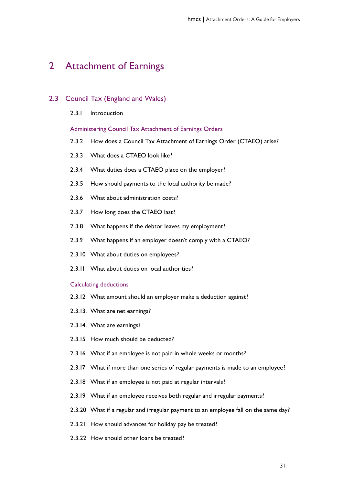# 2 Attachment of Earnings

### 2.3 Council Tax (England and Wales)

#### 2.3.1 Introduction

#### Administering Council Tax Attachment of Earnings Orders

- 2.3.2 How does a Council Tax Attachment of Earnings Order (CTAEO) arise?
- 2.3.3 What does a CTAFO look like?
- 2.3.4 What duties does a CTAEO place on the employer?
- 2.3.5 How should payments to the local authority be made?
- 2.3.6 What about administration costs?
- 2.3.7 How long does the CTAEO last?
- 2.3.8 What happens if the debtor leaves my employment?
- 2.3.9 What happens if an employer doesn't comply with a CTAEO?
- 2.3.10 What about duties on employees?
- 2.3.11 What about duties on local authorities?

#### Calculating deductions

- 2.3.12 What amount should an employer make a deduction against?
- 2.3.13. What are net earnings?
- 2.3.14. What are earnings?
- 2.3.15 How much should be deducted?
- 2.3.16 What if an employee is not paid in whole weeks or months?
- 2.3.17 What if more than one series of regular payments is made to an employee?
- 2.3.18 What if an employee is not paid at regular intervals?
- 2.3.19 What if an employee receives both regular and irregular payments?
- 2.3.20 What if a regular and irregular payment to an employee fall on the same day?
- 2.3.21 How should advances for holiday pay be treated?
- 2.3.22 How should other loans be treated?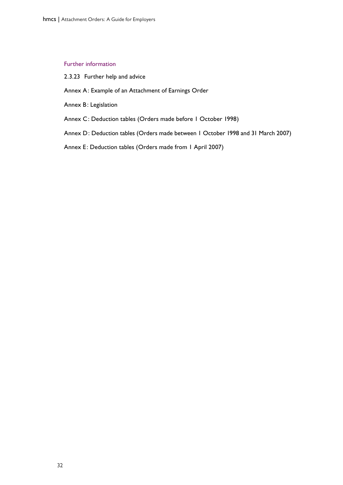#### Further information

2.3.23 Further help and advice

Annex A: Example of an Attachment of Earnings Order

Annex B: Legislation

Annex C: Deduction tables (Orders made before 1 October 1998)

Annex D: Deduction tables (Orders made between 1 October 1998 and 31 March 2007)

Annex E: Deduction tables (Orders made from 1 April 2007)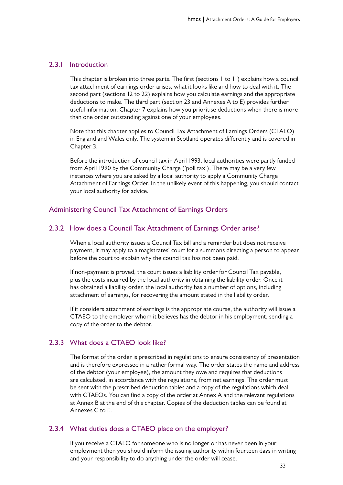### 2.3.1 Introduction

This chapter is broken into three parts. The first (sections 1 to 11) explains how a council tax attachment of earnings order arises, what it looks like and how to deal with it. The second part (sections 12 to 22) explains how you calculate earnings and the appropriate deductions to make. The third part (section 23 and Annexes A to E) provides further useful information. Chapter 7 explains how you prioritise deductions when there is more than one order outstanding against one of your employees.

Note that this chapter applies to Council Tax Attachment of Earnings Orders (CTAEO) in England and Wales only. The system in Scotland operates differently and is covered in Chapter 3.

Before the introduction of council tax in April 1993, local authorities were partly funded from April 1990 by the Community Charge ('poll tax'). There may be a very few instances where you are asked by a local authority to apply a Community Charge Attachment of Earnings Order. In the unlikely event of this happening, you should contact your local authority for advice.

### Administering Council Tax Attachment of Earnings Orders

### 2.3.2 How does a Council Tax Attachment of Earnings Order arise?

When a local authority issues a Council Tax bill and a reminder but does not receive payment, it may apply to a magistrates' court for a summons directing a person to appear before the court to explain why the council tax has not been paid.

If non-payment is proved, the court issues a liability order for Council Tax payable, plus the costs incurred by the local authority in obtaining the liability order. Once it has obtained a liability order, the local authority has a number of options, including attachment of earnings, for recovering the amount stated in the liability order.

If it considers attachment of earnings is the appropriate course, the authority will issue a CTAEO to the employer whom it believes has the debtor in his employment, sending a copy of the order to the debtor.

### 2.3.3 What does a CTAEO look like?

The format of the order is prescribed in regulations to ensure consistency of presentation and is therefore expressed in a rather formal way. The order states the name and address of the debtor (your employee), the amount they owe and requires that deductions are calculated, in accordance with the regulations, from net earnings. The order must be sent with the prescribed deduction tables and a copy of the regulations which deal with CTAEOs. You can find a copy of the order at Annex A and the relevant regulations at Annex B at the end of this chapter. Copies of the deduction tables can be found at Annexes C to E.

### 2.3.4 What duties does a CTAEO place on the employer?

If you receive a CTAEO for someone who is no longer or has never been in your employment then you should inform the issuing authority within fourteen days in writing and your responsibility to do anything under the order will cease.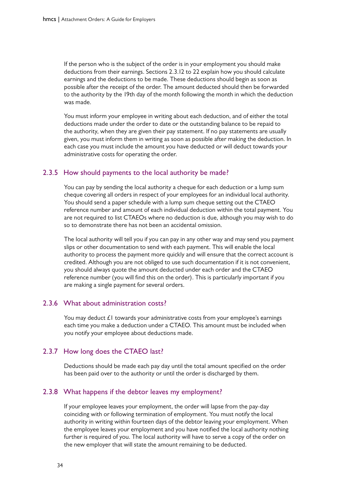If the person who is the subject of the order is in your employment you should make deductions from their earnings. Sections 2.3.12 to 22 explain how you should calculate earnings and the deductions to be made. These deductions should begin as soon as possible after the receipt of the order. The amount deducted should then be forwarded to the authority by the 19th day of the month following the month in which the deduction was made.

You must inform your employee in writing about each deduction, and of either the total deductions made under the order to date or the outstanding balance to be repaid to the authority, when they are given their pay statement. If no pay statements are usually given, you must inform them in writing as soon as possible after making the deduction. In each case you must include the amount you have deducted or will deduct towards your administrative costs for operating the order.

### 2.3.5 How should payments to the local authority be made?

You can pay by sending the local authority a cheque for each deduction or a lump sum cheque covering all orders in respect of your employees for an individual local authority. You should send a paper schedule with a lump sum cheque setting out the CTAEO reference number and amount of each individual deduction within the total payment. You are not required to list CTAEOs where no deduction is due, although you may wish to do so to demonstrate there has not been an accidental omission.

The local authority will tell you if you can pay in any other way and may send you payment slips or other documentation to send with each payment. This will enable the local authority to process the payment more quickly and will ensure that the correct account is credited. Although you are not obliged to use such documentation if it is not convenient, you should always quote the amount deducted under each order and the CTAEO reference number (you will find this on the order). This is particularly important if you are making a single payment for several orders.

### 2.3.6 What about administration costs?

You may deduct £1 towards your administrative costs from your employee's earnings each time you make a deduction under a CTAEO. This amount must be included when you notify your employee about deductions made.

### 2.3.7 How long does the CTAEO last?

Deductions should be made each pay day until the total amount specified on the order has been paid over to the authority or until the order is discharged by them.

### 2.3.8 What happens if the debtor leaves my employment?

If your employee leaves your employment, the order will lapse from the pay-day coinciding with or following termination of employment. You must notify the local authority in writing within fourteen days of the debtor leaving your employment. When the employee leaves your employment and you have notified the local authority nothing further is required of you. The local authority will have to serve a copy of the order on the new employer that will state the amount remaining to be deducted.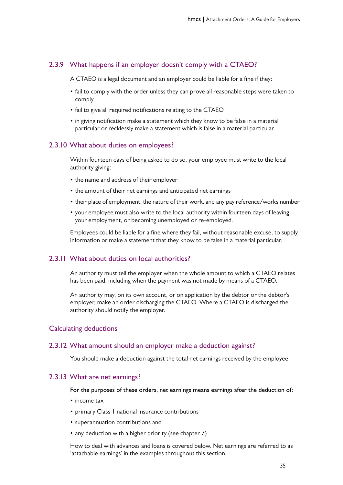## 2.3.9 What happens if an employer doesn't comply with a CTAEO?

A CTAEO is a legal document and an employer could be liable for a fine if they:

- fail to comply with the order unless they can prove all reasonable steps were taken to comply
- fail to give all required notifications relating to the CTAEO
- in giving notification make a statement which they know to be false in a material particular or recklessly make a statement which is false in a material particular.

### 2.3.10 What about duties on employees?

Within fourteen days of being asked to do so, your employee must write to the local authority giving:

- the name and address of their employer
- the amount of their net earnings and anticipated net earnings
- their place of employment, the nature of their work, and any pay reference/works number
- your employee must also write to the local authority within fourteen days of leaving your employment, or becoming unemployed or re-employed.

Employees could be liable for a fine where they fail, without reasonable excuse, to supply information or make a statement that they know to be false in a material particular.

### 2.3.11 What about duties on local authorities?

An authority must tell the employer when the whole amount to which a CTAEO relates has been paid, including when the payment was not made by means of a CTAEO.

An authority may, on its own account, or on application by the debtor or the debtor's employer, make an order discharging the CTAEO. Where a CTAEO is discharged the authority should notify the employer.

### Calculating deductions

#### 2.3.12 What amount should an employer make a deduction against?

You should make a deduction against the total net earnings received by the employee.

### 2.3.13 What are net earnings?

For the purposes of these orders, net earnings means earnings after the deduction of:

- income tax
- primary Class I national insurance contributions
- superannuation contributions and
- any deduction with a higher priority.(see chapter 7)

How to deal with advances and loans is covered below. Net earnings are referred to as 'attachable earnings' in the examples throughout this section.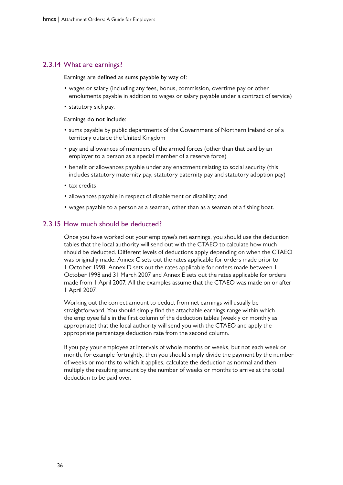## 2.3.14 What are earnings?

#### Earnings are defined as sums payable by way of:

- wages or salary (including any fees, bonus, commission, overtime pay or other emoluments payable in addition to wages or salary payable under a contract of service)
- statutory sick pay.

#### Earnings do not include:

- sums payable by public departments of the Government of Northern Ireland or of a territory outside the United Kingdom
- pay and allowances of members of the armed forces (other than that paid by an employer to a person as a special member of a reserve force)
- benefit or allowances payable under any enactment relating to social security (this includes statutory maternity pay, statutory paternity pay and statutory adoption pay)
- tax credits
- allowances payable in respect of disablement or disability; and
- wages payable to a person as a seaman, other than as a seaman of a fishing boat.

## 2.3.15 How much should be deducted?

Once you have worked out your employee's net earnings, you should use the deduction tables that the local authority will send out with the CTAEO to calculate how much should be deducted. Different levels of deductions apply depending on when the CTAEO was originally made. Annex C sets out the rates applicable for orders made prior to 1 October 1998. Annex D sets out the rates applicable for orders made between 1 October 1998 and 31 March 2007 and Annex E sets out the rates applicable for orders made from 1 April 2007. All the examples assume that the CTAEO was made on or after 1 April 2007.

Working out the correct amount to deduct from net earnings will usually be straightforward. You should simply find the attachable earnings range within which the employee falls in the first column of the deduction tables (weekly or monthly as appropriate) that the local authority will send you with the CTAEO and apply the appropriate percentage deduction rate from the second column.

If you pay your employee at intervals of whole months or weeks, but not each week or month, for example fortnightly, then you should simply divide the payment by the number of weeks or months to which it applies, calculate the deduction as normal and then multiply the resulting amount by the number of weeks or months to arrive at the total deduction to be paid over.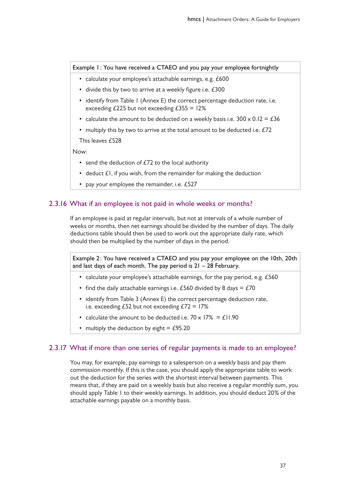Example 1: You have received a CTAEO and you pay your employee fortnightly

- calculate your employee's attachable earnings, e.g. £600
- divide this by two to arrive at a weekly figure i.e. £300
- identify from Table I (Annex E) the correct percentage deduction rate, i.e. exceeding  $£225$  but not exceeding  $£355 = 12\%$
- calculate the amount to be deducted on a weekly basis i.e.  $300 \times 0.12 = \text{\textsterling}36$
- multiply this by two to arrive at the total amount to be deducted i.e. £72

This leaves £528

Now:

- send the deduction of  $E$ 72 to the local authority
- deduct £1, if you wish, from the remainder for making the deduction
- pay your employee the remainder, i.e. £527

### 2.3.16 What if an employee is not paid in whole weeks or months?

If an employee is paid at regular intervals, but not at intervals of a whole number of weeks or months, then net earnings should be divided by the number of days. The daily deductions table should then be used to work out the appropriate daily rate, which should then be multiplied by the number of days in the period.

Example 2: You have received a CTAEO and you pay your employee on the 10th, 20th and last days of each month. The pay period is  $21 - 28$  February.

- calculate your employee's attachable earnings, for the pay period, e.g. £560
- find the daily attachable earnings i.e.  $£560$  divided by 8 days =  $£70$
- identify from Table 3 (Annex E) the correct percentage deduction rate, i.e. exceeding £52 but not exceeding  $£72 = 17\%$
- calculate the amount to be deducted i.e.  $70 \times 17\% = \pounds 11.90$
- multiply the deduction by eight =  $£95.20$

### 2.3.17 What if more than one series of regular payments is made to an employee?

You may, for example, pay earnings to a salesperson on a weekly basis and pay them commission monthly. If this is the case, you should apply the appropriate table to work out the deduction for the series with the shortest interval between payments. This means that, if they are paid on a weekly basis but also receive a regular monthly sum, you should apply Table 1 to their weekly earnings. In addition, you should deduct 20% of the attachable earnings payable on a monthly basis.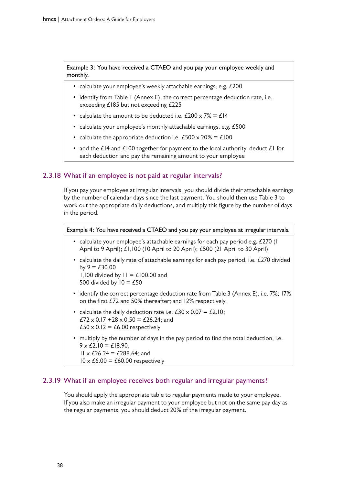Example 3: You have received a CTAEO and you pay your employee weekly and monthly.

- calculate your employee's weekly attachable earnings, e.g. £200
- identify from Table I (Annex E), the correct percentage deduction rate, i.e. exceeding £185 but not exceeding £225
- calculate the amount to be deducted i.e.  $£200 \times 7\% = £14$
- calculate your employee's monthly attachable earnings, e.g. £500
- calculate the appropriate deduction i.e.  $£500 \times 20\% = £100$
- add the  $£14$  and  $£100$  together for payment to the local authority, deduct  $£1$  for each deduction and pay the remaining amount to your employee

### 2.3.18 What if an employee is not paid at regular intervals?

If you pay your employee at irregular intervals, you should divide their attachable earnings by the number of calendar days since the last payment. You should then use Table 3 to work out the appropriate daily deductions, and multiply this figure by the number of days in the period.

Example 4: You have received a CTAEO and you pay your employee at irregular intervals.

- calculate your employee's attachable earnings for each pay period e.g. £270 (1 April to 9 April); £1,100 (10 April to 20 April); £500 (21 April to 30 April)
- calculate the daily rate of attachable earnings for each pay period, i.e. £270 divided by  $9 = £30.00$ 1,100 divided by  $II = \pounds 100.00$  and

500 divided by  $10 = \text{\pounds}50$ 

- identify the correct percentage deduction rate from Table 3 (Annex E), i.e. 7%; 17% on the first £72 and 50% thereafter; and 12% respectively.
- calculate the daily deduction rate i.e.  $£30 \times 0.07 = £2.10$ ;  $£72 \times 0.17 +28 \times 0.50 = £26.24$ ; and  $£50 \times 0.12 = £6.00$  respectively
- multiply by the number of days in the pay period to find the total deduction, i.e.  $9 \times 12.10 = 18.90$  $11 \times \text{\pounds}26.24 = \text{\pounds}288.64$ ; and
	- $10 \times £6.00 = £60.00$  respectively

### 2.3.19 What if an employee receives both regular and irregular payments?

You should apply the appropriate table to regular payments made to your employee. If you also make an irregular payment to your employee but not on the same pay day as the regular payments, you should deduct 20% of the irregular payment.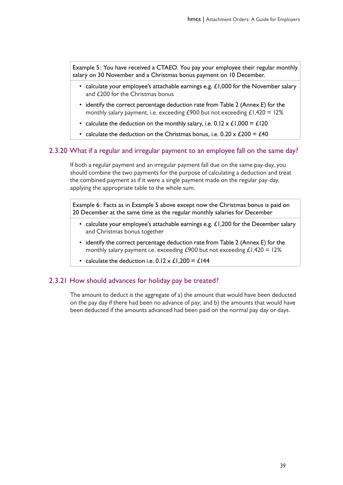Example 5 : You have received a CTAEO. You pay your employee their regular monthly salary on 30 November and a Christmas bonus payment on 10 December.

- calculate your employee's attachable earnings e.g.  $£1,000$  for the November salary and £200 for the Christmas bonus
- $\cdot$  identify the correct percentage deduction rate from Table 2 (Annex E) for the monthly salary payment, i.e. exceeding £900 but not exceeding £1,420 = 12%
- calculate the deduction on the monthly salary, i.e.  $0.12 \times \angle 1,000 = \angle 120$
- calculate the deduction on the Christmas bonus, i.e.  $0.20 \times £200 = £40$

### 2.3.20 What if a regular and irregular payment to an employee fall on the same day?

If both a regular payment and an irregular payment fall due on the same pay-day, you should combine the two payments for the purpose of calculating a deduction and treat the combined payment as if it were a single payment made on the regular pay-day, applying the appropriate table to the whole sum.

Example 6: Facts as in Example 5 above except now the Christmas bonus is paid on 20 December at the same time as the regular monthly salaries for December

- calculate your employee's attachable earnings e.g.  $£1,200$  for the December salary and Christmas bonus together
- $\cdot$  identify the correct percentage deduction rate from Table 2 (Annex E) for the monthly salary payment i.e. exceeding £900 but not exceeding  $£1,420 = 12\%$
- calculate the deduction i.e.  $0.12 \times \pounds1,200 = \pounds144$

### 2.3.21 How should advances for holiday pay be treated?

The amount to deduct is the aggregate of a) the amount that would have been deducted on the pay day if there had been no advance of pay; and b) the amounts that would have been deducted if the amounts advanced had been paid on the normal pay day or days.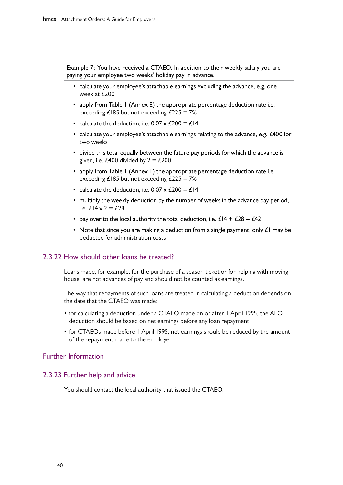Example 7: You have received a CTAEO. In addition to their weekly salary you are paying your employee two weeks' holiday pay in advance.

- calculate your employee's attachable earnings excluding the advance, e.g. one week at £200
- apply from Table  $\overline{1}$  (Annex E) the appropriate percentage deduction rate i.e. exceeding £185 but not exceeding  $£225 = 7%$
- calculate the deduction, i.e.  $0.07 \times \text{\pounds}200 = \text{\pounds}14$
- calculate your employee's attachable earnings relating to the advance, e.g. £400 for two weeks
- divide this total equally between the future pay periods for which the advance is given, i.e.  $£400$  divided by  $2 = £200$
- apply from Table 1 (Annex E) the appropriate percentage deduction rate i.e. exceeding £185 but not exceeding  $£225 = 7\%$
- calculate the deduction, i.e.  $0.07 \times £200 = £14$
- multiply the weekly deduction by the number of weeks in the advance pay period, i.e.  $£14 \times 2 = £28$
- pay over to the local authority the total deduction, i.e.  $\angle 14 + \angle 28 = \angle 42$
- Note that since you are making a deduction from a single payment, only  $E1$  may be deducted for administration costs

### 2.3.22 How should other loans be treated?

Loans made, for example, for the purchase of a season ticket or for helping with moving house, are not advances of pay and should not be counted as earnings.

The way that repayments of such loans are treated in calculating a deduction depends on the date that the CTAEO was made:

- for calculating a deduction under a CTAEO made on or after 1 April 1995, the AEO deduction should be based on net earnings before any loan repayment
- for CTAEOs made before 1 April 1995, net earnings should be reduced by the amount of the repayment made to the employer.

### Further Information

### 2.3.23 Further help and advice

You should contact the local authority that issued the CTAEO.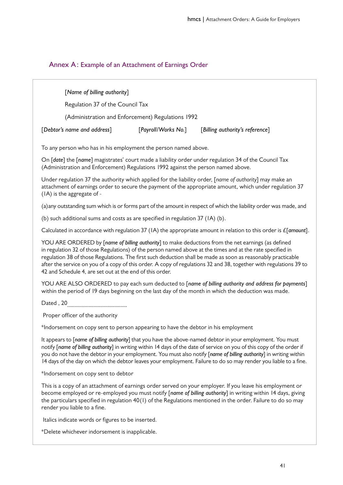### Annex A: Example of an Attachment of Earnings Order

[*Name of billing authority*] Regulation 37 of the Council Tax (Administration and Enforcement) Regulations 1992 [*Debtor's name and address*] [*Payroll/Works No.*] [*Billing authority's reference*] To any person who has in his employment the person named above. On [*date*] the [*name*] magistrates' court made a liability order under regulation 34 of the Council Tax (Administration and Enforcement) Regulations 1992 against the person named above. Under regulation 37 the authority which applied for the liability order, [*name of authority*] may make an attachment of earnings order to secure the payment of the appropriate amount, which under regulation 37 (1A) is the aggregate of - (a)any outstanding sum which is or forms part of the amount in respect of which the liability order was made, and (b) such additional sums and costs as are specified in regulation 37 (1A) (b). Calculated in accordance with regulation 37 (1A) the appropriate amount in relation to this order is £[*amount*]. YOU ARE ORDERED by [*name of billing authority*] to make deductions from the net earnings (as defined in regulation 32 of those Regulations) of the person named above at the times and at the rate specified in regulation 38 of those Regulations. The first such deduction shall be made as soon as reasonably practicable after the service on you of a copy of this order. A copy of regulations 32 and 38, together with regulations 39 to 42 and Schedule 4, are set out at the end of this order. YOU ARE ALSO ORDERED to pay each sum deducted to [*name of billing authority and address for payments*] within the period of 19 days beginning on the last day of the month in which the deduction was made. Dated , 20........................................... Proper officer of the authority \*Indorsement on copy sent to person appearing to have the debtor in his employment It appears to [*name of billing authority*] that you have the above-named debtor in your employment. You must

notify [*name of billing authority*] in writing within 14 days of the date of service on you of this copy of the order if you do not have the debtor in your employment. You must also notify [*name of billing authority*] in writing within 14 days of the day on which the debtor leaves your employment. Failure to do so may render you liable to a fine.

\*Indorsement on copy sent to debtor

This is a copy of an attachment of earnings order served on your employer. If you leave his employment or become employed or re-employed you must notify [*name of billing authority*] in writing within 14 days, giving the particulars specified in regulation 40(1) of the Regulations mentioned in the order. Failure to do so may render you liable to a fine.

Italics indicate words or figures to be inserted.

\*Delete whichever indorsement is inapplicable.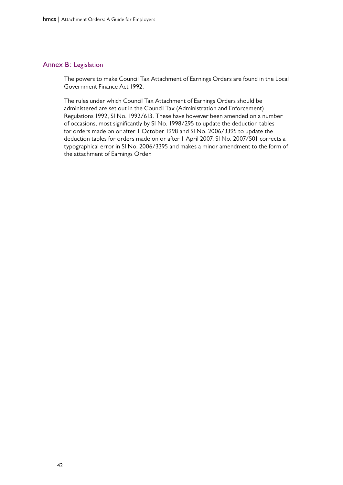### Annex B: Legislation

The powers to make Council Tax Attachment of Earnings Orders are found in the Local Government Finance Act 1992.

The rules under which Council Tax Attachment of Earnings Orders should be administered are set out in the Council Tax (Administration and Enforcement) Regulations 1992, SI No. 1992/613. These have however been amended on a number of occasions, most significantly by SI No. 1998/295 to update the deduction tables for orders made on or after 1 October 1998 and SI No. 2006/3395 to update the deduction tables for orders made on or after 1 April 2007. SI No. 2007/501 corrects a typographical error in SI No. 2006/3395 and makes a minor amendment to the form of the attachment of Earnings Order.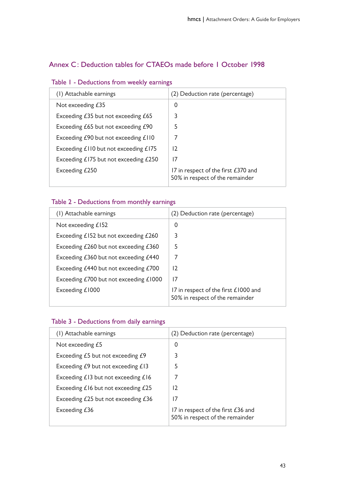# Annex C: Deduction tables for CTAEOs made before 1 October 1998

# Table 1 - Deductions from weekly earnings

| (I) Attachable earnings                    | (2) Deduction rate (percentage)                                        |
|--------------------------------------------|------------------------------------------------------------------------|
| Not exceeding £35                          | 0                                                                      |
| Exceeding £35 but not exceeding £65        | 3                                                                      |
| Exceeding £65 but not exceeding £90        | 5                                                                      |
| Exceeding $E$ 90 but not exceeding $E$ 110 | 7                                                                      |
| Exceeding £110 but not exceeding £175      | 12                                                                     |
| Exceeding £175 but not exceeding £250      | 17                                                                     |
| Exceeding £250                             | 17 in respect of the first £370 and<br>50% in respect of the remainder |

# Table 2 - Deductions from monthly earnings

| (I) Attachable earnings                   | (2) Deduction rate (percentage)                                         |
|-------------------------------------------|-------------------------------------------------------------------------|
| Not exceeding $£152$                      | 0                                                                       |
| Exceeding $£152$ but not exceeding $£260$ | 3                                                                       |
| Exceeding £260 but not exceeding £360     | 5                                                                       |
| Exceeding £360 but not exceeding £440     | 7                                                                       |
| Exceeding £440 but not exceeding £700     | 12                                                                      |
| Exceeding £700 but not exceeding £1000    | 17                                                                      |
| Exceeding £1000                           | 17 in respect of the first £1000 and<br>50% in respect of the remainder |

# Table 3 - Deductions from daily earnings

| (1) Attachable earnings                 | (2) Deduction rate (percentage)                                       |
|-----------------------------------------|-----------------------------------------------------------------------|
| Not exceeding $£5$                      | 0                                                                     |
| Exceeding £5 but not exceeding £9       | 3                                                                     |
| Exceeding £9 but not exceeding £13      | 5                                                                     |
| Exceeding £13 but not exceeding £16     | 7                                                                     |
| Exceeding $£16$ but not exceeding $£25$ | 12                                                                    |
| Exceeding £25 but not exceeding £36     | 17                                                                    |
| Exceeding £36                           | 17 in respect of the first £36 and<br>50% in respect of the remainder |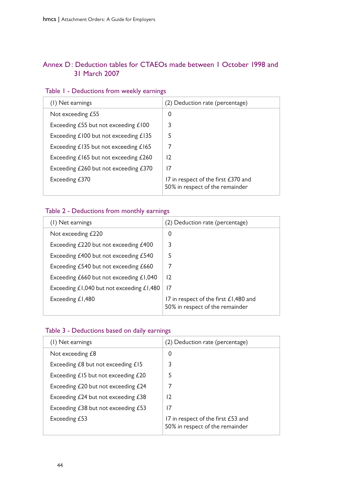# Annex D: Deduction tables for CTAEOs made between 1 October 1998 and 31 March 2007

# Table 1 - Deductions from weekly earnings

| (1) Net earnings                      | (2) Deduction rate (percentage)                                        |
|---------------------------------------|------------------------------------------------------------------------|
| Not exceeding £55                     | 0                                                                      |
| Exceeding £55 but not exceeding £100  | 3                                                                      |
| Exceeding £100 but not exceeding £135 | 5                                                                      |
| Exceeding £135 but not exceeding £165 | 7                                                                      |
| Exceeding £165 but not exceeding £260 | $\overline{2}$                                                         |
| Exceeding £260 but not exceeding £370 | 17                                                                     |
| Exceeding £370                        | 17 in respect of the first £370 and<br>50% in respect of the remainder |

# Table 2 - Deductions from monthly earnings

| (1) Net earnings                          | (2) Deduction rate (percentage)                                          |
|-------------------------------------------|--------------------------------------------------------------------------|
| Not exceeding £220                        | 0                                                                        |
| Exceeding £220 but not exceeding £400     | 3                                                                        |
| Exceeding £400 but not exceeding £540     | 5                                                                        |
| Exceeding £540 but not exceeding £660     | 7                                                                        |
| Exceeding £660 but not exceeding £1,040   | $\overline{2}$                                                           |
| Exceeding £1,040 but not exceeding £1,480 | 17                                                                       |
| Exceeding £1,480                          | 17 in respect of the first £1,480 and<br>50% in respect of the remainder |

# Table 3 - Deductions based on daily earnings

| (1) Net earnings                    | (2) Deduction rate (percentage)                                       |
|-------------------------------------|-----------------------------------------------------------------------|
| Not exceeding £8                    | 0                                                                     |
| Exceeding £8 but not exceeding £15  | 3                                                                     |
| Exceeding £15 but not exceeding £20 | 5                                                                     |
| Exceeding £20 but not exceeding £24 | 7                                                                     |
| Exceeding £24 but not exceeding £38 | 12                                                                    |
| Exceeding £38 but not exceeding £53 | 17                                                                    |
| Exceeding £53                       | 17 in respect of the first £53 and<br>50% in respect of the remainder |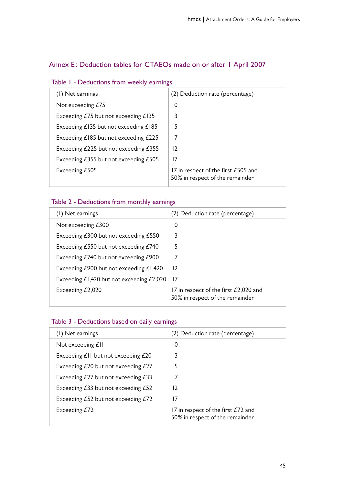# Annex E: Deduction tables for CTAEOs made on or after 1 April 2007

| Table 1 - Deductions from weekly earnings |  |  |
|-------------------------------------------|--|--|
|                                           |  |  |

| (1) Net earnings                      | (2) Deduction rate (percentage)                                        |
|---------------------------------------|------------------------------------------------------------------------|
| Not exceeding £75                     | 0                                                                      |
| Exceeding £75 but not exceeding £135  | 3                                                                      |
| Exceeding £135 but not exceeding £185 | 5                                                                      |
| Exceeding £185 but not exceeding £225 | 7                                                                      |
| Exceeding £225 but not exceeding £355 | $\overline{2}$                                                         |
| Exceeding £355 but not exceeding £505 | 17                                                                     |
| Exceeding £505                        | 17 in respect of the first £505 and<br>50% in respect of the remainder |

# Table 2 - Deductions from monthly earnings

| (1) Net earnings                          | (2) Deduction rate (percentage)                                            |
|-------------------------------------------|----------------------------------------------------------------------------|
| Not exceeding £300                        | 0                                                                          |
| Exceeding £300 but not exceeding £550     | 3                                                                          |
| Exceeding £550 but not exceeding £740     | 5                                                                          |
| Exceeding £740 but not exceeding £900     |                                                                            |
| Exceeding £900 but not exceeding £1,420   | $\overline{2}$                                                             |
| Exceeding £1,420 but not exceeding £2,020 | 17                                                                         |
| Exceeding £2,020                          | 17 in respect of the first $£2,020$ and<br>50% in respect of the remainder |

# Table 3 - Deductions based on daily earnings

| (1) Net earnings                        | (2) Deduction rate (percentage)                                       |
|-----------------------------------------|-----------------------------------------------------------------------|
| Not exceeding £11                       | 0                                                                     |
| Exceeding £11 but not exceeding £20     | 3                                                                     |
| Exceeding £20 but not exceeding £27     | 5                                                                     |
| Exceeding $E27$ but not exceeding $E33$ | 7                                                                     |
| Exceeding £33 but not exceeding £52     | 12                                                                    |
| Exceeding £52 but not exceeding £72     | $\overline{17}$                                                       |
| Exceeding £72                           | 17 in respect of the first £72 and<br>50% in respect of the remainder |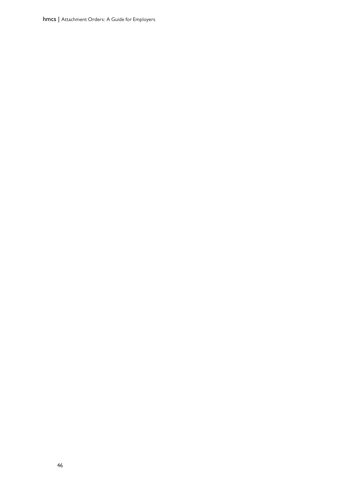hmcs | Attachment Orders: A Guide for Employers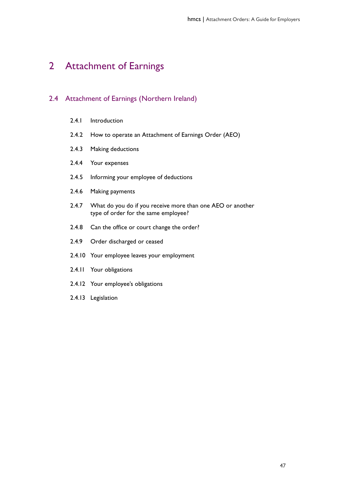# 2 Attachment of Earnings

# 2.4 Attachment of Earnings (Northern Ireland)

- 2.4.2 How to operate an Attachment of Earnings Order (AEO)
- 2.4.3 Making deductions
- 2.4.4 Your expenses
- 2.4.5 Informing your employee of deductions
- 2.4.6 Making payments
- 2.4.7 What do you do if you receive more than one AEO or another type of order for the same employee?
- 2.4.8 Can the office or court change the order?
- 2.4.9 Order discharged or ceased
- 2.4.10 Your employee leaves your employment
- 2.4.11 Your obligations
- 2.4.12 Your employee's obligations
- 2.4.13 Legislation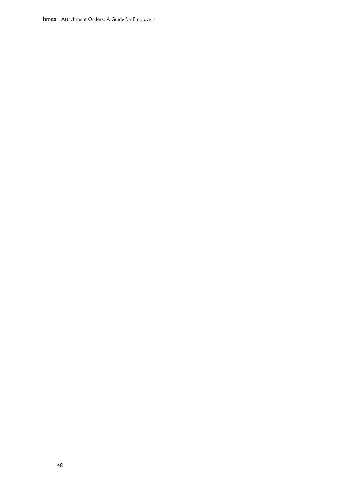hmcs | Attachment Orders: A Guide for Employers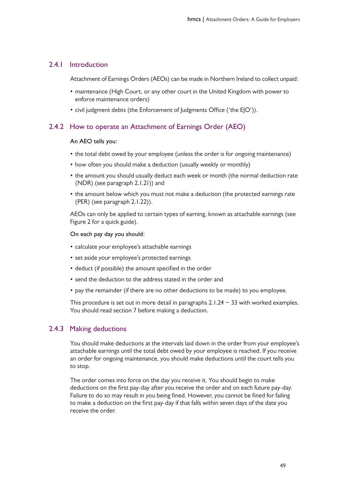### 2.4.1 Introduction

Attachment of Earnings Orders (AEOs) can be made in Northern Ireland to collect unpaid:

- maintenance (High Court, or any other court in the United Kingdom with power to enforce maintenance orders)
- civil judgment debts (the Enforcement of Judgments Office ('the EJO')).

### 2.4.2 How to operate an Attachment of Earnings Order (AEO)

### An AEO tells you:

- the total debt owed by your employee (unless the order is for ongoing maintenance)
- how often you should make a deduction (usually weekly or monthly)
- the amount you should usually deduct each week or month (the normal deduction rate (NDR) (see paragraph 2.1.21)) and
- the amount below which you must not make a deduction (the protected earnings rate (PER) (see paragraph 2.1.22)).

AEOs can only be applied to certain types of earning, known as attachable earnings (see Figure 2 for a quick guide).

#### On each pay day you should:

- calculate your employee's attachable earnings
- set aside your employee's protected earnings
- deduct (if possible) the amount specified in the order
- send the deduction to the address stated in the order and
- pay the remainder (if there are no other deductions to be made) to you employee.

This procedure is set out in more detail in paragraphs  $2.1.24 - 33$  with worked examples. You should read section 7 before making a deduction.

### 2.4.3 Making deductions

You should make deductions at the intervals laid down in the order from your employee's attachable earnings until the total debt owed by your employee is reached. If you receive an order for ongoing maintenance, you should make deductions until the court tells you to stop.

The order comes into force on the day you receive it. You should begin to make deductions on the first pay-day after you receive the order and on each future pay-day. Failure to do so may result in you being fined. However, you cannot be fined for failing to make a deduction on the first pay-day if that falls within seven days of the date you receive the order.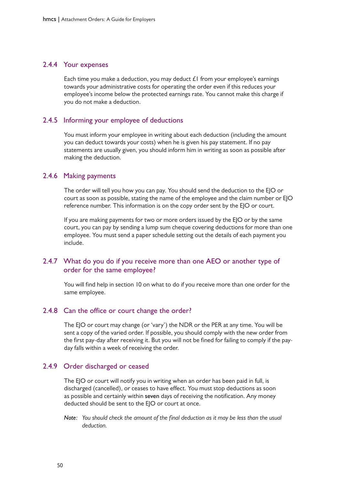### 2.4.4 Your expenses

Each time you make a deduction, you may deduct  $f$  from your employee's earnings towards your administrative costs for operating the order even if this reduces your employee's income below the protected earnings rate. You cannot make this charge if you do not make a deduction.

### 2.4.5 Informing your employee of deductions

You must inform your employee in writing about each deduction (including the amount you can deduct towards your costs) when he is given his pay statement. If no pay statements are usually given, you should inform him in writing as soon as possible after making the deduction.

# 2.4.6 Making payments

The order will tell you how you can pay. You should send the deduction to the EJO or court as soon as possible, stating the name of the employee and the claim number or EJO reference number. This information is on the copy order sent by the EJO or court.

If you are making payments for two or more orders issued by the EJO or by the same court, you can pay by sending a lump sum cheque covering deductions for more than one employee. You must send a paper schedule setting out the details of each payment you include.

# 2.4.7 What do you do if you receive more than one AEO or another type of order for the same employee?

You will find help in section 10 on what to do if you receive more than one order for the same employee.

#### 2.4.8 Can the office or court change the order?

The EJO or court may change (or 'vary') the NDR or the PER at any time. You will be sent a copy of the varied order. If possible, you should comply with the new order from the first pay-day after receiving it. But you will not be fined for failing to comply if the payday falls within a week of receiving the order.

### 2.4.9 Order discharged or ceased

The EJO or court will notify you in writing when an order has been paid in full, is discharged (cancelled), or ceases to have effect. You must stop deductions as soon as possible and certainly within seven days of receiving the notification. Any money deducted should be sent to the EJO or court at once.

*Note: You should check the amount of the final deduction as it may be less than the usual deduction.*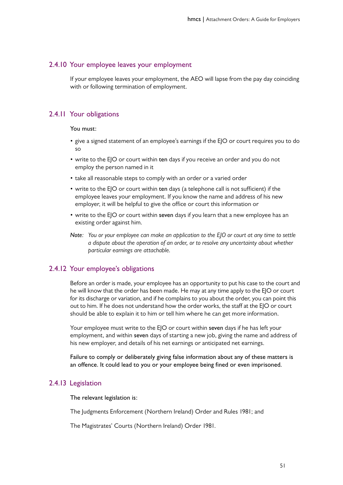#### 2.4.10 Your employee leaves your employment

If your employee leaves your employment, the AEO will lapse from the pay day coinciding with or following termination of employment.

### 2.4.11 Your obligations

You must:

- give a signed statement of an employee's earnings if the EJO or court requires you to do so
- write to the EJO or court within ten days if you receive an order and you do not employ the person named in it
- take all reasonable steps to comply with an order or a varied order
- write to the EJO or court within ten days (a telephone call is not sufficient) if the employee leaves your employment. If you know the name and address of his new employer, it will be helpful to give the office or court this information or
- write to the EJO or court within seven days if you learn that a new employee has an existing order against him.
- Note: You or your employee can make an application to the EJO or court at any time to settle *a dispute about the operation of an order, or to resolve any uncertainty about whether particular earnings are attachable.*

### 2.4.12 Your employee's obligations

Before an order is made, your employee has an opportunity to put his case to the court and he will know that the order has been made. He may at any time apply to the E|O or court for its discharge or variation, and if he complains to you about the order, you can point this out to him. If he does not understand how the order works, the staff at the EJO or court should be able to explain it to him or tell him where he can get more information.

Your employee must write to the EJO or court within seven days if he has left your employment, and within seven days of starting a new job, giving the name and address of his new employer, and details of his net earnings or anticipated net earnings.

Failure to comply or deliberately giving false information about any of these matters is an offence. It could lead to you or your employee being fined or even imprisoned.

### 2.4.13 Legislation

The relevant legislation is:

The Judgments Enforcement (Northern Ireland) Order and Rules 1981; and

The Magistrates' Courts (Northern Ireland) Order 1981.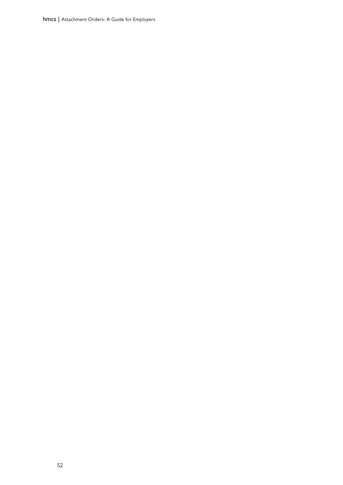hmcs | Attachment Orders: A Guide for Employers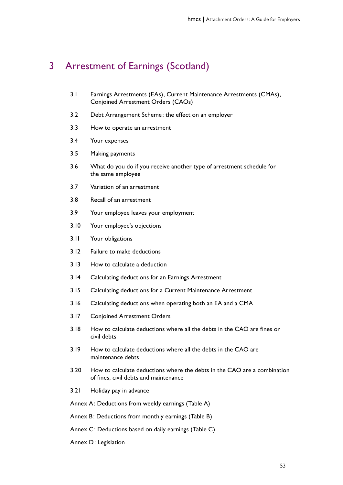# 3 Arrestment of Earnings (Scotland)

| 3.1 | Earnings Arrestments (EAs), Current Maintenance Arrestments (CMAs), |
|-----|---------------------------------------------------------------------|
|     | Conjoined Arrestment Orders (CAOs)                                  |

- 3.2 Debt Arrangement Scheme : the effect on an employer
- 3.3 How to operate an arrestment
- 3.4 Your expenses
- 3.5 Making payments
- 3.6 What do you do if you receive another type of arrestment schedule for the same employee
- 3.7 Variation of an arrestment
- 3.8 Recall of an arrestment
- 3.9 Your employee leaves your employment
- 3.10 Your employee's objections
- 3.11 Your obligations
- 3.12 Failure to make deductions
- 3.13 How to calculate a deduction
- 3.14 Calculating deductions for an Earnings Arrestment
- 3.15 Calculating deductions for a Current Maintenance Arrestment
- 3.16 Calculating deductions when operating both an EA and a CMA
- 3.17 Conjoined Arrestment Orders
- 3.18 How to calculate deductions where all the debts in the CAO are fines or civil debts
- 3.19 How to calculate deductions where all the debts in the CAO are maintenance debts
- 3.20 How to calculate deductions where the debts in the CAO are a combination of fines, civil debts and maintenance
- 3.21 Holiday pay in advance

Annex A: Deductions from weekly earnings (Table A)

Annex B: Deductions from monthly earnings (Table B)

Annex C: Deductions based on daily earnings (Table C)

Annex D: Legislation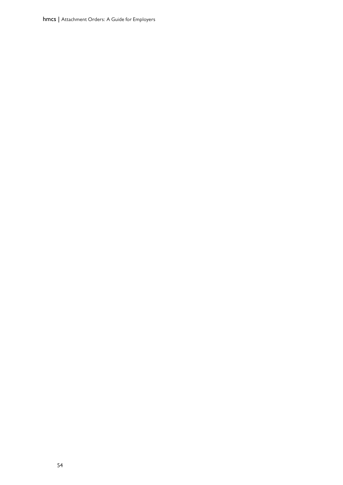hmcs | Attachment Orders: A Guide for Employers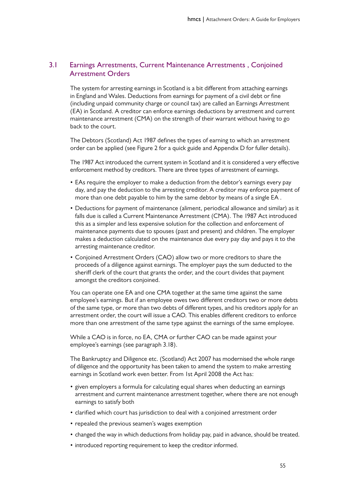# 3.1 Earnings Arrestments, Current Maintenance Arrestments , Conjoined Arrestment Orders

The system for arresting earnings in Scotland is a bit different from attaching earnings in England and Wales. Deductions from earnings for payment of a civil debt or fine (including unpaid community charge or council tax) are called an Earnings Arrestment (EA) in Scotland. A creditor can enforce earnings deductions by arrestment and current maintenance arrestment (CMA) on the strength of their warrant without having to go back to the court.

The Debtors (Scotland) Act 1987 defines the types of earning to which an arrestment order can be applied (see Figure 2 for a quick guide and Appendix D for fuller details).

The 1987 Act introduced the current system in Scotland and it is considered a very effective enforcement method by creditors. There are three types of arrestment of earnings.

- EAs require the employer to make a deduction from the debtor's earnings every pay day, and pay the deduction to the arresting creditor. A creditor may enforce payment of more than one debt payable to him by the same debtor by means of a single EA .
- Deductions for payment of maintenance (aliment, periodical allowance and similar) as it falls due is called a Current Maintenance Arrestment (CMA). The 1987 Act introduced this as a simpler and less expensive solution for the collection and enforcement of maintenance payments due to spouses (past and present) and children. The employer makes a deduction calculated on the maintenance due every pay day and pays it to the arresting maintenance creditor.
- Conjoined Arrestment Orders (CAO) allow two or more creditors to share the proceeds of a diligence against earnings. The employer pays the sum deducted to the sheriff clerk of the court that grants the order, and the court divides that payment amongst the creditors conjoined.

You can operate one EA and one CMA together at the same time against the same employee's earnings. But if an employee owes two different creditors two or more debts of the same type, or more than two debts of different types, and his creditors apply for an arrestment order, the court will issue a CAO. This enables different creditors to enforce more than one arrestment of the same type against the earnings of the same employee.

While a CAO is in force, no EA, CMA or further CAO can be made against your employee's earnings (see paragraph 3.18).

The Bankruptcy and Diligence etc. (Scotland) Act 2007 has modernised the whole range of diligence and the opportunity has been taken to amend the system to make arresting earnings in Scotland work even better. From 1st April 2008 the Act has:

- given employers a formula for calculating equal shares when deducting an earnings arrestment and current maintenance arrestment together, where there are not enough earnings to satisfy both
- clarified which court has jurisdiction to deal with a conjoined arrestment order
- repealed the previous seamen's wages exemption
- changed the way in which deductions from holiday pay, paid in advance, should be treated.
- introduced reporting requirement to keep the creditor informed.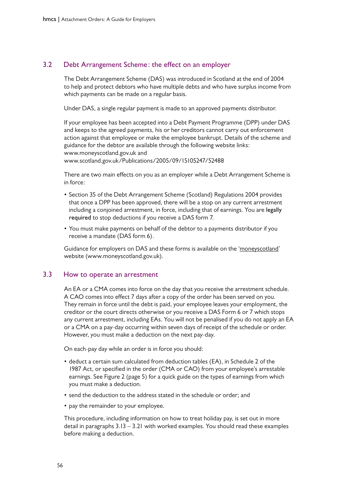### 3.2 Debt Arrangement Scheme : the effect on an employer

The Debt Arrangement Scheme (DAS) was introduced in Scotland at the end of 2004 to help and protect debtors who have multiple debts and who have surplus income from which payments can be made on a regular basis.

Under DAS, a single regular payment is made to an approved payments distributor.

If your employee has been accepted into a Debt Payment Programme (DPP) under DAS and keeps to the agreed payments, his or her creditors cannot carry out enforcement action against that employee or make the employee bankrupt. Details of the scheme and guidance for the debtor are available through the following website links: [www.moneyscotland.gov.uk](www.scotland.gov.uk) and <www.scotland.gov.uk/Publications/2005/09/15105247/52488>

There are two main effects on you as an employer while a Debt Arrangement Scheme is in force:

- Section 35 of the Debt Arrangement Scheme (Scotland) Regulations 2004 provides that once a DPP has been approved, there will be a stop on any current arrestment including a conjoined arrestment, in force, including that of earnings. You are legally required to stop deductions if you receive a DAS form 7.
- You must make payments on behalf of the debtor to a payments distributor if you receive a mandate (DAS form 6).

Guidance for employers on DAS and these forms is available on the 'moneyscotland' website [\(www.moneyscotland.gov.uk](www.scotland.gov.uk)).

### 3.3 How to operate an arrestment

An EA or a CMA comes into force on the day that you receive the arrestment schedule. A CAO comes into effect 7 days after a copy of the order has been served on you. They remain in force until the debt is paid, your employee leaves your employment, the creditor or the court directs otherwise or you receive a DAS Form 6 or 7 which stops any current arrestment, including EAs. You will not be penalised if you do not apply an EA or a CMA on a pay-day occurring within seven days of receipt of the schedule or order. However, you must make a deduction on the next pay-day.

On each-pay day while an order is in force you should:

- deduct a certain sum calculated from deduction tables (EA), in Schedule 2 of the 1987 Act, or specified in the order (CMA or CAO) from your employee's arrestable earnings. See Figure 2 (page 5) for a quick guide on the types of earnings from which you must make a deduction.
- send the deduction to the address stated in the schedule or order; and
- pay the remainder to your employee.

This procedure, including information on how to treat holiday pay, is set out in more detail in paragraphs 3.13 – 3.21 with worked examples. You should read these examples before making a deduction.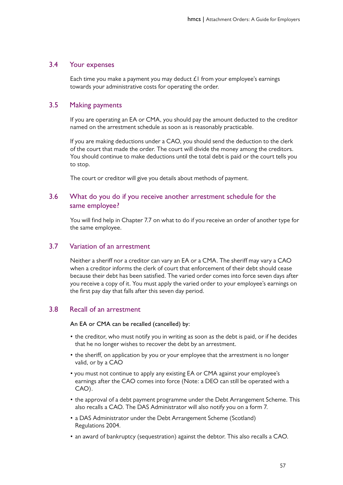## 3.4 Your expenses

Each time you make a payment you may deduct £1 from your employee's earnings towards your administrative costs for operating the order.

### 3.5 Making payments

If you are operating an EA or CMA, you should pay the amount deducted to the creditor named on the arrestment schedule as soon as is reasonably practicable.

If you are making deductions under a CAO, you should send the deduction to the clerk of the court that made the order. The court will divide the money among the creditors. You should continue to make deductions until the total debt is paid or the court tells you to stop.

The court or creditor will give you details about methods of payment.

## 3.6 What do you do if you receive another arrestment schedule for the same employee?

You will find help in Chapter 7.7 on what to do if you receive an order of another type for the same employee.

### 3.7 Variation of an arrestment

Neither a sheriff nor a creditor can vary an EA or a CMA. The sheriff may vary a CAO when a creditor informs the clerk of court that enforcement of their debt should cease because their debt has been satisfied. The varied order comes into force seven days after you receive a copy of it. You must apply the varied order to your employee's earnings on the first pay day that falls after this seven day period.

### 3.8 Recall of an arrestment

An EA or CMA can be recalled (cancelled) by:

- the creditor, who must notify you in writing as soon as the debt is paid, or if he decides that he no longer wishes to recover the debt by an arrestment.
- the sheriff, on application by you or your employee that the arrestment is no longer valid, or by a CAO
- you must not continue to apply any existing EA or CMA against your employee's earnings after the CAO comes into force (Note: a DEO can still be operated with a CAO).
- the approval of a debt payment programme under the Debt Arrangement Scheme. This also recalls a CAO. The DAS Administrator will also notify you on a form 7.
- a DAS Administrator under the Debt Arrangement Scheme (Scotland) Regulations 2004.
- an award of bankruptcy (sequestration) against the debtor. This also recalls a CAO.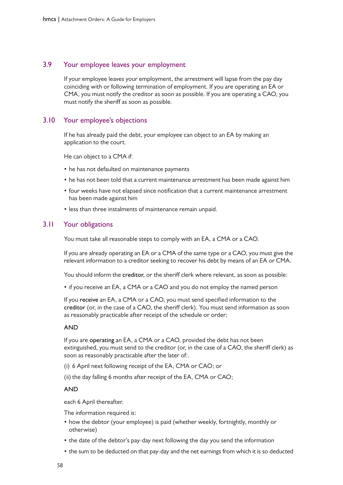### 3.9 Your employee leaves your employment

If your employee leaves your employment, the arrestment will lapse from the pay day coinciding with or following termination of employment. If you are operating an EA or CMA, you must notify the creditor as soon as possible. If you are operating a CAO, you must notify the sheriff as soon as possible.

### 3.10 Your employee's objections

If he has already paid the debt, your employee can object to an EA by making an application to the court.

He can object to a CMA if:

- he has not defaulted on maintenance payments
- he has not been told that a current maintenance arrestment has been made against him
- four weeks have not elapsed since notification that a current maintenance arrestment has been made against him
- less than three instalments of maintenance remain unpaid.

### 3.11 Your obligations

You must take all reasonable steps to comply with an EA, a CMA or a CAO.

If you are already operating an EA or a CMA of the same type or a CAO, you must give the relevant information to a creditor seeking to recover his debt by means of an EA or CMA.

You should inform the creditor, or the sheriff clerk where relevant, as soon as possible:

• if you receive an EA, a CMA or a CAO and you do not employ the named person

If you receive an EA, a CMA or a CAO, you must send specified information to the creditor (or, in the case of a CAO, the sheriff clerk). You must send information as soon as reasonably practicable after receipt of the schedule or order;

#### AND

If you are operating an EA, a CMA or a CAO, provided the debt has not been extinguished, you must send to the creditor (or, in the case of a CAO, the sheriff clerk) as soon as reasonably practicable after the later of:.

(i) 6 April next following receipt of the EA, CMA or CAO; or

(ii) the day falling 6 months after receipt of the EA, CMA or CAO;

#### AND

each 6 April thereafter.

The information required is:

- how the debtor (your employee) is paid (whether weekly, fortnightly, monthly or otherwise)
- the date of the debtor's pay-day next following the day you send the information
- the sum to be deducted on that pay-day and the net earnings from which it is so deducted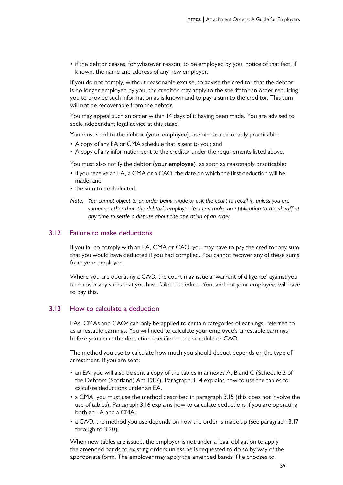• if the debtor ceases, for whatever reason, to be employed by you, notice of that fact, if known, the name and address of any new employer.

If you do not comply, without reasonable excuse, to advise the creditor that the debtor is no longer employed by you, the creditor may apply to the sheriff for an order requiring you to provide such information as is known and to pay a sum to the creditor. This sum will not be recoverable from the debtor.

You may appeal such an order within 14 days of it having been made. You are advised to seek independant legal advice at this stage.

You must send to the debtor (your employee), as soon as reasonably practicable:

- A copy of any EA or CMA schedule that is sent to you; and
- A copy of any information sent to the creditor under the requirements listed above.

You must also notify the debtor (your employee), as soon as reasonably practicable:

- If you receive an EA, a CMA or a CAO, the date on which the first deduction will be made; and
- the sum to be deducted.
- Note: You cannot object to an order being made or ask the court to recall it, unless you are *someone other than the debtor's employer. You can make an application to the sheriff at any time to settle a dispute about the operation of an order.*

### 3.12 Failure to make deductions

If you fail to comply with an EA, CMA or CAO, you may have to pay the creditor any sum that you would have deducted if you had complied. You cannot recover any of these sums from your employee.

Where you are operating a CAO, the court may issue a 'warrant of diligence' against you to recover any sums that you have failed to deduct. You, and not your employee, will have to pay this.

### 3.13 How to calculate a deduction

EAs, CMAs and CAOs can only be applied to certain categories of earnings, referred to as arrestable earnings. You will need to calculate your employee's arrestable earnings before you make the deduction specified in the schedule or CAO.

The method you use to calculate how much you should deduct depends on the type of arrestment. If you are sent:

- an EA, you will also be sent a copy of the tables in annexes A, B and C (Schedule 2 of the Debtors (Scotland) Act 1987). Paragraph 3.14 explains how to use the tables to calculate deductions under an EA.
- a CMA, you must use the method described in paragraph 3.15 (this does not involve the use of tables). Paragraph 3.16 explains how to calculate deductions if you are operating both an EA and a CMA.
- a CAO, the method you use depends on how the order is made up (see paragraph 3.17 through to 3.20).

When new tables are issued, the employer is not under a legal obligation to apply the amended bands to existing orders unless he is requested to do so by way of the appropriate form. The employer may apply the amended bands if he chooses to.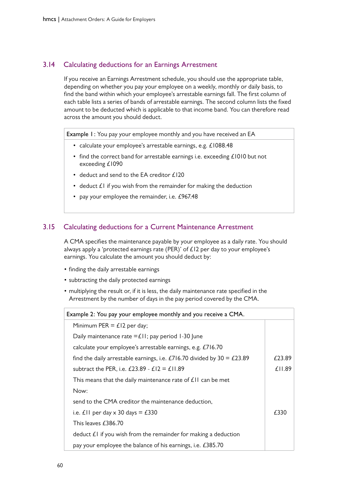## 3.14 Calculating deductions for an Earnings Arrestment

If you receive an Earnings Arrestment schedule, you should use the appropriate table, depending on whether you pay your employee on a weekly, monthly or daily basis, to find the band within which your employee's arrestable earnings fall. The first column of each table lists a series of bands of arrestable earnings. The second column lists the fixed amount to be deducted which is applicable to that income band. You can therefore read across the amount you should deduct.

Example 1: You pay your employee monthly and you have received an EA

- calculate your employee's arrestable earnings, e.g. £1088.48
- find the correct band for arrestable earnings i.e. exceeding £1010 but not exceeding £1090
- deduct and send to the EA creditor £120
- deduct £1 if you wish from the remainder for making the deduction
- pay your employee the remainder, i.e. £967.48

### 3.15 Calculating deductions for a Current Maintenance Arrestment

A CMA specifies the maintenance payable by your employee as a daily rate. You should always apply a 'protected earnings rate (PER)' of £12 per day to your employee's earnings. You calculate the amount you should deduct by:

- finding the daily arrestable earnings
- subtracting the daily protected earnings
- multiplying the result or, if it is less, the daily maintenance rate specified in the Arrestment by the number of days in the pay period covered by the CMA.

| Example 2: You pay your employee monthly and you receive a CMA.             |        |
|-----------------------------------------------------------------------------|--------|
| Minimum PER = $£12$ per day;                                                |        |
| Daily maintenance rate $=\pm 11$ ; pay period 1-30 June                     |        |
| calculate your employee's arrestable earnings, e.g. £716.70                 |        |
| find the daily arrestable earnings, i.e. $£716.70$ divided by $30 = £23.89$ | £23.89 |
| subtract the PER, i.e. $£23.89 - £12 = £11.89$                              | £11.89 |
| This means that the daily maintenance rate of $£$ II can be met             |        |
| Now:                                                                        |        |
| send to the CMA creditor the maintenance deduction,                         |        |
| i.e. $\pounds$ II per day x 30 days = £330                                  | £330   |
| This leaves $£386.70$                                                       |        |
| deduct $E1$ if you wish from the remainder for making a deduction           |        |
| pay your employee the balance of his earnings, i.e. £385.70                 |        |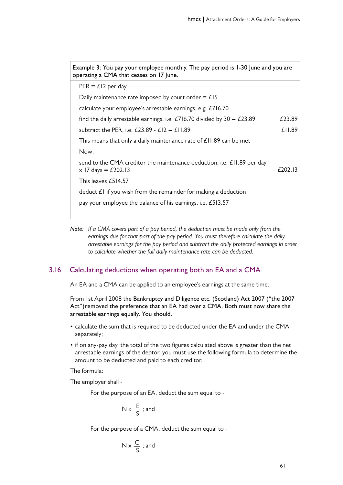| Example 3: You pay your employee monthly. The pay period is 1-30 June and you are<br>operating a CMA that ceases on 17 June. |         |
|------------------------------------------------------------------------------------------------------------------------------|---------|
| $PER = E12$ per day                                                                                                          |         |
| Daily maintenance rate imposed by court order = $£15$                                                                        |         |
| calculate your employee's arrestable earnings, e.g. £716.70                                                                  |         |
| find the daily arrestable earnings, i.e. $£716.70$ divided by $30 = £23.89$                                                  | £23.89  |
| subtract the PER, i.e. $£23.89 - £12 = £11.89$                                                                               | £11.89  |
| This means that only a daily maintenance rate of $£11.89$ can be met                                                         |         |
| Now:                                                                                                                         |         |
| send to the CMA creditor the maintenance deduction, i.e. $£11.89$ per day<br>$\times$ 17 days = £202.13                      | £202.13 |
| This leaves $£514.57$                                                                                                        |         |
| deduct $E$ if you wish from the remainder for making a deduction                                                             |         |
| pay your employee the balance of his earnings, i.e. £513.57                                                                  |         |
|                                                                                                                              |         |

*Note: If a CMA covers part of a pay period, the deduction must be made only from the earnings due for that part of the pay period. You must therefore calculate the daily arrestable earnings for the pay period and subtract the daily protected earnings in order to calculate whether the full daily maintenance rate can be deducted.*

## 3.16 Calculating deductions when operating both an EA and a CMA

An EA and a CMA can be applied to an employee's earnings at the same time.

From 1st April 2008 the Bankruptcy and Diligence etc. (Scotland) Act 2007 ("the 2007 Act")removed the preference that an EA had over a CMA. Both must now share the arrestable earnings equally. You should.

- calculate the sum that is required to be deducted under the EA and under the CMA separately;
- if on any-pay day, the total of the two figures calculated above is greater than the net arrestable earnings of the debtor, you must use the following formula to determine the amount to be deducted and paid to each creditor.

The formula:

The employer shall -

For the purpose of an EA, deduct the sum equal to -

$$
N \times \frac{E}{S} \; ; \text{and}
$$

For the purpose of a CMA, deduct the sum equal to -

$$
N \times \frac{C}{S} \; ; \text{and}
$$

61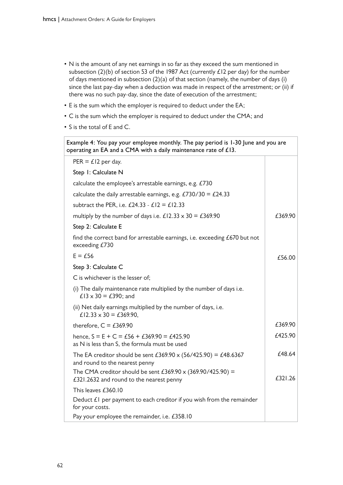- N is the amount of any net earnings in so far as they exceed the sum mentioned in subsection (2)(b) of section 53 of the 1987 Act (currently £12 per day) for the number of days mentioned in subsection (2)(a) of that section (namely, the number of days (i) since the last pay-day when a deduction was made in respect of the arrestment; or (ii) if there was no such pay-day, since the date of execution of the arrestment;
- E is the sum which the employer is required to deduct under the EA;
- C is the sum which the employer is required to deduct under the CMA; and
- S is the total of E and C.

| Example 4: You pay your employee monthly. The pay period is 1-30 June and you are<br>operating an EA and a CMA with a daily maintenance rate of $£13$ . |         |
|---------------------------------------------------------------------------------------------------------------------------------------------------------|---------|
| PER = $£12$ per day.                                                                                                                                    |         |
| Step 1: Calculate N                                                                                                                                     |         |
| calculate the employee's arrestable earnings, e.g. £730                                                                                                 |         |
| calculate the daily arrestable earnings, e.g. $£730/30 = £24.33$                                                                                        |         |
| subtract the PER, i.e. $£24.33 - £12 = £12.33$                                                                                                          |         |
| multiply by the number of days i.e. $£12.33 \times 30 = £369.90$                                                                                        | £369.90 |
| Step 2: Calculate E                                                                                                                                     |         |
| find the correct band for arrestable earnings, i.e. exceeding £670 but not<br>exceeding £730                                                            |         |
| $E = \pounds 56$                                                                                                                                        | £56.00  |
| Step 3: Calculate C                                                                                                                                     |         |
| C is whichever is the lesser of;                                                                                                                        |         |
| (i) The daily maintenance rate multiplied by the number of days i.e.<br>£13 $\times$ 30 = £390; and                                                     |         |
| (ii) Net daily earnings multiplied by the number of days, i.e.<br>£12.33 $\times$ 30 = £369.90,                                                         |         |
| therefore, $C = \text{\textsterling}369.90$                                                                                                             | £369.90 |
| hence, $S = E + C = \text{\textsterling}56 + \text{\textsterling}369.90 = \text{\textsterling}425.90$<br>as N is less than S, the formula must be used  | £425.90 |
| The EA creditor should be sent £369.90 x (56/425.90) = £48.6367<br>and round to the nearest penny                                                       | £48.64  |
| The CMA creditor should be sent £369.90 x (369.90/425.90) =<br>£321.2632 and round to the nearest penny                                                 | £321.26 |
| This leaves £360.10                                                                                                                                     |         |
| Deduct £1 per payment to each creditor if you wish from the remainder<br>for your costs.                                                                |         |
| Pay your employee the remainder, i.e. £358.10                                                                                                           |         |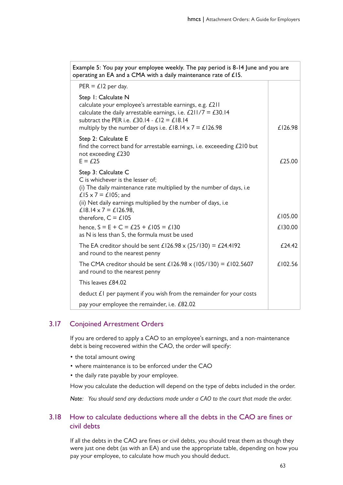| Example 5: You pay your employee weekly. The pay period is 8-14 June and you are<br>operating an EA and a CMA with a daily maintenance rate of £15.                                                                                                                  |                    |
|----------------------------------------------------------------------------------------------------------------------------------------------------------------------------------------------------------------------------------------------------------------------|--------------------|
| PER = $£12$ per day.                                                                                                                                                                                                                                                 |                    |
| Step 1: Calculate N<br>calculate your employee's arrestable earnings, e.g. £211<br>calculate the daily arrestable earnings, i.e. $£211/7 = £30.14$<br>subtract the PER i.e. £30.14 - £12 = £18.14<br>multiply by the number of days i.e. $£18.14 \times 7 = £126.98$ | £126.98            |
| Step 2: Calculate E<br>find the correct band for arrestable earnings, i.e. exceeeding $£210$ but<br>not exceeding £230<br>$E = \pounds 25$                                                                                                                           | £25.00             |
| Step 3: Calculate C<br>C is whichever is the lesser of;<br>(i) The daily maintenance rate multiplied by the number of days, i.e<br>£15 $\times$ 7 = £105; and<br>(ii) Net daily earnings multiplied by the number of days, i.e<br>£18.14 $\times$ 7 = £126.98,       |                    |
| therefore, $C = \text{\textsterling}105$<br>hence, $S = E + C = \text{\textsterling}25 + \text{\textsterling}105 = \text{\textsterling}130$<br>as N is less than S, the formula must be used                                                                         | £105.00<br>£130.00 |
| The EA creditor should be sent £126.98 x (25/130) = £24.4192<br>and round to the nearest penny                                                                                                                                                                       | f 24.42            |
| The CMA creditor should be sent £126.98 x (105/130) = £102.5607<br>and round to the nearest penny                                                                                                                                                                    | £102.56            |
| This leaves £84.02                                                                                                                                                                                                                                                   |                    |
| $deduct L1$ per payment if you wish from the remainder for your costs                                                                                                                                                                                                |                    |
| pay your employee the remainder, i.e. £82.02                                                                                                                                                                                                                         |                    |

## 3.17 Conjoined Arrestment Orders

If you are ordered to apply a CAO to an employee's earnings, and a non-maintenance debt is being recovered within the CAO, the order will specify:

- the total amount owing
- where maintenance is to be enforced under the CAO
- the daily rate payable by your employee.

How you calculate the deduction will depend on the type of debts included in the order.

*Note: You should send any deductions made under a CAO to the court that made the order.*

# 3.18 How to calculate deductions where all the debts in the CAO are fines or civil debts

If all the debts in the CAO are fines or civil debts, you should treat them as though they were just one debt (as with an EA) and use the appropriate table, depending on how you pay your employee, to calculate how much you should deduct.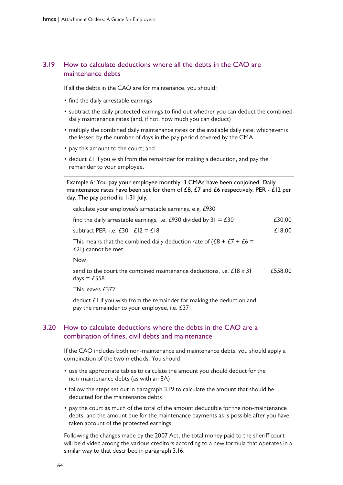# 3.19 How to calculate deductions where all the debts in the CAO are maintenance debts

If all the debts in the CAO are for maintenance, you should:

- find the daily arrestable earnings
- subtract the daily protected earnings to find out whether you can deduct the combined daily maintenance rates (and, if not, how much you can deduct)
- multiply the combined daily maintenance rates or the available daily rate, whichever is the lesser, by the number of days in the pay period covered by the CMA
- pay this amount to the court; and
- deduct £1 if you wish from the remainder for making a deduction, and pay the remainder to your employee.

Example 6: You pay your employee monthly. 3 CMAs have been conjoined. Daily maintenance rates have been set for them of £8,  $£7$  and  $£6$  respectively. PER -  $£12$  per day. The pay period is 1-31 July.

| calculate your employee's arrestable earnings, e.g. £930                                                                |         |
|-------------------------------------------------------------------------------------------------------------------------|---------|
| find the daily arrestable earnings, i.e. £930 divided by $31 = £30$                                                     | £30.00  |
| subtract PER, i.e. $\text{\pounds}30 - \text{\pounds}12 = \text{\pounds}18$                                             | £18.00  |
| This means that the combined daily deduction rate of $(£8 + £7 + £6 =$<br>£21) cannot be met.                           |         |
| Now:                                                                                                                    |         |
| send to the court the combined maintenance deductions, i.e. $£18 \times 31$<br>days = $£558$                            | £558.00 |
| This leaves £372                                                                                                        |         |
| deduct £1 if you wish from the remainder for making the deduction and<br>pay the remainder to your employee, i.e. £371. |         |

# 3.20 How to calculate deductions where the debts in the CAO are a combination of fines, civil debts and maintenance

If the CAO includes both non-maintenance and maintenance debts, you should apply a combination of the two methods. You should:

- use the appropriate tables to calculate the amount you should deduct for the non-maintenance debts (as with an EA)
- follow the steps set out in paragraph 3.19 to calculate the amount that should be deducted for the maintenance debts
- pay the court as much of the total of the amount deductible for the non-maintenance debts, and the amount due for the maintenance payments as is possible after you have taken account of the protected earnings.

Following the changes made by the 2007 Act, the total money paid to the sheriff court will be divided among the various creditors according to a new formula that operates in a similar way to that described in paragraph 3.16.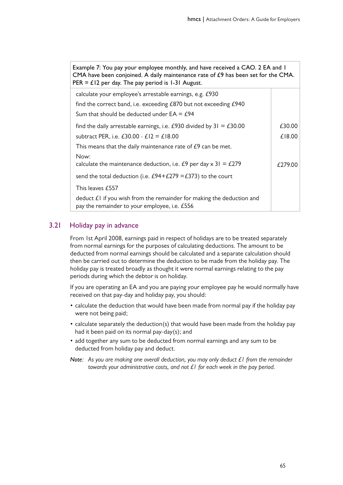| Example 7: You pay your employee monthly, and have received a CAO. 2 EA and I<br>CMA have been conjoined. A daily maintenance rate of $E9$ has been set for the CMA.<br>PER = $£12$ per day. The pay period is 1-31 August. |  |  |  |
|-----------------------------------------------------------------------------------------------------------------------------------------------------------------------------------------------------------------------------|--|--|--|
| calculate your employee's arrestable earnings, e.g. £930                                                                                                                                                                    |  |  |  |
|                                                                                                                                                                                                                             |  |  |  |

| find the correct band, i.e. exceeding £870 but not exceeding £940                                                        |         |
|--------------------------------------------------------------------------------------------------------------------------|---------|
| Sum that should be deducted under $EA = \text{\textsterling}94$                                                          |         |
| find the daily arrestable earnings, i.e. £930 divided by $31 = \text{\textsterling}30.00$                                | £30.00  |
| subtract PER, i.e. £30.00 - £12 = £18.00                                                                                 | £18.00  |
| This means that the daily maintenance rate of $E$ 9 can be met.                                                          |         |
| Now:<br>calculate the maintenance deduction, i.e. £9 per day $\times$ 31 = £279                                          | £279.00 |
| send the total deduction (i.e. $£94 + £279 = £373$ ) to the court                                                        |         |
| This leaves £557                                                                                                         |         |
| deduct $E1$ if you wish from the remainder for making the deduction and<br>pay the remainder to your employee, i.e. £556 |         |

# 3.21 Holiday pay in advance

From 1st April 2008, earnings paid in respect of holidays are to be treated separately from normal earnings for the purposes of calculating deductions. The amount to be deducted from normal earnings should be calculated and a separate calculation should then be carried out to determine the deduction to be made from the holiday pay. The holiday pay is treated broadly as thought it were normal earnings relating to the pay periods during which the debtor is on holiday.

If you are operating an EA and you are paying your employee pay he would normally have received on that pay-day and holiday pay, you should:

- calculate the deduction that would have been made from normal pay if the holiday pay were not being paid;
- calculate separately the deduction(s) that would have been made from the holiday pay had it been paid on its normal pay-day(s); and
- add together any sum to be deducted from normal earnings and any sum to be deducted from holiday pay and deduct.
- *Note: As you are making one overall deduction, you may only deduct £1 from the remainder towards your administrative costs, and not £1 for each week in the pay period.*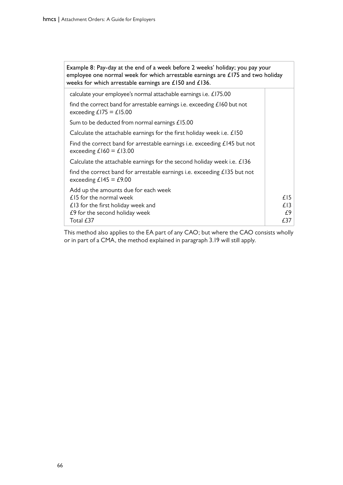| Example 8: Pay-day at the end of a week before 2 weeks' holiday; you pay your<br>employee one normal week for which arrestable earnings are $£175$ and two holiday<br>weeks for which arrestable earnings are £150 and £136. |                             |  |
|------------------------------------------------------------------------------------------------------------------------------------------------------------------------------------------------------------------------------|-----------------------------|--|
| calculate your employee's normal attachable earnings i.e. £175.00                                                                                                                                                            |                             |  |
| find the correct band for arrestable earnings i.e. exceeding £160 but not<br>exceeding $£175 = £15.00$                                                                                                                       |                             |  |
| Sum to be deducted from normal earnings £15.00                                                                                                                                                                               |                             |  |
| Calculate the attachable earnings for the first holiday week i.e. £150                                                                                                                                                       |                             |  |
| Find the correct band for arrestable earnings i.e. exceeding $£145$ but not<br>exceeding $£160 = £13.00$                                                                                                                     |                             |  |
| Calculate the attachable earnings for the second holiday week i.e. £136                                                                                                                                                      |                             |  |
| find the correct band for arrestable earnings i.e. exceeding $£135$ but not<br>exceeding $£145 = £9.00$                                                                                                                      |                             |  |
| Add up the amounts due for each week<br>£15 for the normal week<br>£13 for the first holiday week and<br>£9 for the second holiday week<br>Total £37                                                                         | £ 5 <br>£ 3 <br>£9 l<br>£37 |  |

This method also applies to the EA part of any CAO; but where the CAO consists wholly or in part of a CMA, the method explained in paragraph 3.19 will still apply.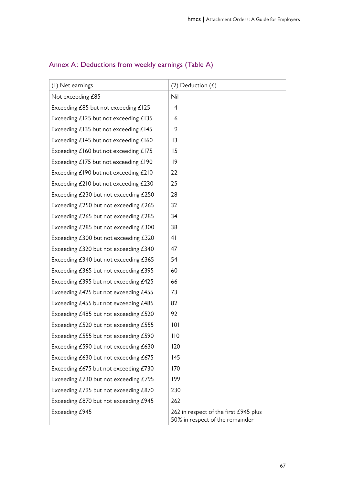| (I) Net earnings                      | (2) Deduction $(E)$                                                      |
|---------------------------------------|--------------------------------------------------------------------------|
| Not exceeding £85                     | Nil                                                                      |
| Exceeding £85 but not exceeding £125  | $\overline{4}$                                                           |
| Exceeding £125 but not exceeding £135 | 6                                                                        |
| Exceeding £135 but not exceeding £145 | 9                                                                        |
| Exceeding £145 but not exceeding £160 | 3                                                                        |
| Exceeding £160 but not exceeding £175 | 15                                                                       |
| Exceeding £175 but not exceeding £190 | 9                                                                        |
| Exceeding £190 but not exceeding £210 | 22                                                                       |
| Exceeding £210 but not exceeding £230 | 25                                                                       |
| Exceeding £230 but not exceeding £250 | 28                                                                       |
| Exceeding £250 but not exceeding £265 | 32                                                                       |
| Exceeding £265 but not exceeding £285 | 34                                                                       |
| Exceeding £285 but not exceeding £300 | 38                                                                       |
| Exceeding £300 but not exceeding £320 | 4 <sub>l</sub>                                                           |
| Exceeding £320 but not exceeding £340 | 47                                                                       |
| Exceeding £340 but not exceeding £365 | 54                                                                       |
| Exceeding £365 but not exceeding £395 | 60                                                                       |
| Exceeding £395 but not exceeding £425 | 66                                                                       |
| Exceeding £425 but not exceeding £455 | 73                                                                       |
| Exceeding £455 but not exceeding £485 | 82                                                                       |
| Exceeding £485 but not exceeding £520 | 92                                                                       |
| Exceeding £520 but not exceeding £555 | 0                                                                        |
| Exceeding £555 but not exceeding £590 | 110                                                                      |
| Exceeding £590 but not exceeding £630 | 120                                                                      |
| Exceeding £630 but not exceeding £675 | 145                                                                      |
| Exceeding £675 but not exceeding £730 | 170                                                                      |
| Exceeding £730 but not exceeding £795 | 199                                                                      |
| Exceeding £795 but not exceeding £870 | 230                                                                      |
| Exceeding £870 but not exceeding £945 | 262                                                                      |
| Exceeding £945                        | 262 in respect of the first £945 plus<br>50% in respect of the remainder |

# Annex A: Deductions from weekly earnings (Table A)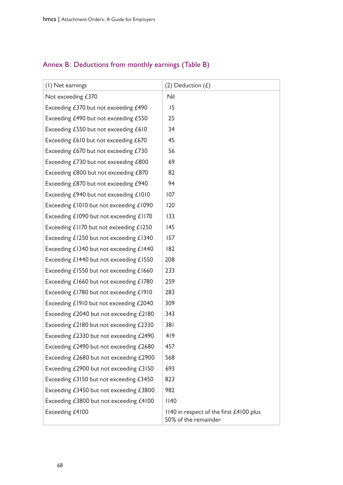| (I) Net earnings                        | $(2)$ Deduction $(E)$                   |
|-----------------------------------------|-----------------------------------------|
| Not exceeding £370                      | Nil                                     |
| Exceeding £370 but not exceeding £490   | 15                                      |
| Exceeding £490 but not exceeding £550   | 25                                      |
| Exceeding £550 but not exceeding £610   | 34                                      |
| Exceeding £610 but not exceeding £670   | 45                                      |
| Exceeding £670 but not exceeding £730   | 56                                      |
| Exceeding £730 but not exceeding £800   | 69                                      |
| Exceeding £800 but not exceeding £870   | 82                                      |
| Exceeding £870 but not exceeding £940   | 94                                      |
| Exceeding £940 but not exceeding £1010  | 107                                     |
| Exceeding £1010 but not exceeding £1090 | 120                                     |
| Exceeding £1090 but not exceeding £1170 | 133                                     |
| Exceeding £1170 but not exceeding £1250 | 145                                     |
| Exceeding £1250 but not exceeding £1340 | 157                                     |
| Exceeding £1340 but not exceeding £1440 | 182                                     |
| Exceeding £1440 but not exceeding £1550 | 208                                     |
| Exceeding £1550 but not exceeding £1660 | 233                                     |
| Exceeding £1660 but not exceeding £1780 | 259                                     |
| Exceeding £1780 but not exceeding £1910 | 283                                     |
| Exceeding £1910 but not exceeding £2040 | 309                                     |
| Exceeding £2040 but not exceeding £2180 | 343                                     |
| Exceeding £2180 but not exceeding £2330 | 381                                     |
| Exceeding £2330 but not exceeding £2490 | 419                                     |
| Exceeding £2490 but not exceeding £2680 | 457                                     |
| Exceeding £2680 but not exceeding £2900 | 568                                     |
| Exceeding £2900 but not exceeding £3150 | 693                                     |
| Exceeding £3150 but not exceeding £3450 | 823                                     |
| Exceeding £3450 but not exceeding £3800 | 982                                     |
| Exceeding £3800 but not exceeding £4100 | 1140                                    |
| Exceeding £4100                         | II40 in respect of the first £4100 plus |

# Annex B: Deductions from monthly earnings (Table B)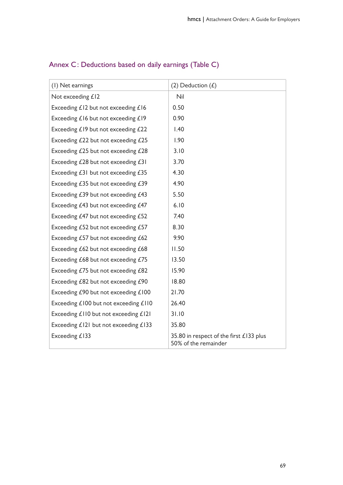| (1) Net earnings                      | (2) Deduction $(f)$                                             |
|---------------------------------------|-----------------------------------------------------------------|
| Not exceeding £12                     | Nil                                                             |
| Exceeding £12 but not exceeding £16   | 0.50                                                            |
| Exceeding £16 but not exceeding £19   | 0.90                                                            |
| Exceeding £19 but not exceeding £22   | 1.40                                                            |
| Exceeding £22 but not exceeding £25   | 1.90                                                            |
| Exceeding £25 but not exceeding £28   | 3.10                                                            |
| Exceeding £28 but not exceeding £31   | 3.70                                                            |
| Exceeding £31 but not exceeding £35   | 4.30                                                            |
| Exceeding £35 but not exceeding £39   | 4.90                                                            |
| Exceeding £39 but not exceeding £43   | 5.50                                                            |
| Exceeding £43 but not exceeding £47   | 6.10                                                            |
| Exceeding £47 but not exceeding £52   | 7.40                                                            |
| Exceeding £52 but not exceeding £57   | 8.30                                                            |
| Exceeding £57 but not exceeding £62   | 9.90                                                            |
| Exceeding £62 but not exceeding £68   | II.50                                                           |
| Exceeding £68 but not exceeding £75   | 13.50                                                           |
| Exceeding £75 but not exceeding £82   | 15.90                                                           |
| Exceeding £82 but not exceeding £90   | 18.80                                                           |
| Exceeding £90 but not exceeding £100  | 21.70                                                           |
| Exceeding £100 but not exceeding £110 | 26.40                                                           |
| Exceeding £110 but not exceeding £121 | 31.10                                                           |
| Exceeding £121 but not exceeding £133 | 35.80                                                           |
| Exceeding £133                        | 35.80 in respect of the first £133 plus<br>50% of the remainder |

# Annex C: Deductions based on daily earnings (Table C)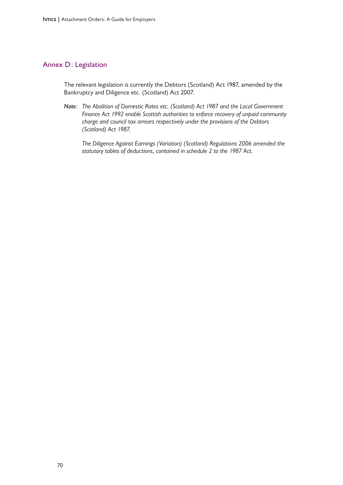# Annex D: Legislation

The relevant legislation is currently the Debtors (Scotland) Act 1987, amended by the Bankruptcy and Diligence etc. (Scotland) Act 2007.

*Note: The Abolition of Domestic Rates etc. (Scotland) Act 1987 and the Local Government Finance Act 1992 enable Scottish authorities to enforce recovery of unpaid community charge and council tax arrears respectively under the provisions of the Debtors (Scotland) Act 1987.*

 *The Diligence Against Earnings (Variation) (Scotland) Regulations 2006 amended the statutory tables of deductions, contained in schedule 2 to the 1987 Act.*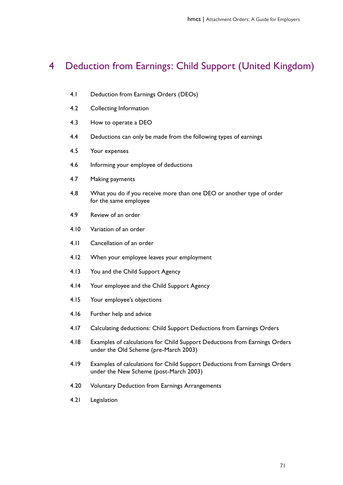# 4 Deduction from Earnings: Child Support (United Kingdom)

- 4.1 Deduction from Earnings Orders (DEOs)
- 4.2 Collecting Information
- 4.3 How to operate a DEO
- 4.4 Deductions can only be made from the following types of earnings
- 4.5 Your expenses
- 4.6 Informing your employee of deductions
- 4.7 Making payments
- 4.8 What you do if you receive more than one DEO or another type of order for the same employee
- 4.9 Review of an order
- 4.10 Variation of an order
- 4.11 Cancellation of an order
- 4.12 When your employee leaves your employment
- 4.13 You and the Child Support Agency
- 4.14 Your employee and the Child Support Agency
- 4.15 Your employee's objections
- 4.16 Further help and advice
- 4.17 Calculating deductions: Child Support Deductions from Earnings Orders
- 4.18 Examples of calculations for Child Support Deductions from Earnings Orders under the Old Scheme (pre-March 2003)
- 4.19 Examples of calculations for Child Support Deductions from Earnings Orders under the New Scheme (post-March 2003)
- 4.20 Voluntary Deduction from Earnings Arrangements
- 4.21 Legislation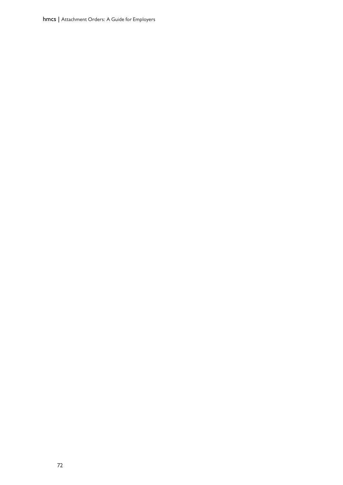hmcs | Attachment Orders: A Guide for Employers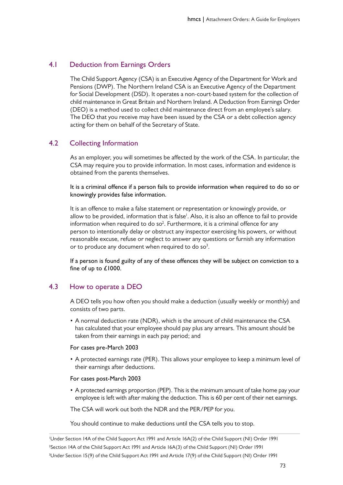## 4.1 Deduction from Earnings Orders

The Child Support Agency (CSA) is an Executive Agency of the Department for Work and Pensions (DWP). The Northern Ireland CSA is an Executive Agency of the Department for Social Development (DSD). It operates a non-court-based system for the collection of child maintenance in Great Britain and Northern Ireland. A Deduction from Earnings Order (DEO) is a method used to collect child maintenance direct from an employee's salary. The DEO that you receive may have been issued by the CSA or a debt collection agency acting for them on behalf of the Secretary of State.

# 4.2 Collecting Information

As an employer, you will sometimes be affected by the work of the CSA. In particular, the CSA may require you to provide information. In most cases, information and evidence is obtained from the parents themselves.

It is a criminal offence if a person fails to provide information when required to do so or knowingly provides false information.

It is an offence to make a false statement or representation or knowingly provide, or allow to be provided, information that is false<sup>1</sup>. Also, it is also an offence to fail to provide information when required to do so<sup>2</sup>. Furthermore, it is a criminal offence for any person to intentionally delay or obstruct any inspector exercising his powers, or without reasonable excuse, refuse or neglect to answer any questions or furnish any information or to produce any document when required to do so<sup>3</sup>.

If a person is found guilty of any of these offences they will be subject on conviction to a fine of up to £1000.

# 4.3 How to operate a DEO

A DEO tells you how often you should make a deduction (usually weekly or monthly) and consists of two parts.

• A normal deduction rate (NDR), which is the amount of child maintenance the CSA has calculated that your employee should pay plus any arrears. This amount should be taken from their earnings in each pay period; and

#### For cases pre-March 2003

• A protected earnings rate (PER). This allows your employee to keep a minimum level of their earnings after deductions.

#### For cases post-March 2003

• A protected earnings proportion (PEP). This is the minimum amount of take home pay your employee is left with after making the deduction. This is 60 per cent of their net earnings.

The CSA will work out both the NDR and the PER/PEP for you.

You should continue to make deductions until the CSA tells you to stop.

1 Under Section 14A of the Child Support Act 1991 and Article 16A(2) of the Child Support (NI) Order 1991 2 Section 14A of the Child Support Act 1991 and Article 16A(3) of the Child Support (NI) Order 1991 3 Under Section 15(9) of the Child Support Act 1991 and Article 17(9) of the Child Support (NI) Order 1991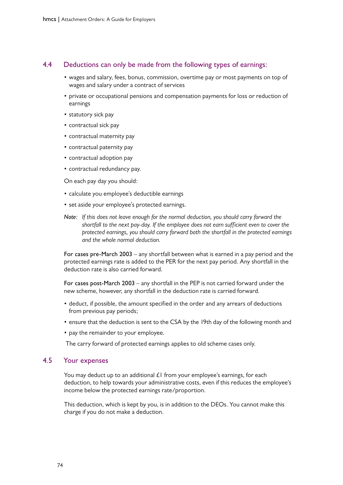## 4.4 Deductions can only be made from the following types of earnings:

- wages and salary, fees, bonus, commission, overtime pay or most payments on top of wages and salary under a contract of services
- private or occupational pensions and compensation payments for loss or reduction of earnings
- statutory sick pay
- contractual sick pay
- contractual maternity pay
- contractual paternity pay
- contractual adoption pay
- contractual redundancy pay.

On each pay day you should:

- calculate you employee's deductible earnings
- set aside your employee's protected earnings.
- *Note: If this does not leave enough for the normal deduction, you should carry forward the shortfall to the next pay-day. If the employee does not earn sufficient even to cover the protected earnings, you should carry forward both the shortfall in the protected earnings and the whole normal deduction.*

For cases pre-March 2003 – any shortfall between what is earned in a pay period and the protected earnings rate is added to the PER for the next pay period. Any shortfall in the deduction rate is also carried forward.

For cases post-March 2003 – any shortfall in the PEP is not carried forward under the new scheme, however, any shortfall in the deduction rate is carried forward.

- deduct, if possible, the amount specified in the order and any arrears of deductions from previous pay periods;
- ensure that the deduction is sent to the CSA by the 19th day of the following month and
- pay the remainder to your employee.

The carry forward of protected earnings applies to old scheme cases only.

# 4.5 Your expenses

You may deduct up to an additional £1 from your employee's earnings, for each deduction, to help towards your administrative costs, even if this reduces the employee's income below the protected earnings rate/proportion.

This deduction, which is kept by you, is in addition to the DEOs. You cannot make this charge if you do not make a deduction.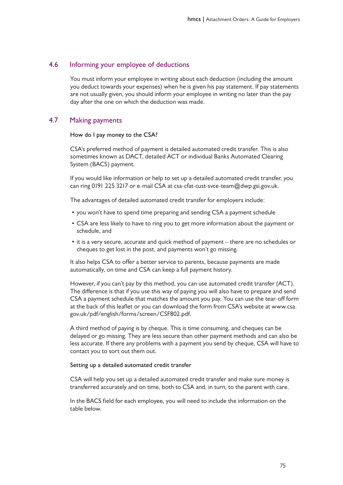## 4.6 Informing your employee of deductions

You must inform your employee in writing about each deduction (including the amount you deduct towards your expenses) when he is given his pay statement. If pay statements are not usually given, you should inform your employee in writing no later than the pay day after the one on which the deduction was made.

## 4.7 Making payments

How do I pay money to the CSA?

CSA's preferred method of payment is detailed automated credit transfer. This is also sometimes known as DACT, detailed ACT or individual Banks Automated Clearing System (BACS) payment.

If you would like information or help to set up a detailed automated credit transfer, you can ring 0191 225 3217 or e-mail CSA at [csa-cfat-cust-svce-team@dwp.gsi.gov.uk.](mailto:csa-cfat-cust-svce-team@dwp.gsi.gov.uk)

The advantages of detailed automated credit transfer for employers include:

- you won't have to spend time preparing and sending CSA a payment schedule
- CSA are less likely to have to ring you to get more information about the payment or schedule, and
- it is a very secure, accurate and quick method of payment there are no schedules or cheques to get lost in the post, and payments won't go missing.

It also helps CSA to offer a better service to parents, because payments are made automatically, on time and CSA can keep a full payment history.

However, if you can't pay by this method, you can use automated credit transfer (ACT). The difference is that if you use this way of paying you will also have to prepare and send CSA a payment schedule that matches the amount you pay. You can use the tear-off form at the back of this leaflet or you can download the form from CSA's website at [www.csa.](http://www.cmoptions.org/) [gov.uk/pdf/english/forms/screen/CSF802.pdf](http://www.cmoptions.org/).

A third method of paying is by cheque. This is time consuming, and cheques can be delayed or go missing. They are less secure than other payment methods and can also be less accurate. If there any problems with a payment you send by cheque, CSA will have to contact you to sort out them out.

#### Setting up a detailed automated credit transfer

CSA will help you set up a detailed automated credit transfer and make sure money is transferred accurately and on time, both to CSA and, in turn, to the parent with care.

In the BACS field for each employee, you will need to include the information on the table below.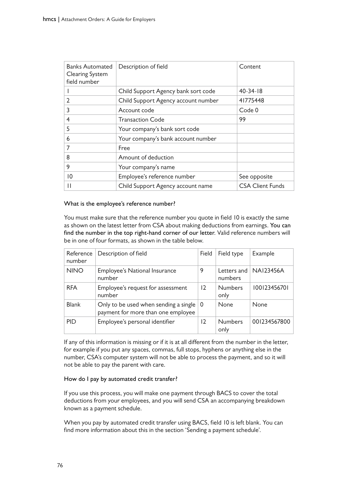| <b>Banks Automated</b><br>Clearing System<br>field number | Description of field                | Content                 |
|-----------------------------------------------------------|-------------------------------------|-------------------------|
|                                                           | Child Support Agency bank sort code | $40 - 34 - 18$          |
| 2                                                         | Child Support Agency account number | 41775448                |
| 3                                                         | Account code                        | Code 0                  |
| 4                                                         | Transaction Code                    | 99                      |
| 5                                                         | Your company's bank sort code       |                         |
| 6                                                         | Your company's bank account number  |                         |
| 7                                                         | Free                                |                         |
| 8                                                         | Amount of deduction                 |                         |
| 9                                                         | Your company's name                 |                         |
| $\overline{10}$                                           | Employee's reference number         | See opposite            |
| Ш                                                         | Child Support Agency account name   | <b>CSA Client Funds</b> |

### What is the employee's reference number?

You must make sure that the reference number you quote in field 10 is exactly the same as shown on the latest letter from CSA about making deductions from earnings. You can find the number in the top right-hand corner of our letter. Valid reference numbers will be in one of four formats, as shown in the table below.

| Reference<br>number | Description of field                                                        | Field | Field type             | Example      |
|---------------------|-----------------------------------------------------------------------------|-------|------------------------|--------------|
| <b>NINO</b>         | Employee's National Insurance<br>number                                     | 9     | Letters and<br>numbers | NAI23456A    |
| <b>RFA</b>          | Employee's request for assessment<br>number                                 | 12    | <b>Numbers</b><br>only | 100123456701 |
| Blank               | Only to be used when sending a single<br>payment for more than one employee | O     | <b>None</b>            | None         |
| PID                 | Employee's personal identifier                                              | 12    | <b>Numbers</b><br>only | 001234567800 |

If any of this information is missing or if it is at all different from the number in the letter, for example if you put any spaces, commas, full stops, hyphens or anything else in the number, CSA's computer system will not be able to process the payment, and so it will not be able to pay the parent with care.

#### How do I pay by automated credit transfer?

If you use this process, you will make one payment through BACS to cover the total deductions from your employees, and you will send CSA an accompanying breakdown known as a payment schedule.

When you pay by automated credit transfer using BACS, field 10 is left blank. You can find more information about this in the section 'Sending a payment schedule'.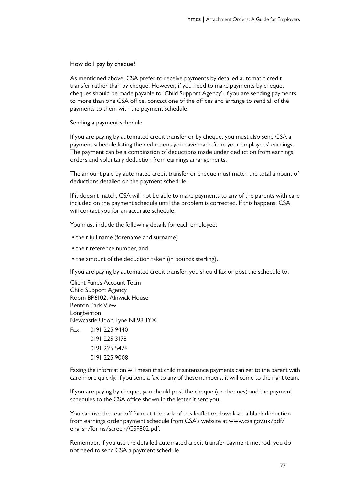How do I pay by cheque?

As mentioned above, CSA prefer to receive payments by detailed automatic credit transfer rather than by cheque. However, if you need to make payments by cheque, cheques should be made payable to 'Child Support Agency'. If you are sending payments to more than one CSA office, contact one of the offices and arrange to send all of the payments to them with the payment schedule.

#### Sending a payment schedule

If you are paying by automated credit transfer or by cheque, you must also send CSA a payment schedule listing the deductions you have made from your employees' earnings. The payment can be a combination of deductions made under deduction from earnings orders and voluntary deduction from earnings arrangements.

The amount paid by automated credit transfer or cheque must match the total amount of deductions detailed on the payment schedule.

If it doesn't match, CSA will not be able to make payments to any of the parents with care included on the payment schedule until the problem is corrected. If this happens, CSA will contact you for an accurate schedule.

You must include the following details for each employee:

- their full name (forename and surname)
- their reference number, and
- the amount of the deduction taken (in pounds sterling).

If you are paying by automated credit transfer, you should fax or post the schedule to:

Client Funds Account Team Child Support Agency Room BP6102, Alnwick House Benton Park View Longbenton Newcastle Upon Tyne NE98 1YX Fax: 0191 225 9440 0191 225 3178 0191 225 5426 0191 225 9008

Faxing the information will mean that child maintenance payments can get to the parent with care more quickly. If you send a fax to any of these numbers, it will come to the right team.

If you are paying by cheque, you should post the cheque (or cheques) and the payment schedules to the CSA office shown in the letter it sent you.

You can use the tear-off form at the back of this leaflet or download a blank deduction from earnings order payment schedule from CSA's website at [www.csa.gov.uk/pdf/](http://www.cmoptions.org/) [english/forms/screen/CSF802.pdf.](http://www.cmoptions.org/)

Remember, if you use the detailed automated credit transfer payment method, you do not need to send CSA a payment schedule.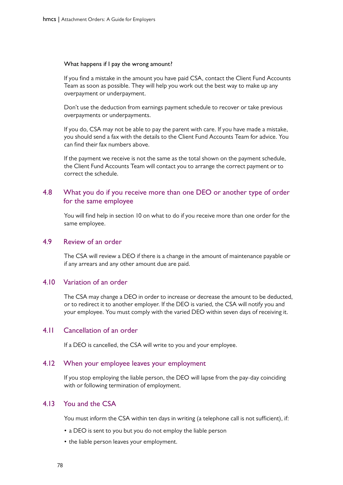#### What happens if I pay the wrong amount?

If you find a mistake in the amount you have paid CSA, contact the Client Fund Accounts Team as soon as possible. They will help you work out the best way to make up any overpayment or underpayment.

Don't use the deduction from earnings payment schedule to recover or take previous overpayments or underpayments.

If you do, CSA may not be able to pay the parent with care. If you have made a mistake, you should send a fax with the details to the Client Fund Accounts Team for advice. You can find their fax numbers above.

If the payment we receive is not the same as the total shown on the payment schedule, the Client Fund Accounts Team will contact you to arrange the correct payment or to correct the schedule.

# 4.8 What you do if you receive more than one DEO or another type of order for the same employee

You will find help in section 10 on what to do if you receive more than one order for the same employee.

### 4.9 Review of an order

The CSA will review a DEO if there is a change in the amount of maintenance payable or if any arrears and any other amount due are paid.

# 4.10 Variation of an order

The CSA may change a DEO in order to increase or decrease the amount to be deducted, or to redirect it to another employer. If the DEO is varied, the CSA will notify you and your employee. You must comply with the varied DEO within seven days of receiving it.

## 4.11 Cancellation of an order

If a DEO is cancelled, the CSA will write to you and your employee.

### 4.12 When your employee leaves your employment

If you stop employing the liable person, the DEO will lapse from the pay-day coinciding with or following termination of employment.

# 4.13 You and the CSA

You must inform the CSA within ten days in writing (a telephone call is not sufficient), if:

- a DEO is sent to you but you do not employ the liable person
- the liable person leaves your employment.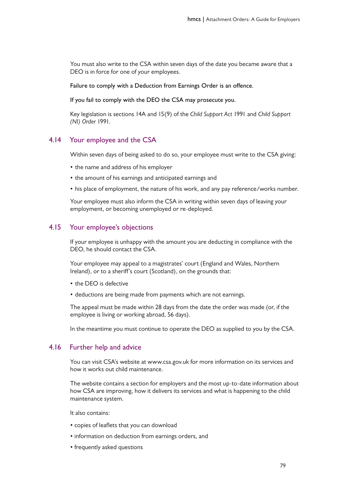You must also write to the CSA within seven days of the date you became aware that a DEO is in force for one of your employees.

Failure to comply with a Deduction from Earnings Order is an offence.

If you fail to comply with the DEO the CSA may prosecute you.

Key legislation is sections 14A and 15(9) of the *Child Support Act* 1991 and *Child Support (NI) Order* 1991.

## 4.14 Your employee and the CSA

Within seven days of being asked to do so, your employee must write to the CSA giving:

- the name and address of his employer
- the amount of his earnings and anticipated earnings and
- his place of employment, the nature of his work, and any pay reference/works number.

Your employee must also inform the CSA in writing within seven days of leaving your employment, or becoming unemployed or re-deployed.

## 4.15 Your employee's objections

If your employee is unhappy with the amount you are deducting in compliance with the DEO, he should contact the CSA.

Your employee may appeal to a magistrates' court (England and Wales, Northern Ireland), or to a sheriff's court (Scotland), on the grounds that:

- the DEO is defective
- deductions are being made from payments which are not earnings.

The appeal must be made within 28 days from the date the order was made (or, if the employee is living or working abroad, 56 days).

In the meantime you must continue to operate the DEO as supplied to you by the CSA.

## 4.16 Further help and advice

You can visit CSA's website at<www.csa.gov.uk>for more information on its services and how it works out child maintenance.

The website contains a section for employers and the most up-to-date information about how CSA are improving, how it delivers its services and what is happening to the child maintenance system.

It also contains:

- copies of leaflets that you can download
- information on deduction from earnings orders, and
- frequently asked questions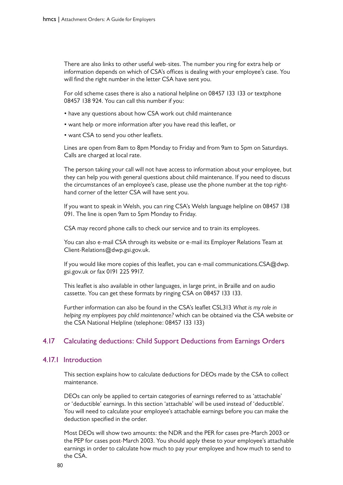There are also links to other useful web-sites. The number you ring for extra help or information depends on which of CSA's offices is dealing with your employee's case. You will find the right number in the letter CSA have sent you.

For old scheme cases there is also a national helpline on 08457 133 133 or textphone 08457 138 924. You can call this number if you:

- have any questions about how CSA work out child maintenance
- want help or more information after you have read this leaflet, or
- want CSA to send you other leaflets.

Lines are open from 8am to 8pm Monday to Friday and from 9am to 5pm on Saturdays. Calls are charged at local rate.

The person taking your call will not have access to information about your employee, but they can help you with general questions about child maintenance. If you need to discuss the circumstances of an employee's case, please use the phone number at the top righthand corner of the letter CSA will have sent you.

If you want to speak in Welsh, you can ring CSA's Welsh language helpline on 08457 138 091. The line is open 9am to 5pm Monday to Friday.

CSA may record phone calls to check our service and to train its employees.

You can also e-mail CSA through its website or e-mail its Employer Relations Team at [Client-Relations@dwp.gsi.gov.uk](mailto:Client-Relations@dwp.gsi.gov.uk).

If you would like more copies of this leaflet, you can e-mail [communications.CSA@dwp.](mailto:communications.CSA@dwp.gsi.gov.uk) [gsi.gov.uk](mailto:communications.CSA@dwp.gsi.gov.uk) or fax 0191 225 9917.

This leaflet is also available in other languages, in large print, in Braille and on audio cassette. You can get these formats by ringing CSA on 08457 133 133.

Further information can also be found in the CSA's leaflet CSL313 *What is my role in helping my employees pay child maintenance?* which can be obtained via the CSA website or the CSA National Helpline (telephone: 08457 133 133)

## 4.17 Calculating deductions: Child Support Deductions from Earnings Orders

### 4.17.1 Introduction

This section explains how to calculate deductions for DEOs made by the CSA to collect maintenance.

DEOs can only be applied to certain categories of earnings referred to as 'attachable' or 'deductible' earnings. In this section 'attachable' will be used instead of 'deductible'. You will need to calculate your employee's attachable earnings before you can make the deduction specified in the order.

Most DEOs will show two amounts: the NDR and the PER for cases pre-March 2003 or the PEP for cases post-March 2003. You should apply these to your employee's attachable earnings in order to calculate how much to pay your employee and how much to send to the CSA.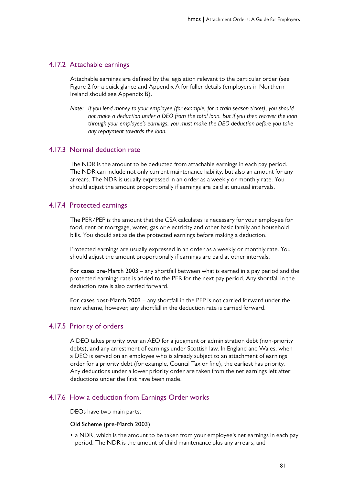### 4.17.2 Attachable earnings

Attachable earnings are defined by the legislation relevant to the particular order (see Figure 2 for a quick glance and Appendix A for fuller details (employers in Northern Ireland should see Appendix B).

*Note: If you lend money to your employee (for example, for a train season ticket), you should not make a deduction under a DEO from the total loan. But if you then recover the loan through your employee's earnings, you must make the DEO deduction before you take any repayment towards the loan.*

# 4.17.3 Normal deduction rate

The NDR is the amount to be deducted from attachable earnings in each pay period. The NDR can include not only current maintenance liability, but also an amount for any arrears. The NDR is usually expressed in an order as a weekly or monthly rate. You should adjust the amount proportionally if earnings are paid at unusual intervals.

## 4.17.4 Protected earnings

The PER/PEP is the amount that the CSA calculates is necessary for your employee for food, rent or mortgage, water, gas or electricity and other basic family and household bills. You should set aside the protected earnings before making a deduction.

Protected earnings are usually expressed in an order as a weekly or monthly rate. You should adjust the amount proportionally if earnings are paid at other intervals.

For cases pre-March 2003 – any shortfall between what is earned in a pay period and the protected earnings rate is added to the PER for the next pay period. Any shortfall in the deduction rate is also carried forward.

For cases post-March 2003 – any shortfall in the PEP is not carried forward under the new scheme, however, any shortfall in the deduction rate is carried forward.

## 4.17.5 Priority of orders

A DEO takes priority over an AEO for a judgment or administration debt (non-priority debts), and any arrestment of earnings under Scottish law. In England and Wales, when a DEO is served on an employee who is already subject to an attachment of earnings order for a priority debt (for example, Council Tax or fine), the earliest has priority. Any deductions under a lower priority order are taken from the net earnings left after deductions under the first have been made.

### 4.17.6 How a deduction from Earnings Order works

DEOs have two main parts:

#### Old Scheme (pre-March 2003)

• a NDR, which is the amount to be taken from your employee's net earnings in each pay period. The NDR is the amount of child maintenance plus any arrears, and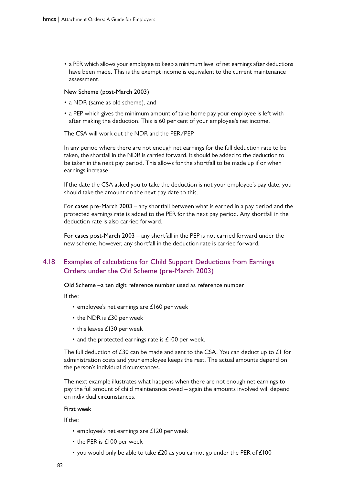• a PER which allows your employee to keep a minimum level of net earnings after deductions have been made. This is the exempt income is equivalent to the current maintenance assessment.

#### New Scheme (post-March 2003)

- a NDR (same as old scheme), and
- a PEP which gives the minimum amount of take home pay your employee is left with after making the deduction. This is 60 per cent of your employee's net income.

The CSA will work out the NDR and the PER/PEP

In any period where there are not enough net earnings for the full deduction rate to be taken, the shortfall in the NDR is carried forward. It should be added to the deduction to be taken in the next pay period. This allows for the shortfall to be made up if or when earnings increase.

If the date the CSA asked you to take the deduction is not your employee's pay date, you should take the amount on the next pay date to this.

For cases pre-March 2003 – any shortfall between what is earned in a pay period and the protected earnings rate is added to the PER for the next pay period. Any shortfall in the deduction rate is also carried forward.

For cases post-March 2003 – any shortfall in the PEP is not carried forward under the new scheme, however, any shortfall in the deduction rate is carried forward.

# 4.18 Examples of calculations for Child Support Deductions from Earnings Orders under the Old Scheme (pre-March 2003)

#### Old Scheme –a ten digit reference number used as reference number

If the:

- employee's net earnings are £160 per week
- the NDR is £30 per week
- this leaves £130 per week
- and the protected earnings rate is £100 per week.

The full deduction of  $£30$  can be made and sent to the CSA. You can deduct up to  $£1$  for administration costs and your employee keeps the rest. The actual amounts depend on the person's individual circumstances.

The next example illustrates what happens when there are not enough net earnings to pay the full amount of child maintenance owed – again the amounts involved will depend on individual circumstances.

#### First week

If the:

- employee's net earnings are £120 per week
- the PER is £100 per week
- you would only be able to take £20 as you cannot go under the PER of £100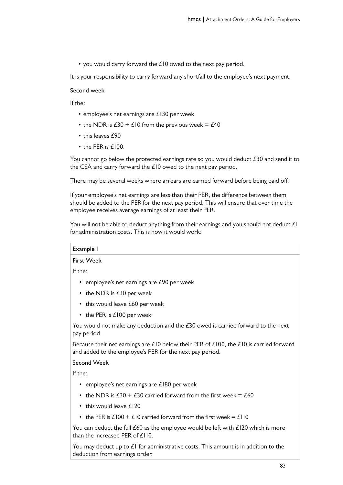• you would carry forward the £10 owed to the next pay period.

It is your responsibility to carry forward any shortfall to the employee's next payment.

#### Second week

If the:

- employee's net earnings are £130 per week
- the NDR is  $£30 + £10$  from the previous week =  $£40$
- this leaves £90
- the PER is £100.

You cannot go below the protected earnings rate so you would deduct £30 and send it to the CSA and carry forward the £10 owed to the next pay period.

There may be several weeks where arrears are carried forward before being paid off.

If your employee's net earnings are less than their PER, the difference between them should be added to the PER for the next pay period. This will ensure that over time the employee receives average earnings of at least their PER.

You will not be able to deduct anything from their earnings and you should not deduct £1 for administration costs. This is how it would work:

| Example 1<br><b>First Week</b>                                                                                                                     |
|----------------------------------------------------------------------------------------------------------------------------------------------------|
|                                                                                                                                                    |
|                                                                                                                                                    |
| If the:                                                                                                                                            |
| • employee's net earnings are $E$ 90 per week                                                                                                      |
| • the NDR is £30 per week                                                                                                                          |
| • this would leave £60 per week                                                                                                                    |
| • the PER is $£100$ per week                                                                                                                       |
| You would not make any deduction and the £30 owed is carried forward to the next<br>pay period.                                                    |
| Because their net earnings are £10 below their PER of £100, the £10 is carried forward<br>and added to the employee's PER for the next pay period. |
| <b>Second Week</b>                                                                                                                                 |
| If the:                                                                                                                                            |
| • employee's net earnings are $£180$ per week                                                                                                      |
| • the NDR is $\text{\pounds}30 + \text{\pounds}30$ carried forward from the first week = $\text{\pounds}60$                                        |
| • this would leave £120                                                                                                                            |
| • the PER is $\angle 100 + \angle 10$ carried forward from the first week = $\angle 110$                                                           |
| You can deduct the full $£60$ as the employee would be left with $£120$ which is more<br>than the increased PER of £110.                           |
| You may deduct up to $E1$ for administrative costs. This amount is in addition to the<br>deduction from earnings order.                            |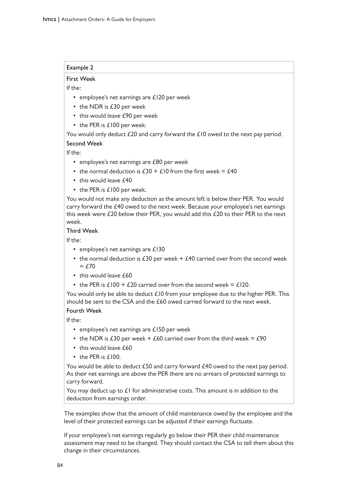## Example 2

## First Week

If the:

- employee's net earnings are £120 per week
- the NDR is £30 per week
- this would leave £90 per week
- the PER is £100 per week.

You would only deduct  $£20$  and carry forward the  $£10$  owed to the next pay period. Second Week

If the:

- employee's net earnings are £80 per week
- the normal deduction is  $£30 + £10$  from the first week =  $£40$
- this would leave £40
- the PER is £100 per week.

You would not make any deduction as the amount left is below their PER. You would carry forward the £40 owed to the next week. Because your employee's net earnings this week were £20 below their PER, you would add this £20 to their PER to the next week.

### Third Week

If the:

- employee's net earnings are £130
- the normal deduction is  $£30$  per week  $+ £40$  carried over from the second week  $= f70$
- $\cdot$  this would leave  $f60$
- the PER is  $£100 + £20$  carried over from the second week =  $£120$ .

You would only be able to deduct  $£10$  from your employee due to the higher PER. This should be sent to the CSA and the £60 owed carried forward to the next week.

#### Fourth Week

If the:

- employee's net earnings are £150 per week
- the NDR is £30 per week + £60 carried over from the third week = £90
- this would leave  $£60$
- the PER is £100.

You would be able to deduct  $£50$  and carry forward  $£40$  owed to the next pay period. As their net earnings are above the PER there are no arrears of protected earnings to carry forward.

You may deduct up to  $\mathcal{L}$  I for administrative costs. This amount is in addition to the deduction from earnings order.

The examples show that the amount of child maintenance owed by the employee and the level of their protected earnings can be adjusted if their earnings fluctuate.

If your employee's net earnings regularly go below their PER their child maintenance assessment may need to be changed. They should contact the CSA to tell them about this change in their circumstances.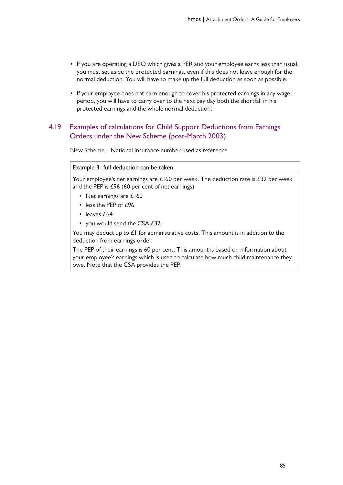- If you are operating a DEO which gives a PER and your employee earns less than usual, you must set aside the protected earnings, even if this does not leave enough for the normal deduction. You will have to make up the full deduction as soon as possible.
- If your employee does not earn enough to cover his protected earnings in any wage period, you will have to carry over to the next pay day both the shortfall in his protected earnings and the whole normal deduction.

# 4.19 Examples of calculations for Child Support Deductions from Earnings Orders under the New Scheme (post-March 2003)

New Scheme – National Insurance number used as reference

#### Example 3: full deduction can be taken.

Your employee's net earnings are  $£160$  per week. The deduction rate is  $£32$  per week and the PEP is £96 (60 per cent of net earnings)

- Net earnings are £160
- less the PEP of £96
- leaves £64
- you would send the CSA £32.

You may deduct up to  $\mathcal{L}$  I for administrative costs. This amount is in addition to the deduction from earnings order.

The PEP of their earnings is 60 per cent. This amount is based on information about your employee's earnings which is used to calculate how much child maintenance they owe. Note that the CSA provides the PEP.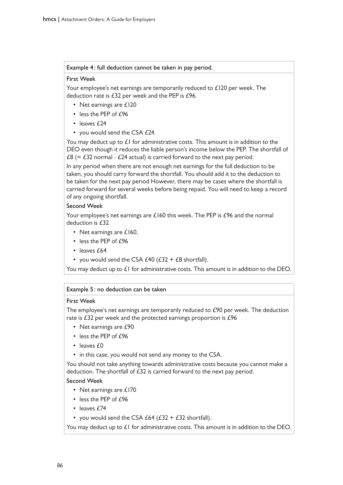#### Example 4: full deduction cannot be taken in pay period.

#### First Week

Your employee's net earnings are temporarily reduced to £120 per week. The deduction rate is £32 per week and the PEP is £96.

- Net earnings are £120
- less the PEP of £96
- leaves £24
- you would send the CSA £24.

You may deduct up to £1 for administrative costs. This amount is in addition to the DEO even though it reduces the liable person's income below the PEP. The shortfall of £8 (= £32 normal - £24 actual) is carried forward to the next pay period.

In any period when there are not enough net earnings for the full deduction to be taken, you should carry forward the shortfall. You should add it to the deduction to be taken for the next pay period However, there may be cases where the shortfall is carried forward for several weeks before being repaid. You will need to keep a record of any ongoing shortfall.

### Second Week

Your employee's net earnings are £160 this week. The PEP is £96 and the normal deduction is £32

- Net earnings are £160,
- less the PEP of £96
- $\cdot$  leaves  $f64$
- you would send the CSA  $£40$  ( $£32 + £8$  shortfall).

You may deduct up to  $E1$  for administrative costs. This amount is in addition to the DEO.

## Example 5: no deduction can be taken

#### First Week

The employee's net earnings are temporarily reduced to £90 per week. The deduction rate is £32 per week and the protected earnings proportion is £96

- Net earnings are £90
- less the PFP of £96
- leaves £0
- in this case, you would not send any money to the CSA.

You should not take anything towards administrative costs because you cannot make a deduction. The shortfall of £32 is carried forward to the next pay period.

#### Second Week

- Net earnings are £170
- less the PFP of £96
- leaves £74
- you would send the CSA  $E64$  ( $E32 + E32$  shortfall).

You may deduct up to  $E1$  for administrative costs. This amount is in addition to the DEO.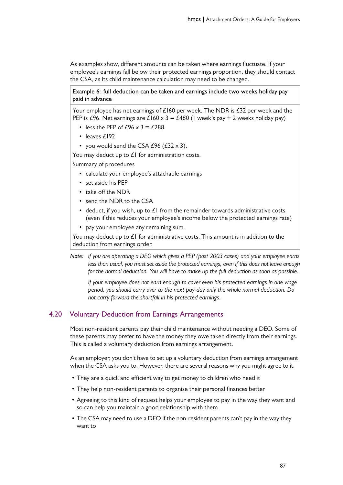As examples show, different amounts can be taken where earnings fluctuate. If your employee's earnings fall below their protected earnings proportion, they should contact the CSA, as its child maintenance calculation may need to be changed.

Example 6 : full deduction can be taken and earnings include two weeks holiday pay paid in advance

Your employee has net earnings of  $£160$  per week. The NDR is  $£32$  per week and the PEP is £96. Net earnings are £160 x 3 = £480 (1 week's pay + 2 weeks holiday pay)

- less the PEP of  $£96 \times 3 = £288$
- $\cdot$  leaves  $f192$
- you would send the CSA  $£96$  ( $£32 \times 3$ ).

You may deduct up to £1 for administration costs.

Summary of procedures

- calculate your employee's attachable earnings
- set aside his PEP
- take off the NDR
- send the NDR to the CSA
- deduct, if you wish, up to  $E1$  from the remainder towards administrative costs (even if this reduces your employee's income below the protected earnings rate)
- pay your employee any remaining sum.

You may deduct up to  $E1$  for administrative costs. This amount is in addition to the deduction from earnings order.

Note: if you are operating a DEO which gives a PEP (post 2003 cases) and your employee earns *less than usual, you must set aside the protected earnings, even if this does not leave enough for the normal deduction. You will have to make up the full deduction as soon as possible.*

*if your employee does not earn enough to cover even his protected earnings in one wage period, you should carry over to the next pay-day only the whole normal deduction. Do not carry forward the shortfall in his protected earnings.*

## 4.20 Voluntary Deduction from Earnings Arrangements

Most non-resident parents pay their child maintenance without needing a DEO. Some of these parents may prefer to have the money they owe taken directly from their earnings. This is called a voluntary deduction from earnings arrangement.

As an employer, you don't have to set up a voluntary deduction from earnings arrangement when the CSA asks you to. However, there are several reasons why you might agree to it.

- They are a quick and efficient way to get money to children who need it
- They help non-resident parents to organise their personal finances better
- Agreeing to this kind of request helps your employee to pay in the way they want and so can help you maintain a good relationship with them
- The CSA may need to use a DEO if the non-resident parents can't pay in the way they want to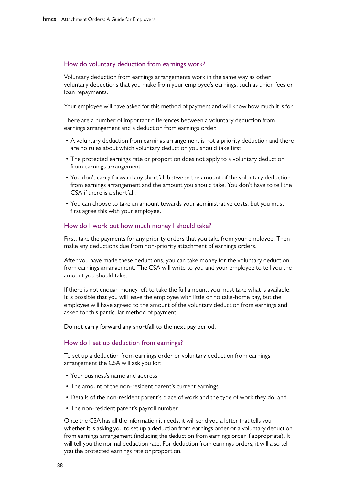### How do voluntary deduction from earnings work?

Voluntary deduction from earnings arrangements work in the same way as other voluntary deductions that you make from your employee's earnings, such as union fees or loan repayments.

Your employee will have asked for this method of payment and will know how much it is for.

There are a number of important differences between a voluntary deduction from earnings arrangement and a deduction from earnings order.

- A voluntary deduction from earnings arrangement is not a priority deduction and there are no rules about which voluntary deduction you should take first
- The protected earnings rate or proportion does not apply to a voluntary deduction from earnings arrangement
- You don't carry forward any shortfall between the amount of the voluntary deduction from earnings arrangement and the amount you should take. You don't have to tell the CSA if there is a shortfall.
- You can choose to take an amount towards your administrative costs, but you must first agree this with your employee.

### How do I work out how much money I should take?

First, take the payments for any priority orders that you take from your employee. Then make any deductions due from non-priority attachment of earnings orders.

After you have made these deductions, you can take money for the voluntary deduction from earnings arrangement. The CSA will write to you and your employee to tell you the amount you should take.

If there is not enough money left to take the full amount, you must take what is available. It is possible that you will leave the employee with little or no take-home pay, but the employee will have agreed to the amount of the voluntary deduction from earnings and asked for this particular method of payment.

Do not carry forward any shortfall to the next pay period.

#### How do I set up deduction from earnings?

To set up a deduction from earnings order or voluntary deduction from earnings arrangement the CSA will ask you for:

- Your business's name and address
- The amount of the non-resident parent's current earnings
- Details of the non-resident parent's place of work and the type of work they do, and
- The non-resident parent's payroll number

Once the CSA has all the information it needs, it will send you a letter that tells you whether it is asking you to set up a deduction from earnings order or a voluntary deduction from earnings arrangement (including the deduction from earnings order if appropriate). It will tell you the normal deduction rate. For deduction from earnings orders, it will also tell you the protected earnings rate or proportion.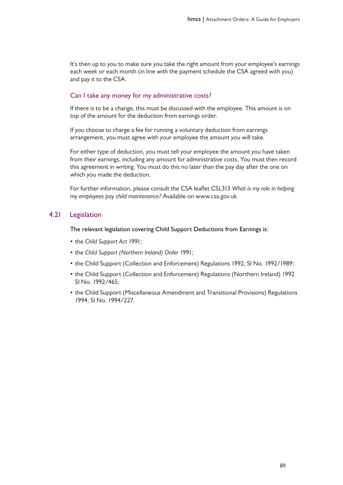It's then up to you to make sure you take the right amount from your employee's earnings each week or each month (in line with the payment schedule the CSA agreed with you) and pay it to the CSA.

### Can I take any money for my administrative costs?

If there is to be a change, this must be discussed with the employee. This amount is on top of the amount for the deduction from earnings order.

If you choose to charge a fee for running a voluntary deduction from earnings arrangement, you must agree with your employee the amount you will take.

For either type of deduction, you must tell your employee the amount you have taken from their earnings, including any amount for administrative costs. You must then record this agreement in writing. You must do this no later than the pay day after the one on which you made the deduction.

For further information, please consult the CSA leaflet CSL313 *What is my role in helping my employees pay child maintenance?* Available on <www.csa.gov.uk>

## 4.21 Legislation

The relevant legislation covering Child Support Deductions from Earnings is:

- the *Child Support Act* 1991;
- the *Child Support (Northern Ireland) Order* 1991;
- the Child Support (Collection and Enforcement) Regulations 1992, SI No. 1992/1989;
- the Child Support (Collection and Enforcement) Regulations (Northern Ireland) 1992 SI No. 1992/465;
- the Child Support (Miscellaneous Amendment and Transitional Provisions) Regulations 1994, SI No. 1994/227.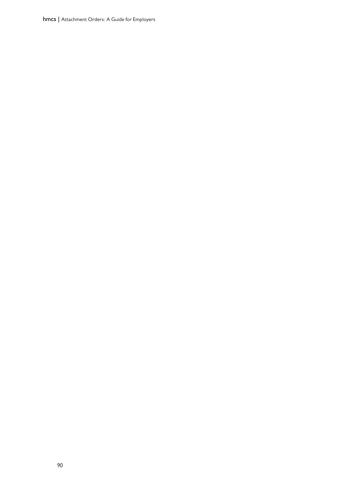hmcs | Attachment Orders: A Guide for Employers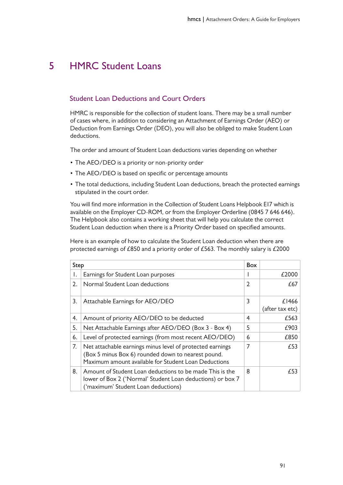# 5 HMRC Student Loans

## Student Loan Deductions and Court Orders

HMRC is responsible for the collection of student loans. There may be a small number of cases where, in addition to considering an Attachment of Earnings Order (AEO) or Deduction from Earnings Order (DEO), you will also be obliged to make Student Loan deductions.

The order and amount of Student Loan deductions varies depending on whether

- The AEO/DEO is a priority or non-priority order
- The AEO/DEO is based on specific or percentage amounts
- The total deductions, including Student Loan deductions, breach the protected earnings stipulated in the court order.

You will find more information in the Collection of Student Loans Helpbook E17 which is available on the Employer CD-ROM, or from the Employer Orderline (0845 7 646 646). The Helpbook also contains a working sheet that will help you calculate the correct Student Loan deduction when there is a Priority Order based on specified amounts.

Here is an example of how to calculate the Student Loan deduction when there are protected earnings of £850 and a priority order of £563. The monthly salary is £2000

| Step |                                                                                                                                                                         | <b>Box</b>     |                             |
|------|-------------------------------------------------------------------------------------------------------------------------------------------------------------------------|----------------|-----------------------------|
| Ι.   | Earnings for Student Loan purposes                                                                                                                                      |                | £2000                       |
| 2.   | Normal Student Loan deductions                                                                                                                                          | $\overline{2}$ | £67                         |
| 3.   | Attachable Earnings for AEO/DEO                                                                                                                                         | 3              | $£$ 1466<br>(after tax etc) |
| 4.   | Amount of priority AEO/DEO to be deducted                                                                                                                               | 4              | £563                        |
| 5.   | Net Attachable Earnings after AEO/DEO (Box 3 - Box 4)                                                                                                                   | 5              | £903                        |
| 6.   | Level of protected earnings (from most recent AEO/DEO)                                                                                                                  | 6              | £850                        |
| 7.   | Net attachable earnings minus level of protected earnings<br>(Box 5 minus Box 6) rounded down to nearest pound.<br>Maximum amount available for Student Loan Deductions | 7              | £53                         |
| 8.   | Amount of Student Loan deductions to be made This is the<br>lower of Box 2 ('Normal' Student Loan deductions) or box 7<br>('maximum' Student Loan deductions)           | 8              | £53                         |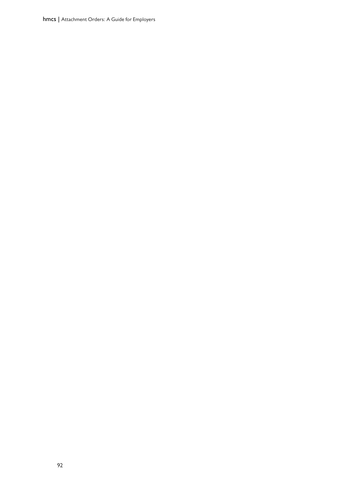hmcs | Attachment Orders: A Guide for Employers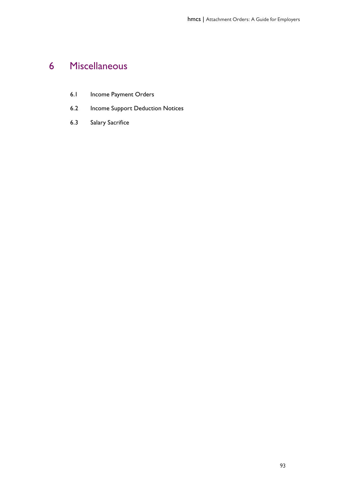# 6 Miscellaneous

- 6.1 Income Payment Orders
- 6.2 Income Support Deduction Notices
- 6.3 Salary Sacrifice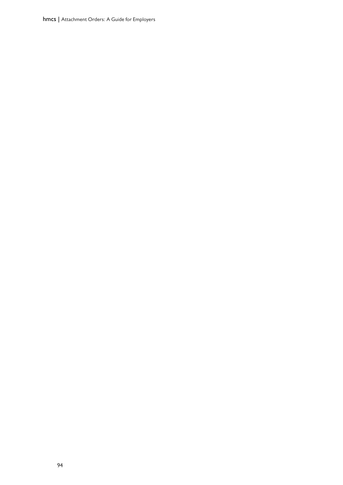hmcs | Attachment Orders: A Guide for Employers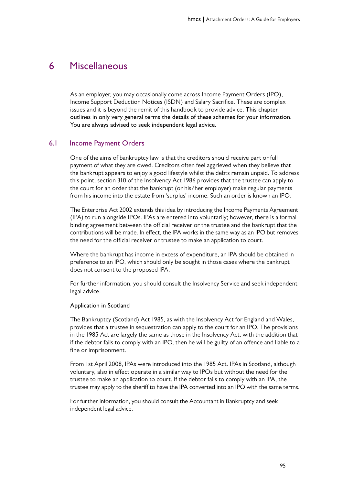# 6 Miscellaneous

As an employer, you may occasionally come across Income Payment Orders (IPO), Income Support Deduction Notices (ISDN) and Salary Sacrifice. These are complex issues and it is beyond the remit of this handbook to provide advice. This chapter outlines in only very general terms the details of these schemes for your information. You are always advised to seek independent legal advice.

## 6.1 Income Payment Orders

One of the aims of bankruptcy law is that the creditors should receive part or full payment of what they are owed. Creditors often feel aggrieved when they believe that the bankrupt appears to enjoy a good lifestyle whilst the debts remain unpaid. To address this point, section 310 of the Insolvency Act 1986 provides that the trustee can apply to the court for an order that the bankrupt (or his/her employer) make regular payments from his income into the estate from 'surplus' income. Such an order is known an IPO.

The Enterprise Act 2002 extends this idea by introducing the Income Payments Agreement (IPA) to run alongside IPOs. IPAs are entered into voluntarily; however, there is a formal binding agreement between the official receiver or the trustee and the bankrupt that the contributions will be made. In effect, the IPA works in the same way as an IPO but removes the need for the official receiver or trustee to make an application to court.

Where the bankrupt has income in excess of expenditure, an IPA should be obtained in preference to an IPO, which should only be sought in those cases where the bankrupt does not consent to the proposed IPA.

For further information, you should consult the Insolvency Service and seek independent legal advice.

#### Application in Scotland

The Bankruptcy (Scotland) Act 1985, as with the Insolvency Act for England and Wales, provides that a trustee in sequestration can apply to the court for an IPO. The provisions in the 1985 Act are largely the same as those in the Insolvency Act, with the addition that if the debtor fails to comply with an IPO, then he will be guilty of an offence and liable to a fine or imprisonment.

From 1st April 2008, IPAs were introduced into the 1985 Act. IPAs in Scotland, although voluntary, also in effect operate in a similar way to IPOs but without the need for the trustee to make an application to court. If the debtor fails to comply with an IPA, the trustee may apply to the sheriff to have the IPA converted into an IPO with the same terms.

For further information, you should consult the Accountant in Bankruptcy and seek independent legal advice.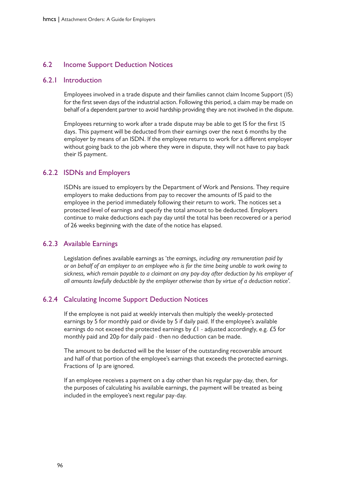# 6.2 Income Support Deduction Notices

## 6.2.1 Introduction

Employees involved in a trade dispute and their families cannot claim Income Support (IS) for the first seven days of the industrial action. Following this period, a claim may be made on behalf of a dependent partner to avoid hardship providing they are not involved in the dispute.

Employees returning to work after a trade dispute may be able to get IS for the first 15 days. This payment will be deducted from their earnings over the next 6 months by the employer by means of an ISDN. If the employee returns to work for a different employer without going back to the job where they were in dispute, they will not have to pay back their IS payment.

# 6.2.2 ISDNs and Employers

ISDNs are issued to employers by the Department of Work and Pensions. They require employers to make deductions from pay to recover the amounts of IS paid to the employee in the period immediately following their return to work. The notices set a protected level of earnings and specify the total amount to be deducted. Employers continue to make deductions each pay day until the total has been recovered or a period of 26 weeks beginning with the date of the notice has elapsed.

# 6.2.3 Available Earnings

Legislation defines available earnings as '*the earnings, including any remuneration paid by* or on behalf of an employer to an employee who is for the time being unable to work owing to *sickness, which remain payable to a claimant on any pay-day after deduction by his employer of all amounts lawfully deductible by the employer otherwise than by virtue of a deduction notice'*.

## 6.2.4 Calculating Income Support Deduction Notices

If the employee is not paid at weekly intervals then multiply the weekly-protected earnings by 5 for monthly paid or divide by 5 if daily paid. If the employee's available earnings do not exceed the protected earnings by  $£1$  - adjusted accordingly, e.g. £5 for monthly paid and 20p for daily paid - then no deduction can be made.

The amount to be deducted will be the lesser of the outstanding recoverable amount and half of that portion of the employee's earnings that exceeds the protected earnings. Fractions of 1p are ignored.

If an employee receives a payment on a day other than his regular pay-day, then, for the purposes of calculating his available earnings, the payment will be treated as being included in the employee's next regular pay-day.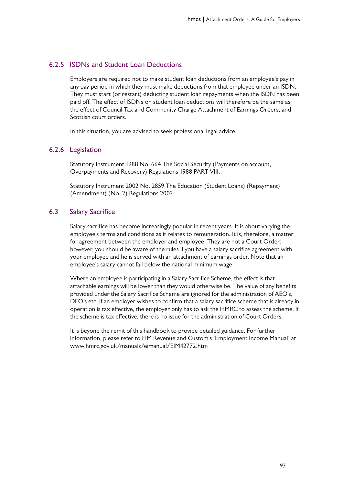## 6.2.5 ISDNs and Student Loan Deductions

Employers are required not to make student loan deductions from an employee's pay in any pay period in which they must make deductions from that employee under an ISDN. They must start (or restart) deducting student loan repayments when the ISDN has been paid off. The effect of ISDNs on student loan deductions will therefore be the same as the effect of Council Tax and Community Charge Attachment of Earnings Orders, and Scottish court orders.

In this situation, you are advised to seek professional legal advice.

## 6.2.6 Legislation

Statutory Instrument 1988 No. 664 The Social Security (Payments on account, Overpayments and Recovery) Regulations 1988 PART VIII.

Statutory Instrument 2002 No. 2859 The Education (Student Loans) (Repayment) (Amendment) (No. 2) Regulations 2002.

# 6.3 Salary Sacrifice

Salary sacrifice has become increasingly popular in recent years. It is about varying the employee's terms and conditions as it relates to remuneration. It is, therefore, a matter for agreement between the employer and employee. They are not a Court Order; however, you should be aware of the rules if you have a salary sacrifice agreement with your employee and he is served with an attachment of earnings order. Note that an employee's salary cannot fall below the national minimum wage.

Where an employee is participating in a Salary Sacrifice Scheme, the effect is that attachable earnings will be lower than they would otherwise be. The value of any benefits provided under the Salary Sacrifice Scheme are ignored for the administration of AEO's, DEO's etc. If an employer wishes to confirm that a salary sacrifice scheme that is already in operation is tax effective, the employer only has to ask the HMRC to assess the scheme. If the scheme is tax effective, there is no issue for the administration of Court Orders.

It is beyond the remit of this handbook to provide detailed guidance. For further information, please refer to HM Revenue and Custom's 'Employment Income Manual' at <www.hmrc.gov.uk/manuals/eimanual/EIM42772.htm>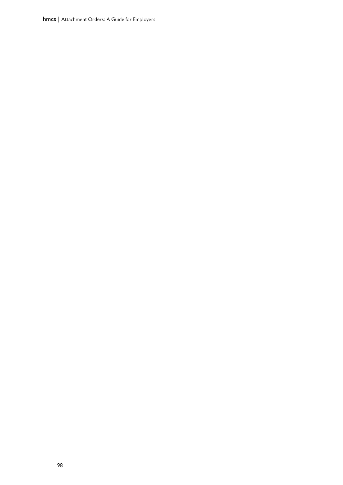hmcs | Attachment Orders: A Guide for Employers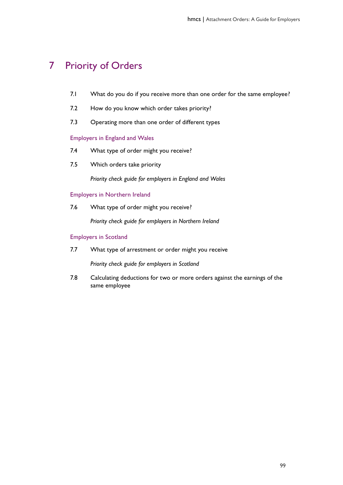# 7 Priority of Orders

- 7.1 What do you do if you receive more than one order for the same employee?
- 7.2 How do you know which order takes priority?
- 7.3 Operating more than one order of different types

#### Employers in England and Wales

- 7.4 What type of order might you receive?
- 7.5 Which orders take priority

*Priority check guide for employers in England and Wales*

#### Employers in Northern Ireland

7.6 What type of order might you receive?

*Priority check guide for employers in Northern Ireland*

#### Employers in Scotland

7.7 What type of arrestment or order might you receive

*Priority check guide for employers in Scotland* 

7.8 Calculating deductions for two or more orders against the earnings of the same employee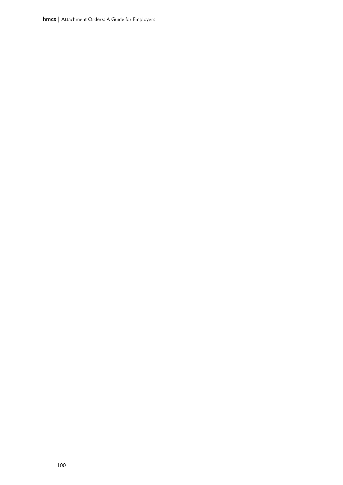hmcs | Attachment Orders: A Guide for Employers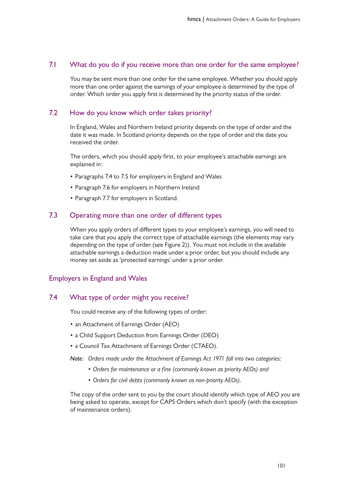## 7.1 What do you do if you receive more than one order for the same employee?

You may be sent more than one order for the same employee. Whether you should apply more than one order against the earnings of your employee is determined by the type of order. Which order you apply first is determined by the priority status of the order.

## 7.2 How do you know which order takes priority?

In England, Wales and Northern Ireland priority depends on the type of order and the date it was made. In Scotland priority depends on the type of order and the date you received the order.

The orders, which you should apply first, to your employee's attachable earnings are explained in:

- Paragraphs 7.4 to 7.5 for employers in England and Wales
- Paragraph 7.6 for employers in Northern Ireland
- Paragraph 7.7 for employers in Scotland.

## 7.3 Operating more than one order of different types

When you apply orders of different types to your employee's earnings, you will need to take care that you apply the correct type of attachable earnings (the elements may vary depending on the type of order (see Figure 2)). You must not include in the available attachable earnings a deduction made under a prior order, but you should include any money set aside as 'protected earnings' under a prior order.

## Employers in England and Wales

## 7.4 What type of order might you receive?

You could receive any of the following types of order:

- an Attachment of Earnings Order (AEO)
- a Child Support Deduction from Earnings Order (DEO)
- a Council Tax Attachment of Earnings Order (CTAEO).

*Note: Orders made under the Attachment of Earnings Act 1971 fall into two categories:*

- *Orders for maintenance or a fine (commonly known as priority AEOs) and*
- *Orders for civil debts (commonly known as non-priority AEOs).*

The copy of the order sent to you by the court should identify which type of AEO you are being asked to operate, except for CAPS Orders which don't specify (with the exception of maintenance orders).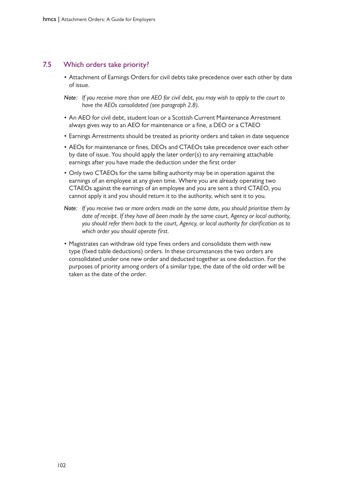## 7.5 Which orders take priority?

- Attachment of Earnings Orders for civil debts take precedence over each other by date of issue.
- Note: If you receive more than one AEO for civil debt, you may wish to apply to the court to *have the AEOs consolidated (see paragraph 2.8).*
- An AEO for civil debt, student loan or a Scottish Current Maintenance Arrestment always gives way to an AEO for maintenance or a fine, a DEO or a CTAEO
- Earnings Arrestments should be treated as priority orders and taken in date sequence
- AEOs for maintenance or fines, DEOs and CTAEOs take precedence over each other by date of issue. You should apply the later order(s) to any remaining attachable earnings after you have made the deduction under the first order
- Only two CTAEOs for the same billing authority may be in operation against the earnings of an employee at any given time. Where you are already operating two CTAEOs against the earnings of an employee and you are sent a third CTAEO, you cannot apply it and you should return it to the authority, which sent it to you.
- *Note: If you receive two or more orders made on the same date, you should prioritise them by date of receipt. If they have all been made by the same court, Agency or local authority, you should refer them back to the court, Agency, or local authority for clarification as to which order you should operate first.*
- Magistrates can withdraw old type fines orders and consolidate them with new type (fixed table deductions) orders. In these circumstances the two orders are consolidated under one new order and deducted together as one deduction. For the purposes of priority among orders of a similar type, the date of the old order will be taken as the date of the order.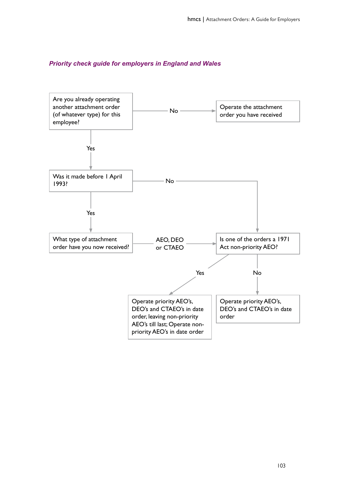

## *Priority check guide for employers in England and Wales*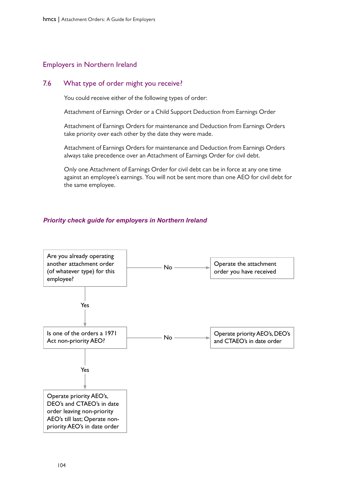## Employers in Northern Ireland

## 7.6 What type of order might you receive?

You could receive either of the following types of order:

Attachment of Earnings Order or a Child Support Deduction from Earnings Order

Attachment of Earnings Orders for maintenance and Deduction from Earnings Orders take priority over each other by the date they were made.

Attachment of Earnings Orders for maintenance and Deduction from Earnings Orders always take precedence over an Attachment of Earnings Order for civil debt.

Only one Attachment of Earnings Order for civil debt can be in force at any one time against an employee's earnings. You will not be sent more than one AEO for civil debt for the same employee.

## *Priority check guide for employers in Northern Ireland*

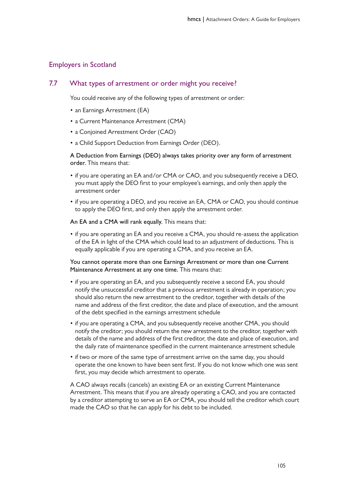## Employers in Scotland

## 7.7 What types of arrestment or order might you receive?

You could receive any of the following types of arrestment or order:

- an Earnings Arrestment (EA)
- a Current Maintenance Arrestment (CMA)
- a Conjoined Arrestment Order (CAO)
- a Child Support Deduction from Earnings Order (DEO).

A Deduction from Earnings (DEO) always takes priority over any form of arrestment order. This means that:

- if you are operating an EA and/or CMA or CAO, and you subsequently receive a DEO, you must apply the DEO first to your employee's earnings, and only then apply the arrestment order
- if you are operating a DEO, and you receive an EA, CMA or CAO, you should continue to apply the DEO first, and only then apply the arrestment order.

An EA and a CMA will rank equally. This means that:

• if you are operating an EA and you receive a CMA, you should re-assess the application of the EA in light of the CMA which could lead to an adjustment of deductions. This is equally applicable if you are operating a CMA, and you receive an EA.

You cannot operate more than one Earnings Arrestment or more than one Current Maintenance Arrestment at any one time. This means that:

- if you are operating an EA, and you subsequently receive a second EA, you should notify the unsuccessful creditor that a previous arrestment is already in operation; you should also return the new arrestment to the creditor, together with details of the name and address of the first creditor, the date and place of execution, and the amount of the debt specified in the earnings arrestment schedule
- if you are operating a CMA, and you subsequently receive another CMA, you should notify the creditor; you should return the new arrestment to the creditor, together with details of the name and address of the first creditor, the date and place of execution, and the daily rate of maintenance specified in the current maintenance arrestment schedule
- if two or more of the same type of arrestment arrive on the same day, you should operate the one known to have been sent first. If you do not know which one was sent first, you may decide which arrestment to operate.

A CAO always recalls (cancels) an existing EA or an existing Current Maintenance Arrestment. This means that if you are already operating a CAO, and you are contacted by a creditor attempting to serve an EA or CMA, you should tell the creditor which court made the CAO so that he can apply for his debt to be included.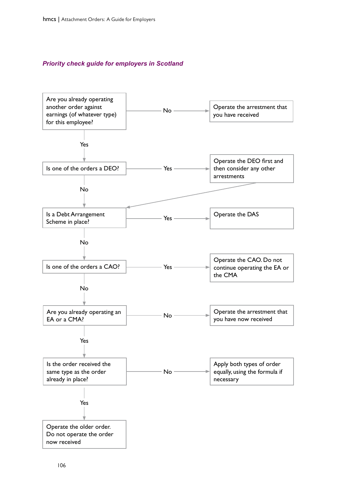## *Priority check guide for employers in Scotland*

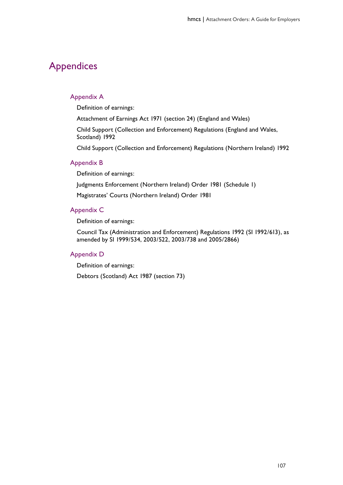## Appendices

## Appendix A

Definition of earnings:

Attachment of Earnings Act 1971 (section 24) (England and Wales)

Child Support (Collection and Enforcement) Regulations (England and Wales, Scotland) 1992

Child Support (Collection and Enforcement) Regulations (Northern Ireland) 1992

#### Appendix B

Definition of earnings:

Judgments Enforcement (Northern Ireland) Order 1981 (Schedule 1)

Magistrates' Courts (Northern Ireland) Order 1981

## Appendix C

Definition of earnings:

Council Tax (Administration and Enforcement) Regulations 1992 (SI 1992/613), as amended by SI 1999/534, 2003/522, 2003/738 and 2005/2866)

## Appendix D

Definition of earnings:

Debtors (Scotland) Act 1987 (section 73)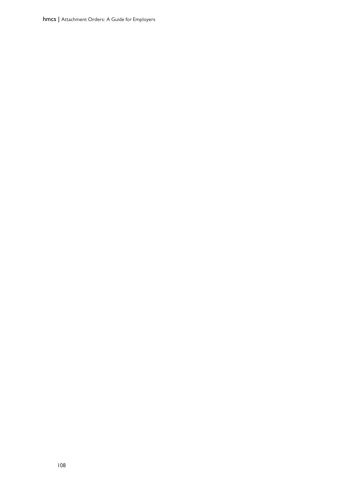hmcs | Attachment Orders: A Guide for Employers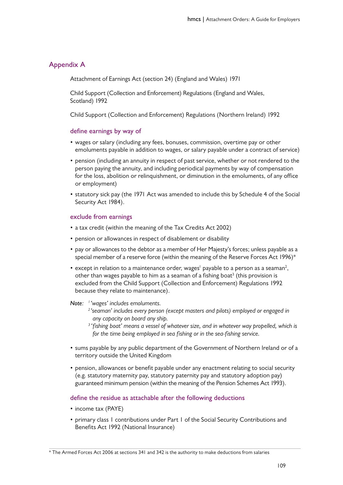## Appendix A

Attachment of Earnings Act (section 24) (England and Wales) 1971

Child Support (Collection and Enforcement) Regulations (England and Wales, Scotland) 1992

Child Support (Collection and Enforcement) Regulations (Northern Ireland) 1992

#### define earnings by way of

- wages or salary (including any fees, bonuses, commission, overtime pay or other emoluments payable in addition to wages, or salary payable under a contract of service)
- pension (including an annuity in respect of past service, whether or not rendered to the person paying the annuity, and including periodical payments by way of compensation for the loss, abolition or relinquishment, or diminution in the emoluments, of any office or employment)
- statutory sick pay (the 1971 Act was amended to include this by Schedule 4 of the Social Security Act 1984).

#### exclude from earnings

- a tax credit (within the meaning of the Tax Credits Act 2002)
- pension or allowances in respect of disablement or disability
- pay or allowances to the debtor as a member of Her Majesty's forces; unless payable as a special member of a reserve force (within the meaning of the Reserve Forces Act 1996)\*
- except in relation to a maintenance order, wages' payable to a person as a seaman<sup>2</sup>, other than wages payable to him as a seaman of a fishing boat<sup>3</sup> (this provision is excluded from the Child Support (Collection and Enforcement) Regulations 1992 because they relate to maintenance).

*Note: 1'wages' includes emoluments.*

- *2'seaman' includes every person (except masters and pilots) employed or engaged in any capacity on board any ship.*
- *<sup>3</sup> 'fishing boat' means a vessel of whatever size, and in whatever way propelled, which is for the time being employed in sea fishing or in the sea-fishing service.*
- sums payable by any public department of the Government of Northern Ireland or of a territory outside the United Kingdom
- pension, allowances or benefit payable under any enactment relating to social security (e.g. statutory maternity pay, statutory paternity pay and statutory adoption pay) guaranteed minimum pension (within the meaning of the Pension Schemes Act 1993).

#### define the residue as attachable after the following deductions

- income tax (PAYE)
- primary class 1 contributions under Part 1 of the Social Security Contributions and Benefits Act 1992 (National Insurance)

<sup>\*</sup> The Armed Forces Act 2006 at sections 341 and 342 is the authority to make deductions from salaries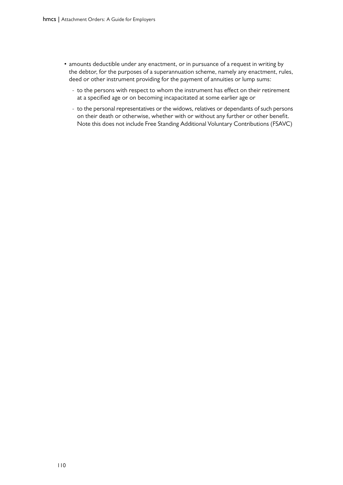- amounts deductible under any enactment, or in pursuance of a request in writing by the debtor, for the purposes of a superannuation scheme, namely any enactment, rules, deed or other instrument providing for the payment of annuities or lump sums:
	- to the persons with respect to whom the instrument has effect on their retirement at a specified age or on becoming incapacitated at some earlier age or
	- to the personal representatives or the widows, relatives or dependants of such persons on their death or otherwise, whether with or without any further or other benefit. Note this does not include Free Standing Additional Voluntary Contributions (FSAVC)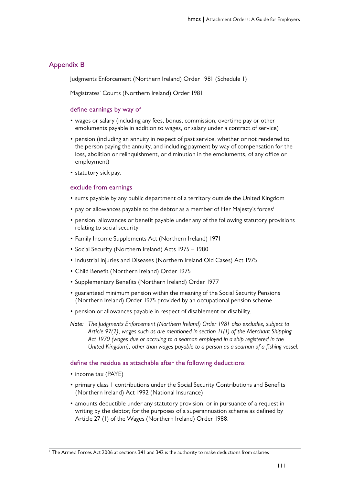## Appendix B

Judgments Enforcement (Northern Ireland) Order 1981 (Schedule 1)

Magistrates' Courts (Northern Ireland) Order 1981

#### define earnings by way of

- wages or salary (including any fees, bonus, commission, overtime pay or other emoluments payable in addition to wages, or salary under a contract of service)
- pension (including an annuity in respect of past service, whether or not rendered to the person paying the annuity, and including payment by way of compensation for the loss, abolition or relinquishment, or diminution in the emoluments, of any office or employment)
- statutory sick pay.

#### exclude from earnings

- sums payable by any public department of a territory outside the United Kingdom
- pay or allowances payable to the debtor as a member of Her Majesty's forces<sup>1</sup>
- pension, allowances or benefit payable under any of the following statutory provisions relating to social security
- Family Income Supplements Act (Northern Ireland) 1971
- Social Security (Northern Ireland) Acts 1975 1980
- Industrial Injuries and Diseases (Northern Ireland Old Cases) Act 1975
- Child Benefit (Northern Ireland) Order 1975
- Supplementary Benefits (Northern Ireland) Order 1977
- guaranteed minimum pension within the meaning of the Social Security Pensions (Northern Ireland) Order 1975 provided by an occupational pension scheme
- pension or allowances payable in respect of disablement or disability.
- *Note: The Judgments Enforcement (Northern Ireland) Order 1981 also excludes, subject to Article 97(2), wages such as are mentioned in section 11(1) of the Merchant Shipping Act 1970 (wages due or accruing to a seaman employed in a ship registered in the United Kingdom), other than wages payable to a person as a seaman of a fishing vessel.*

#### define the residue as attachable after the following deductions

- income tax (PAYE)
- primary class 1 contributions under the Social Security Contributions and Benefits (Northern Ireland) Act 1992 (National Insurance)
- amounts deductible under any statutory provision, or in pursuance of a request in writing by the debtor, for the purposes of a superannuation scheme as defined by Article 27 (1) of the Wages (Northern Ireland) Order 1988.

<sup>1</sup> The Armed Forces Act 2006 at sections 341 and 342 is the authority to make deductions from salaries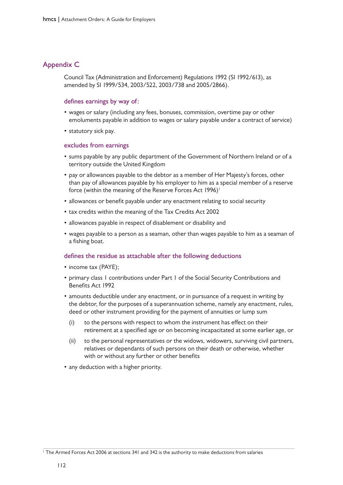## Appendix C

Council Tax (Administration and Enforcement) Regulations 1992 (SI 1992/613), as amended by SI 1999/534, 2003/522, 2003/738 and 2005/2866).

#### defines earnings by way of:

- wages or salary (including any fees, bonuses, commission, overtime pay or other emoluments payable in addition to wages or salary payable under a contract of service)
- statutory sick pay.

#### excludes from earnings

- sums payable by any public department of the Government of Northern Ireland or of a territory outside the United Kingdom
- pay or allowances payable to the debtor as a member of Her Majesty's forces, other than pay of allowances payable by his employer to him as a special member of a reserve force (within the meaning of the Reserve Forces Act 1996)<sup>1</sup>
- allowances or benefit payable under any enactment relating to social security
- tax credits within the meaning of the Tax Credits Act 2002
- allowances payable in respect of disablement or disability and
- wages payable to a person as a seaman, other than wages payable to him as a seaman of a fishing boat.

#### defines the residue as attachable after the following deductions

- income tax (PAYE);
- primary class 1 contributions under Part 1 of the Social Security Contributions and Benefits Act 1992
- amounts deductible under any enactment, or in pursuance of a request in writing by the debtor, for the purposes of a superannuation scheme, namely any enactment, rules, deed or other instrument providing for the payment of annuities or lump sum
	- (i) to the persons with respect to whom the instrument has effect on their retirement at a specified age or on becoming incapacitated at some earlier age, or
	- (ii) to the personal representatives or the widows, widowers, surviving civil partners, relatives or dependants of such persons on their death or otherwise, whether with or without any further or other benefits
- any deduction with a higher priority.

<sup>1</sup> The Armed Forces Act 2006 at sections 341 and 342 is the authority to make deductions from salaries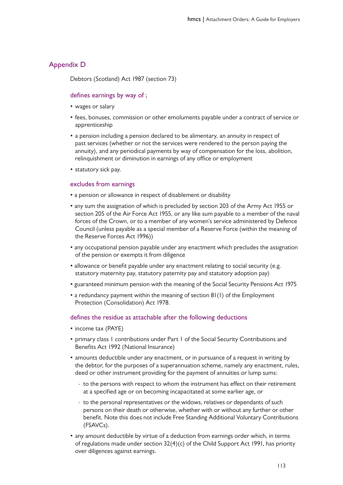## Appendix D

Debtors (Scotland) Act 1987 (section 73)

#### defines earnings by way of ;

- wages or salary
- fees, bonuses, commission or other emoluments payable under a contract of service or apprenticeship
- a pension including a pension declared to be alimentary, an annuity in respect of past services (whether or not the services were rendered to the person paying the annuity), and any periodical payments by way of compensation for the loss, abolition, relinquishment or diminution in earnings of any office or employment
- statutory sick pay.

#### excludes from earnings

- a pension or allowance in respect of disablement or disability
- any sum the assignation of which is precluded by section 203 of the Army Act 1955 or section 205 of the Air Force Act 1955, or any like sum payable to a member of the naval forces of the Crown, or to a member of any women's service administered by Defence Council (unless payable as a special member of a Reserve Force (within the meaning of the Reserve Forces Act 1996))
- any occupational pension payable under any enactment which precludes the assignation of the pension or exempts it from diligence
- allowance or benefit payable under any enactment relating to social security (e.g. statutory maternity pay, statutory paternity pay and statutory adoption pay)
- guaranteed minimum pension with the meaning of the Social Security Pensions Act 1975
- a redundancy payment within the meaning of section 81(1) of the Employment Protection (Consolidation) Act 1978.

#### defines the residue as attachable after the following deductions

- income tax (PAYE)
- primary class 1 contributions under Part 1 of the Social Security Contributions and Benefits Act 1992 (National Insurance)
- amounts deductible under any enactment, or in pursuance of a request in writing by the debtor, for the purposes of a superannuation scheme, namely any enactment, rules, deed or other instrument providing for the payment of annuities or lump sums:
	- to the persons with respect to whom the instrument has effect on their retirement at a specified age or on becoming incapacitated at some earlier age, or
	- to the personal representatives or the widows, relatives or dependants of such persons on their death or otherwise, whether with or without any further or other benefit. Note this does not include Free Standing Additional Voluntary Contributions (FSAVCs).
- any amount deductible by virtue of a deduction from earnings order which, in terms of regulations made under section 32(4)(c) of the Child Support Act 1991, has priority over diligences against earnings.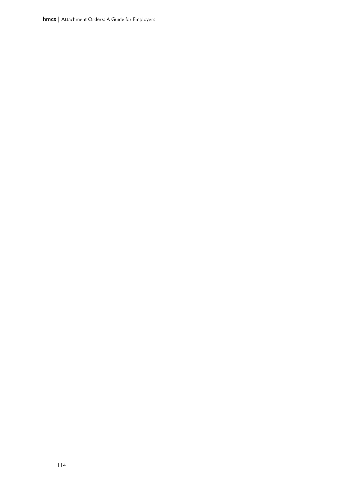hmcs | Attachment Orders: A Guide for Employers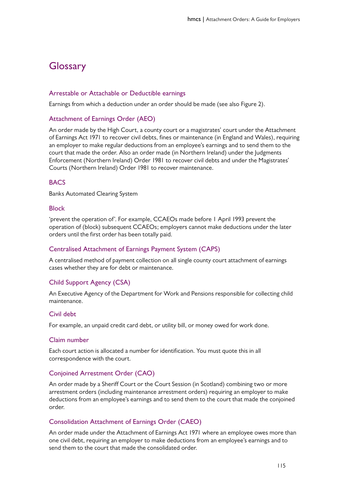# **Glossary**

#### Arrestable or Attachable or Deductible earnings

Earnings from which a deduction under an order should be made (see also Figure 2).

## Attachment of Earnings Order (AEO)

An order made by the High Court, a county court or a magistrates' court under the Attachment of Earnings Act 1971 to recover civil debts, fines or maintenance (in England and Wales), requiring an employer to make regular deductions from an employee's earnings and to send them to the court that made the order. Also an order made (in Northern Ireland) under the Judgments Enforcement (Northern Ireland) Order 1981 to recover civil debts and under the Magistrates' Courts (Northern Ireland) Order 1981 to recover maintenance.

## **BACS**

Banks Automated Clearing System

## **Block**

'prevent the operation of'. For example, CCAEOs made before 1 April 1993 prevent the operation of (block) subsequent CCAEOs; employers cannot make deductions under the later orders until the first order has been totally paid.

#### Centralised Attachment of Earnings Payment System (CAPS)

A centralised method of payment collection on all single county court attachment of earnings cases whether they are for debt or maintenance.

## Child Support Agency (CSA)

An Executive Agency of the Department for Work and Pensions responsible for collecting child maintenance.

#### Civil debt

For example, an unpaid credit card debt, or utility bill, or money owed for work done.

#### Claim number

Each court action is allocated a number for identification. You must quote this in all correspondence with the court.

#### Conjoined Arrestment Order (CAO)

An order made by a Sheriff Court or the Court Session (in Scotland) combining two or more arrestment orders (including maintenance arrestment orders) requiring an employer to make deductions from an employee's earnings and to send them to the court that made the conjoined order.

#### Consolidation Attachment of Earnings Order (CAEO)

An order made under the Attachment of Earnings Act 1971 where an employee owes more than one civil debt, requiring an employer to make deductions from an employee's earnings and to send them to the court that made the consolidated order.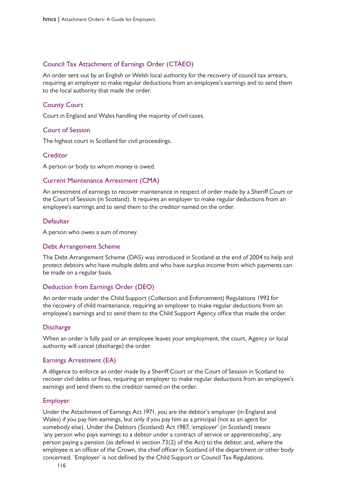## Council Tax Attachment of Earnings Order (CTAEO)

An order sent out by an English or Welsh local authority for the recovery of council tax arrears, requiring an employer to make regular deductions from an employee's earnings and to send them to the local authority that made the order.

## County Court

Court in England and Wales handling the majority of civil cases.

## Court of Session

The highest court in Scotland for civil proceedings.

## **Creditor**

A person or body to whom money is owed.

## Current Maintenance Arrestment (CMA)

An arrestment of earnings to recover maintenance in respect of order made by a Sheriff Court or the Court of Session (in Scotland). It requires an employer to make regular deductions from an employee's earnings and to send them to the creditor named on the order.

## **Defaulter**

A person who owes a sum of money

#### Debt Arrangement Scheme

The Debt Arrangement Scheme (DAS) was introduced in Scotland at the end of 2004 to help and protect debtors who have multiple debts and who have surplus income from which payments can be made on a regular basis.

## Deduction from Earnings Order (DEO)

An order made under the Child Support (Collection and Enforcement) Regulations 1992 for the recovery of child maintenance, requiring an employer to make regular deductions from an employee's earnings and to send them to the Child Support Agency office that made the order.

#### **Discharge**

When an order is fully paid or an employee leaves your employment, the court, Agency or local authority will cancel (discharge) the order.

## Earnings Arrestment (EA)

A diligence to enforce an order made by a Sheriff Court or the Court of Session in Scotland to recover civil debts or fines, requiring an employer to make regular deductions from an employee's earnings and send them to the creditor named on the order.

#### Employer

Under the Attachment of Earnings Act 1971, you are the debtor's employer (in England and Wales) if you pay him earnings, but only if you pay him as a principal (not as an agent for somebody else). Under the Debtors (Scotland) Act 1987, 'employer' (in Scotland) means 'any person who pays earnings to a debtor under a contract of service or apprenticeship', any person paying a pension (as defined in section 73(2) of the Act) to the debtor, and, where the employee is an officer of the Crown, the chief officer in Scotland of the department or other body concerned. 'Employer' is not defined by the Child Support or Council Tax Regulations.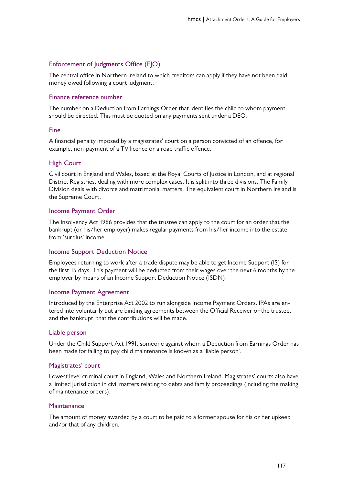## Enforcement of Judgments Office (EJO)

The central office in Northern Ireland to which creditors can apply if they have not been paid money owed following a court judgment.

## Finance reference number

The number on a Deduction from Earnings Order that identifies the child to whom payment should be directed. This must be quoted on any payments sent under a DEO.

#### Fine

A financial penalty imposed by a magistrates' court on a person convicted of an offence, for example, non-payment of a TV licence or a road traffic offence.

## High Court

Civil court in England and Wales, based at the Royal Courts of Justice in London, and at regional District Registries, dealing with more complex cases. It is split into three divisions. The Family Division deals with divorce and matrimonial matters. The equivalent court in Northern Ireland is the Supreme Court.

## Income Payment Order

The Insolvency Act 1986 provides that the trustee can apply to the court for an order that the bankrupt (or his/her employer) makes regular payments from his/her income into the estate from 'surplus' income.

## Income Support Deduction Notice

Employees returning to work after a trade dispute may be able to get Income Support (IS) for the first 15 days. This payment will be deducted from their wages over the next 6 months by the employer by means of an Income Support Deduction Notice (ISDN).

## Income Payment Agreement

Introduced by the Enterprise Act 2002 to run alongside Income Payment Orders. IPAs are entered into voluntarily but are binding agreements between the Official Receiver or the trustee, and the bankrupt, that the contributions will be made.

#### Liable person

Under the Child Support Act 1991, someone against whom a Deduction from Earnings Order has been made for failing to pay child maintenance is known as a 'liable person'.

## Magistrates' court

Lowest level criminal court in England, Wales and Northern Ireland. Magistrates' courts also have a limited jurisdiction in civil matters relating to debts and family proceedings (including the making of maintenance orders).

#### **Maintenance**

The amount of money awarded by a court to be paid to a former spouse for his or her upkeep and/or that of any children.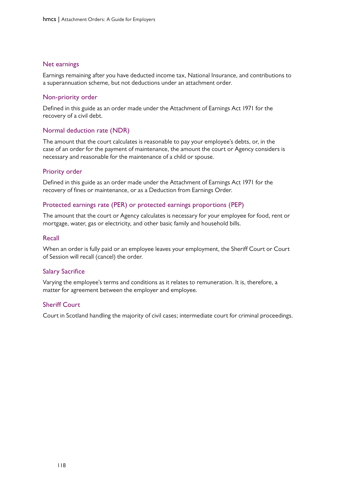## Net earnings

Earnings remaining after you have deducted income tax, National Insurance, and contributions to a superannuation scheme, but not deductions under an attachment order.

## Non-priority order

Defined in this guide as an order made under the Attachment of Earnings Act 1971 for the recovery of a civil debt.

## Normal deduction rate (NDR)

The amount that the court calculates is reasonable to pay your employee's debts, or, in the case of an order for the payment of maintenance, the amount the court or Agency considers is necessary and reasonable for the maintenance of a child or spouse.

## Priority order

Defined in this guide as an order made under the Attachment of Earnings Act 1971 for the recovery of fines or maintenance, or as a Deduction from Earnings Order.

## Protected earnings rate (PER) or protected earnings proportions (PEP)

The amount that the court or Agency calculates is necessary for your employee for food, rent or mortgage, water, gas or electricity, and other basic family and household bills.

## Recall

When an order is fully paid or an employee leaves your employment, the Sheriff Court or Court of Session will recall (cancel) the order.

## Salary Sacrifice

Varying the employee's terms and conditions as it relates to remuneration. It is, therefore, a matter for agreement between the employer and employee.

## Sheriff Court

Court in Scotland handling the majority of civil cases; intermediate court for criminal proceedings.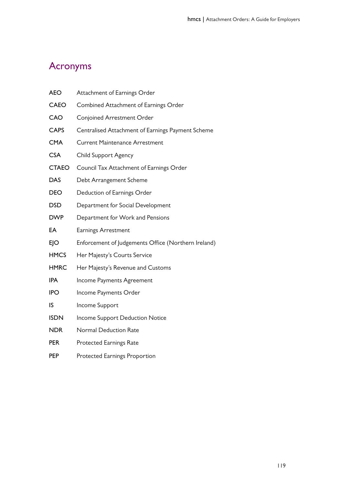# Acronyms

| <b>AEO</b>   | Attachment of Earnings Order                        |
|--------------|-----------------------------------------------------|
| <b>CAEO</b>  | Combined Attachment of Earnings Order               |
| CAO          | Conjoined Arrestment Order                          |
| <b>CAPS</b>  | Centralised Attachment of Earnings Payment Scheme   |
| <b>CMA</b>   | <b>Current Maintenance Arrestment</b>               |
| <b>CSA</b>   | Child Support Agency                                |
| <b>CTAEO</b> | Council Tax Attachment of Earnings Order            |
| <b>DAS</b>   | Debt Arrangement Scheme                             |
| <b>DEO</b>   | Deduction of Earnings Order                         |
| <b>DSD</b>   | Department for Social Development                   |
| <b>DWP</b>   | Department for Work and Pensions                    |
|              |                                                     |
| EA           | <b>Earnings Arrestment</b>                          |
| <b>EJO</b>   | Enforcement of Judgements Office (Northern Ireland) |
| <b>HMCS</b>  | Her Majesty's Courts Service                        |
| <b>HMRC</b>  | Her Majesty's Revenue and Customs                   |
| <b>IPA</b>   | Income Payments Agreement                           |
| <b>IPO</b>   | Income Payments Order                               |
| IS           | Income Support                                      |
| <b>ISDN</b>  | Income Support Deduction Notice                     |
| <b>NDR</b>   | Normal Deduction Rate                               |
| <b>PER</b>   | Protected Earnings Rate                             |